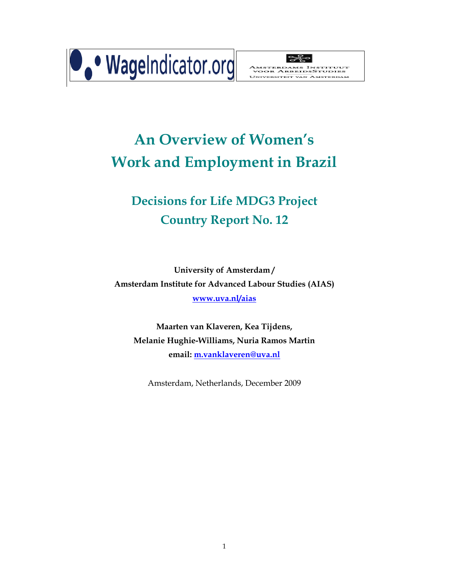



# **An Overview of Women's Work and Employment in Brazil**

# **Decisions for Life MDG3 Project Country Report No. 12**

**University of Amsterdam / Amsterdam Institute for Advanced Labour Studies (AIAS) www.uva.nl/aias**

**Maarten van Klaveren, Kea Tijdens, Melanie Hughie-Williams, Nuria Ramos Martin email: m.vanklaveren@uva.nl**

Amsterdam, Netherlands, December 2009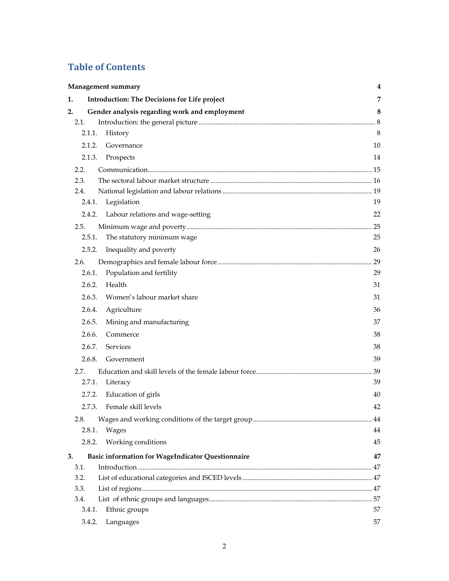# **Table of Contents**

| Management summary                                             | 4  |
|----------------------------------------------------------------|----|
| 1.<br><b>Introduction: The Decisions for Life project</b>      | 7  |
| 2.<br>Gender analysis regarding work and employment            | 8  |
| 2.1.                                                           |    |
| 2.1.1.<br>History                                              | 8  |
| 2.1.2.<br>Governance                                           | 10 |
| 2.1.3.<br>Prospects                                            | 14 |
| 2.2.                                                           |    |
| 2.3.                                                           |    |
| 2.4.                                                           |    |
| 2.4.1.<br>Legislation                                          | 19 |
| 2.4.2.<br>Labour relations and wage-setting                    | 22 |
| 2.5.                                                           | 25 |
| 2.5.1.<br>The statutory minimum wage                           | 25 |
| 2.5.2.<br>Inequality and poverty                               | 26 |
| 2.6.                                                           | 29 |
| 2.6.1.<br>Population and fertility                             | 29 |
| 2.6.2.<br>Health                                               | 31 |
| 2.6.3.<br>Women's labour market share                          | 31 |
| 2.6.4.<br>Agriculture                                          | 36 |
| 2.6.5.<br>Mining and manufacturing                             | 37 |
| 2.6.6.<br>Commerce                                             | 38 |
| 2.6.7.<br><b>Services</b>                                      | 38 |
| 2.6.8.<br>Government                                           | 39 |
| 2.7.                                                           |    |
| 2.7.1.<br>Literacy                                             | 39 |
| Education of girls<br>2.7.2.                                   | 40 |
| Female skill levels<br>2.7.3.                                  | 42 |
| 2.8.                                                           |    |
| 2.8.1.<br>Wages                                                | 44 |
| Working conditions<br>2.8.2.                                   | 45 |
|                                                                |    |
| 3.<br><b>Basic information for WageIndicator Questionnaire</b> | 47 |
| 3.1.<br>3.2.                                                   |    |
| 3.3.                                                           |    |
| 3.4.                                                           |    |
| Ethnic groups<br>3.4.1.                                        | 57 |
| 3.4.2.<br>Languages                                            | 57 |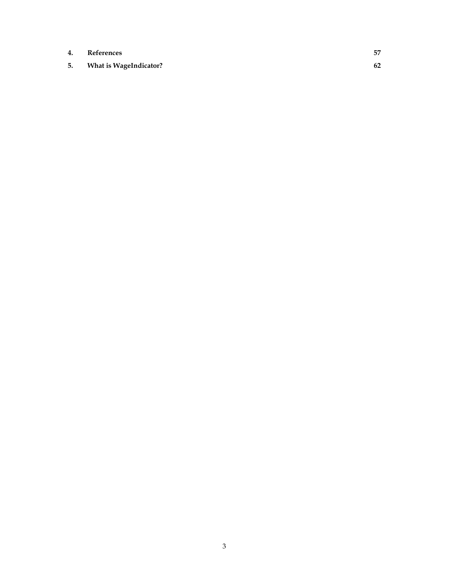- **4. References 57**
- **5. What is WageIndicator? 62**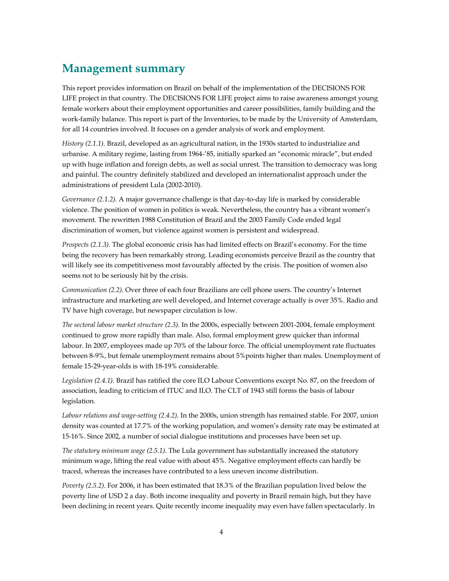# **Management summary**

This report provides information on Brazil on behalf of the implementation of the DECISIONS FOR LIFE project in that country. The DECISIONS FOR LIFE project aims to raise awareness amongst young female workers about their employment opportunities and career possibilities, family building and the work-family balance. This report is part of the Inventories, to be made by the University of Amsterdam, for all 14 countries involved. It focuses on a gender analysis of work and employment.

*History (2.1.1).* Brazil, developed as an agricultural nation, in the 1930s started to industrialize and urbanise. A military regime, lasting from 1964-'85, initially sparked an "economic miracle", but ended up with huge inflation and foreign debts, as well as social unrest. The transition to democracy was long and painful. The country definitely stabilized and developed an internationalist approach under the administrations of president Lula (2002-2010).

*Governance (2.1.2).* A major governance challenge is that day-to-day life is marked by considerable violence. The position of women in politics is weak. Nevertheless, the country has a vibrant women's movement. The rewritten 1988 Constitution of Brazil and the 2003 Family Code ended legal discrimination of women, but violence against women is persistent and widespread.

*Prospects (2.1.3).* The global economic crisis has had limited effects on Brazil's economy. For the time being the recovery has been remarkably strong. Leading economists perceive Brazil as the country that will likely see its competitiveness most favourably affected by the crisis. The position of women also seems not to be seriously hit by the crisis.

*Communication (2.2).* Over three of each four Brazilians are cell phone users. The country's Internet infrastructure and marketing are well developed, and Internet coverage actually is over 35%. Radio and TV have high coverage, but newspaper circulation is low.

*The sectoral labour market structure (2.3).* In the 2000s, especially between 2001-2004, female employment continued to grow more rapidly than male. Also, formal employment grew quicker than informal labour. In 2007, employees made up 70% of the labour force. The official unemployment rate fluctuates between 8-9%, but female unemployment remains about 5%points higher than males. Unemployment of female 15-29-year-olds is with 18-19% considerable.

*Legislation (2.4.1).* Brazil has ratified the core ILO Labour Conventions except No. 87, on the freedom of association, leading to criticism of ITUC and ILO. The CLT of 1943 still forms the basis of labour legislation.

*Labour relations and wage-setting (2.4.2)*. In the 2000s, union strength has remained stable. For 2007, union density was counted at 17.7% of the working population, and women's density rate may be estimated at 15-16%. Since 2002, a number of social dialogue institutions and processes have been set up.

*The statutory minimum wage (2.5.1)*. The Lula government has substantially increased the statutory minimum wage, lifting the real value with about 45%. Negative employment effects can hardly be traced, whereas the increases have contributed to a less uneven income distribution.

*Poverty (2.5.2)*. For 2006, it has been estimated that 18.3% of the Brazilian population lived below the poverty line of USD 2 a day. Both income inequality and poverty in Brazil remain high, but they have been declining in recent years. Quite recently income inequality may even have fallen spectacularly. In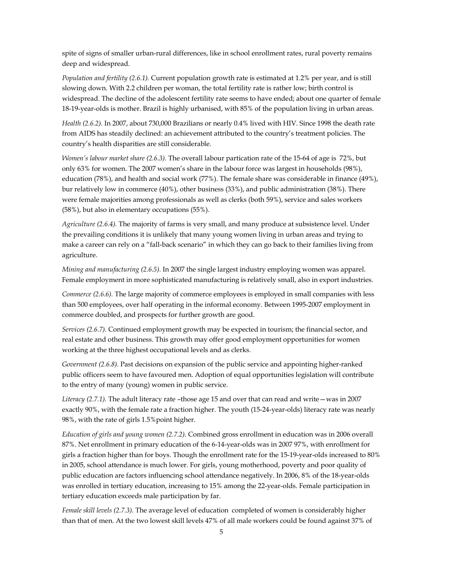spite of signs of smaller urban-rural differences, like in school enrollment rates, rural poverty remains deep and widespread.

*Population and fertility (2.6.1).* Current population growth rate is estimated at 1.2% per year, and is still slowing down. With 2.2 children per woman, the total fertility rate is rather low; birth control is widespread. The decline of the adolescent fertility rate seems to have ended; about one quarter of female 18-19-year-olds is mother. Brazil is highly urbanised, with 85% of the population living in urban areas.

*Health (2.6.2).* In 2007, about 730,000 Brazilians or nearly 0.4% lived with HIV. Since 1998 the death rate from AIDS has steadily declined: an achievement attributed to the country's treatment policies. The country's health disparities are still considerable.

*Women's labour market share (2.6.3).* The overall labour partication rate of the 15-64 of age is 72%, but only 63% for women. The 2007 women's share in the labour force was largest in households (98%), education (78%), and health and social work (77%). The female share was considerable in finance (49%), bur relatively low in commerce (40%), other business (33%), and public administration (38%). There were female majorities among professionals as well as clerks (both 59%), service and sales workers (58%), but also in elementary occupations (55%).

*Agriculture (2.6.4).* The majority of farms is very small, and many produce at subsistence level. Under the prevailing conditions it is unlikely that many young women living in urban areas and trying to make a career can rely on a "fall-back scenario" in which they can go back to their families living from agriculture.

*Mining and manufacturing (2.6.5).* In 2007 the single largest industry employing women was apparel. Female employment in more sophisticated manufacturing is relatively small, also in export industries.

*Commerce (2.6.6).* The large majority of commerce employees is employed in small companies with less than 500 employees, over half operating in the informal economy. Between 1995-2007 employment in commerce doubled, and prospects for further growth are good.

*Services (2.6.7).* Continued employment growth may be expected in tourism; the financial sector, and real estate and other business. This growth may offer good employment opportunities for women working at the three highest occupational levels and as clerks.

*Government (2.6.8).* Past decisions on expansion of the public service and appointing higher-ranked public officers seem to have favoured men. Adoption of equal opportunities legislation will contribute to the entry of many (young) women in public service.

*Literacy (2.7.1).* The adult literacy rate –those age 15 and over that can read and write—was in 2007 exactly 90%, with the female rate a fraction higher. The youth (15-24-year-olds) literacy rate was nearly 98%, with the rate of girls 1.5%point higher.

*Education of girls and young women (2.7.2).* Combined gross enrollment in education was in 2006 overall 87%. Net enrollment in primary education of the 6-14-year-olds was in 2007 97%, with enrollment for girls a fraction higher than for boys. Though the enrollment rate for the 15-19-year-olds increased to 80% in 2005, school attendance is much lower. For girls, young motherhood, poverty and poor quality of public education are factors influencing school attendance negatively. In 2006, 8% of the 18-year-olds was enrolled in tertiary education, increasing to 15% among the 22-year-olds. Female participation in tertiary education exceeds male participation by far.

*Female skill levels (2.7.3).* The average level of education completed of women is considerably higher than that of men. At the two lowest skill levels 47% of all male workers could be found against 37% of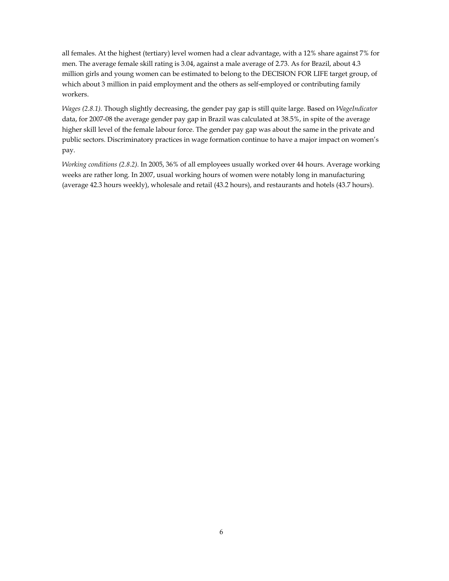all females. At the highest (tertiary) level women had a clear advantage, with a 12% share against 7% for men. The average female skill rating is 3.04, against a male average of 2.73. As for Brazil, about 4.3 million girls and young women can be estimated to belong to the DECISION FOR LIFE target group, of which about 3 million in paid employment and the others as self-employed or contributing family workers.

*Wages (2.8.1).* Though slightly decreasing, the gender pay gap is still quite large. Based on *WageIndicator*  data, for 2007-08 the average gender pay gap in Brazil was calculated at 38.5%, in spite of the average higher skill level of the female labour force. The gender pay gap was about the same in the private and public sectors. Discriminatory practices in wage formation continue to have a major impact on women's pay.

*Working conditions (2.8.2).* In 2005, 36% of all employees usually worked over 44 hours. Average working weeks are rather long. In 2007, usual working hours of women were notably long in manufacturing (average 42.3 hours weekly), wholesale and retail (43.2 hours), and restaurants and hotels (43.7 hours).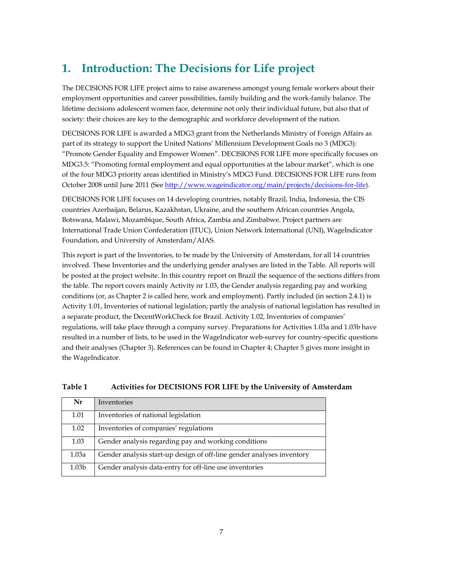# **1. Introduction: The Decisions for Life project**

The DECISIONS FOR LIFE project aims to raise awareness amongst young female workers about their employment opportunities and career possibilities, family building and the work-family balance. The lifetime decisions adolescent women face, determine not only their individual future, but also that of society: their choices are key to the demographic and workforce development of the nation.

DECISIONS FOR LIFE is awarded a MDG3 grant from the Netherlands Ministry of Foreign Affairs as part of its strategy to support the United Nations' Millennium Development Goals no 3 (MDG3): "Promote Gender Equality and Empower Women". DECISIONS FOR LIFE more specifically focuses on MDG3.5: "Promoting formal employment and equal opportunities at the labour market", which is one of the four MDG3 priority areas identified in Ministry's MDG3 Fund. DECISIONS FOR LIFE runs from October 2008 until June 2011 (See http://www.wageindicator.org/main/projects/decisions-for-life).

DECISIONS FOR LIFE focuses on 14 developing countries, notably Brazil, India, Indonesia, the CIS countries Azerbaijan, Belarus, Kazakhstan, Ukraine, and the southern African countries Angola, Botswana, Malawi, Mozambique, South Africa, Zambia and Zimbabwe. Project partners are International Trade Union Confederation (ITUC), Union Network International (UNI), WageIndicator Foundation, and University of Amsterdam/AIAS.

This report is part of the Inventories, to be made by the University of Amsterdam, for all 14 countries involved. These Inventories and the underlying gender analyses are listed in the Table. All reports will be posted at the project website. In this country report on Brazil the sequence of the sections differs from the table. The report covers mainly Activity nr 1.03, the Gender analysis regarding pay and working conditions (or, as Chapter 2 is called here, work and employment). Partly included (in section 2.4.1) is Activity 1.01, Inventories of national legislation; partly the analysis of national legislation has resulted in a separate product, the DecentWorkCheck for Brazil. Activity 1.02, Inventories of companies' regulations, will take place through a company survey. Preparations for Activities 1.03a and 1.03b have resulted in a number of lists, to be used in the WageIndicator web-survey for country-specific questions and their analyses (Chapter 3). References can be found in Chapter 4; Chapter 5 gives more insight in the WageIndicator.

| Nr                | Inventories                                                           |
|-------------------|-----------------------------------------------------------------------|
| 1.01              | Inventories of national legislation                                   |
| 1.02              | Inventories of companies' regulations                                 |
| 1.03              | Gender analysis regarding pay and working conditions                  |
| 1.03a             | Gender analysis start-up design of off-line gender analyses inventory |
| 1.03 <sub>b</sub> | Gender analysis data-entry for off-line use inventories               |

# **Table 1 Activities for DECISIONS FOR LIFE by the University of Amsterdam**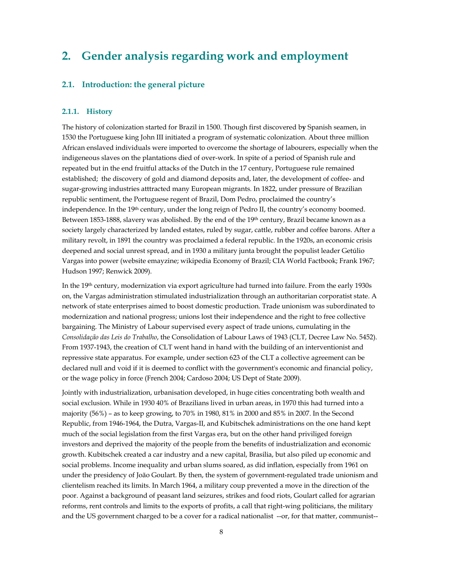# **2. Gender analysis regarding work and employment**

# **2.1. Introduction: the general picture**

#### **2.1.1. History**

The history of colonization started for Brazil in 1500. Though first discovered b**y** Spanish seamen, in 1530 the Portuguese king John III initiated a program of systematic colonization. About three million African enslaved individuals were imported to overcome the shortage of labourers, especially when the indigeneous slaves on the plantations died of over-work. In spite of a period of Spanish rule and repeated but in the end fruitful attacks of the Dutch in the 17 century, Portuguese rule remained established; the discovery of gold and diamond deposits and, later, the development of coffee- and sugar-growing industries atttracted many European migrants. In 1822, under pressure of Brazilian republic sentiment, the Portuguese regent of Brazil, Dom Pedro, proclaimed the country's independence. In the 19th century, under the long reign of Pedro II, the country's economy boomed. Between 1853-1888, slavery was abolished. By the end of the 19th century, Brazil became known as a society largely characterized by landed estates, ruled by sugar, cattle, rubber and coffee barons. After a military revolt, in 1891 the country was proclaimed a federal republic. In the 1920s, an economic crisis deepened and social unrest spread, and in 1930 a military junta brought the populist leader Getúlio Vargas into power (website emayzine; wikipedia Economy of Brazil; CIA World Factbook; Frank 1967; Hudson 1997; Renwick 2009).

In the 19th century, modernization via export agriculture had turned into failure. From the early 1930s on, the Vargas administration stimulated industrialization through an authoritarian corporatist state. A network of state enterprises aimed to boost domestic production. Trade unionism was subordinated to modernization and national progress; unions lost their independence and the right to free collective bargaining. The Ministry of Labour supervised every aspect of trade unions, cumulating in the *Consolidação das Leis do Trabalho*, the Consolidation of Labour Laws of 1943 (CLT, Decree Law No. 5452). From 1937-1943, the creation of CLT went hand in hand with the building of an interventionist and repressive state apparatus. For example, under section 623 of the CLT a collective agreement can be declared null and void if it is deemed to conflict with the government's economic and financial policy, or the wage policy in force (French 2004; Cardoso 2004; US Dept of State 2009).

Jointly with industrialization, urbanisation developed, in huge cities concentrating both wealth and social exclusion. While in 1930 40% of Brazilians lived in urban areas, in 1970 this had turned into a majority (56%) – as to keep growing, to 70% in 1980, 81% in 2000 and 85% in 2007. In the Second Republic, from 1946-1964, the Dutra, Vargas-II, and Kubitschek administrations on the one hand kept much of the social legislation from the first Vargas era, but on the other hand priviliged foreign investors and deprived the majority of the people from the benefits of industrialization and economic growth. Kubitschek created a car industry and a new capital, Brasilia, but also piled up economic and social problems. Income inequality and urban slums soared, as did inflation, especially from 1961 on under the presidency of João Goulart. By then, the system of government-regulated trade unionism and clientelism reached its limits. In March 1964, a military coup prevented a move in the direction of the poor. Against a background of peasant land seizures, strikes and food riots, Goulart called for agrarian reforms, rent controls and limits to the exports of profits, a call that right-wing politicians, the military and the US government charged to be a cover for a radical nationalist --or, for that matter, communist--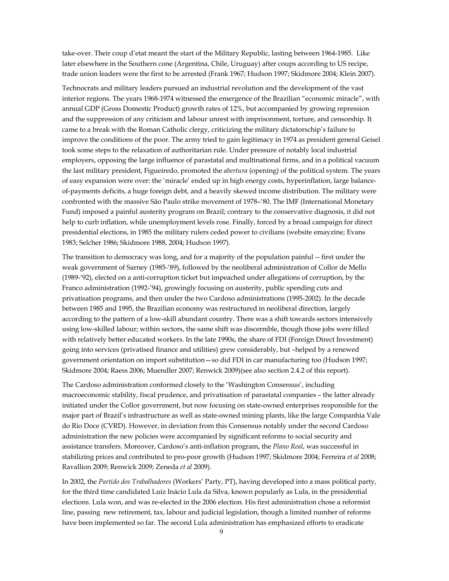take-over. Their coup d'etat meant the start of the Military Republic, lasting between 1964-1985. Like later elsewhere in the Southern cone (Argentina, Chile, Uruguay) after coups according to US recipe, trade union leaders were the first to be arrested (Frank 1967; Hudson 1997; Skidmore 2004; Klein 2007).

Technocrats and military leaders pursued an industrial revolution and the development of the vast interior regions. The years 1968-1974 witnessed the emergence of the Brazilian "economic miracle", with annual GDP (Gross Domestic Product) growth rates of 12%, but accompanied by growing repression and the suppression of any criticism and labour unrest with imprisonment, torture, and censorship. It came to a break with the Roman Catholic clergy, criticizing the military dictatorschip's failure to improve the conditions of the poor. The army tried to gain legitimacy in 1974 as president general Geisel took some steps to the relaxation of authoritarian rule. Under pressure of notably local industrial employers, opposing the large influence of parastatal and multinational firms, and in a political vacuum the last military president, Figueiredo, promoted the *abertura* (opening) of the political system. The years of easy expansion were over: the 'miracle' ended up in high energy costs, hyperinflation, large balanceof-payments deficits, a huge foreign debt, and a heavily skewed income distribution. The military were confronted with the massive São Paulo strike movement of 1978–'80. The IMF (International Monetary Fund) imposed a painful austerity program on Brazil; contrary to the conservative diagnosis, it did not help to curb inflation, while unemployment levels rose. Finally, forced by a broad campaign for direct presidential elections, in 1985 the military rulers ceded power to civilians (website emayzine; Evans 1983; Selcher 1986; Skidmore 1988, 2004; Hudson 1997).

The transition to democracy was long, and for a majority of the population painful -- first under the weak government of Sarney (1985-'89), followed by the neoliberal administration of Collor de Mello (1989-'92), elected on a anti-corruption ticket but impeached under allegations of corruption, by the Franco administration (1992-'94), growingly focusing on austerity, public spending cuts and privatisation programs, and then under the two Cardoso administrations (1995-2002). In the decade between 1985 and 1995, the Brazilian economy was restructured in neoliberal direction, largely according to the pattern of a low-skill abundant country. There was a shift towards sectors intensively using low-skilled labour; within sectors, the same shift was discernible, though those jobs were filled with relatively better educated workers. In the late 1990s, the share of FDI (Foreign Direct Investment) going into services (privatised finance and utilities) grew considerably, but –helped by a renewed government orientation on import substitution—so did FDI in car manufacturing too (Hudson 1997; Skidmore 2004; Raess 2006; Muendler 2007; Renwick 2009)(see also section 2.4.2 of this report).

The Cardoso administration conformed closely to the 'Washington Consensus', including macroeconomic stability, fiscal prudence, and privatisation of parastatal companies – the latter already initiated under the Collor government, but now focusing on state-owned enterprises responsible for the major part of Brazil's infrastructure as well as state-owned mining plants, like the large Companhia Vale do Rio Doce (CVRD). However, in deviation from this Consensus notably under the second Cardoso administration the new policies were accompanied by significant reforms to social security and assistance transfers. Moreover, Cardoso's anti-inflation program, the *Plano Real*, was successful in stabilizing prices and contributed to pro-poor growth (Hudson 1997; Skidmore 2004; Ferreira *et al* 2008; Ravallion 2009; Renwick 2009; Zeneda *et al* 2009).

In 2002, the *Partido dos Trabalhadores* (Workers' Party, PT), having developed into a mass political party, for the third time candidated Luiz Inácio Lula da Silva, known popularly as Lula, in the presidential elections. Lula won, and was re-elected in the 2006 election. His first administration chose a reformist line, passing new retirement, tax, labour and judicial legislation, though a limited number of reforms have been implemented so far. The second Lula administration has emphasized efforts to eradicate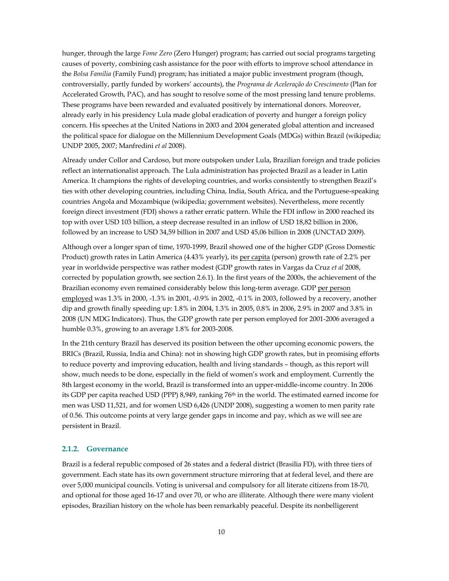hunger, through the large *Fome Zero* (Zero Hunger) program; has carried out social programs targeting causes of poverty, combining cash assistance for the poor with efforts to improve school attendance in the *Bolsa Familia* (Family Fund) program; has initiated a major public investment program (though, controversially, partly funded by workers' accounts), the *Programa de Aceleração do Crescimento* (Plan for Accelerated Growth, PAC), and has sought to resolve some of the most pressing land tenure problems. These programs have been rewarded and evaluated positively by international donors. Moreover, already early in his presidency Lula made global eradication of poverty and hunger a foreign policy concern. His speeches at the United Nations in 2003 and 2004 generated global attention and increased the political space for dialogue on the Millennium Development Goals (MDGs) within Brazil (wikipedia; UNDP 2005, 2007; Manfredini *et al* 2008).

Already under Collor and Cardoso, but more outspoken under Lula, Brazilian foreign and trade policies reflect an internationalist approach. The Lula administration has projected Brazil as a leader in Latin America. It champions the rights of developing countries, and works consistently to strengthen Brazil's ties with other developing countries, including China, India, South Africa, and the Portuguese-speaking countries Angola and Mozambique (wikipedia; government websites). Nevertheless, more recently foreign direct investment (FDI) shows a rather erratic pattern. While the FDI inflow in 2000 reached its top with over USD 103 billion, a steep decrease resulted in an inflow of USD 18,82 billion in 2006, followed by an increase to USD 34,59 billion in 2007 and USD 45,06 billion in 2008 (UNCTAD 2009).

Although over a longer span of time, 1970-1999, Brazil showed one of the higher GDP (Gross Domestic Product) growth rates in Latin America (4.43% yearly), its per capita (person) growth rate of 2.2% per year in worldwide perspective was rather modest (GDP growth rates in Vargas da Cruz *et al* 2008, corrected by population growth, see section 2.6.1). In the first years of the 2000s, the achievement of the Brazilian economy even remained considerably below this long-term average. GDP per person employed was 1.3% in 2000, -1.3% in 2001, -0.9% in 2002, -0.1% in 2003, followed by a recovery, another dip and growth finally speeding up: 1.8% in 2004, 1.3% in 2005, 0.8% in 2006, 2.9% in 2007 and 3.8% in 2008 (UN MDG Indicators). Thus, the GDP growth rate per person employed for 2001-2006 averaged a humble 0.3%, growing to an average 1.8% for 2003-2008.

In the 21th century Brazil has deserved its position between the other upcoming economic powers, the BRICs (Brazil, Russia, India and China): not in showing high GDP growth rates, but in promising efforts to reduce poverty and improving education, health and living standards – though, as this report will show, much needs to be done, especially in the field of women's work and employment. Currently the 8th largest economy in the world, Brazil is transformed into an upper-middle-income country. In 2006 its GDP per capita reached USD (PPP) 8,949, ranking 76th in the world. The estimated earned income for men was USD 11,521, and for women USD 6,426 (UNDP 2008), suggesting a women to men parity rate of 0.56. This outcome points at very large gender gaps in income and pay, which as we will see are persistent in Brazil.

#### **2.1.2. Governance**

Brazil is a federal republic composed of 26 states and a federal district (Brasilia FD), with three tiers of government. Each state has its own government structure mirroring that at federal level, and there are over 5,000 municipal councils. Voting is universal and compulsory for all literate citizens from 18-70, and optional for those aged 16-17 and over 70, or who are illiterate. Although there were many violent episodes, Brazilian history on the whole has been remarkably peaceful. Despite its nonbelligerent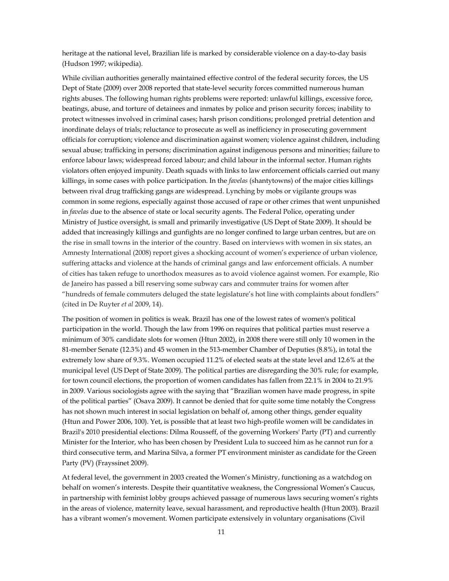heritage at the national level, Brazilian life is marked by considerable violence on a day-to-day basis (Hudson 1997; wikipedia).

While civilian authorities generally maintained effective control of the federal security forces, the US Dept of State (2009) over 2008 reported that state-level security forces committed numerous human rights abuses. The following human rights problems were reported: unlawful killings, excessive force, beatings, abuse, and torture of detainees and inmates by police and prison security forces; inability to protect witnesses involved in criminal cases; harsh prison conditions; prolonged pretrial detention and inordinate delays of trials; reluctance to prosecute as well as inefficiency in prosecuting government officials for corruption; violence and discrimination against women; violence against children, including sexual abuse; trafficking in persons; discrimination against indigenous persons and minorities; failure to enforce labour laws; widespread forced labour; and child labour in the informal sector. Human rights violators often enjoyed impunity. Death squads with links to law enforcement officials carried out many killings, in some cases with police participation. In the *favelas* (shantytowns) of the major cities killings between rival drug trafficking gangs are widespread. Lynching by mobs or vigilante groups was common in some regions, especially against those accused of rape or other crimes that went unpunished in *favelas* due to the absence of state or local security agents. The Federal Police, operating under Ministry of Justice oversight, is small and primarily investigative (US Dept of State 2009). It should be added that increasingly killings and gunfights are no longer confined to large urban centres, but are on the rise in small towns in the interior of the country. Based on interviews with women in six states, an Amnesty International (2008) report gives a shocking account of women's experience of urban violence, suffering attacks and violence at the hands of criminal gangs and law enforcement officials. A number of cities has taken refuge to unorthodox measures as to avoid violence against women. For example, Rio de Janeiro has passed a bill reserving some subway cars and commuter trains for women after "hundreds of female commuters deluged the state legislature's hot line with complaints about fondlers" (cited in De Ruyter *et al* 2009, 14).

The position of women in politics is weak. Brazil has one of the lowest rates of women's political participation in the world. Though the law from 1996 on requires that political parties must reserve a minimum of 30% candidate slots for women (Htun 2002), in 2008 there were still only 10 women in the 81-member Senate (12.3%) and 45 women in the 513-member Chamber of Deputies (8.8%), in total the extremely low share of 9.3%. Women occupied 11.2% of elected seats at the state level and 12.6% at the municipal level (US Dept of State 2009). The political parties are disregarding the 30% rule; for example, for town council elections, the proportion of women candidates has fallen from 22.1% in 2004 to 21.9% in 2009. Various sociologists agree with the saying that "Brazilian women have made progress, in spite of the political parties" (Osava 2009). It cannot be denied that for quite some time notably the Congress has not shown much interest in social legislation on behalf of, among other things, gender equality (Htun and Power 2006, 100). Yet, is possible that at least two high-profile women will be candidates in Brazil's 2010 presidential elections: Dilma Rousseff, of the governing Workers' Party (PT) and currently Minister for the Interior, who has been chosen by President Lula to succeed him as he cannot run for a third consecutive term, and Marina Silva, a former PT environment minister as candidate for the Green Party (PV) (Frayssinet 2009).

At federal level, the government in 2003 created the Women's Ministry, functioning as a watchdog on behalf on women's interests. Despite their quantitative weakness, the Congressional Women's Caucus, in partnership with feminist lobby groups achieved passage of numerous laws securing women's rights in the areas of violence, maternity leave, sexual harassment, and reproductive health (Htun 2003). Brazil has a vibrant women's movement. Women participate extensively in voluntary organisations (Civil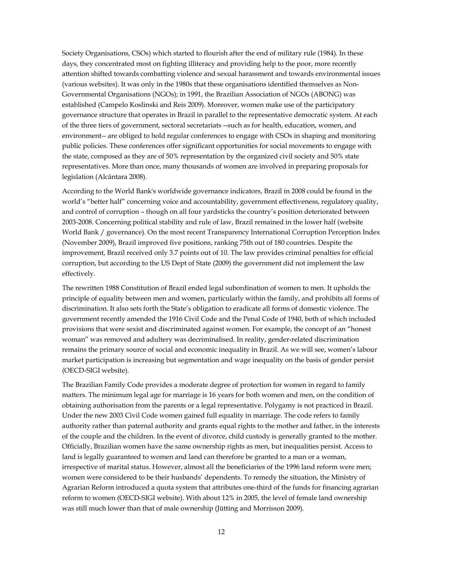Society Organisations, CSOs) which started to flourish after the end of military rule (1984). In these days, they concentrated most on fighting illiteracy and providing help to the poor, more recently attention shifted towards combatting violence and sexual harassment and towards environmental issues (various websites). It was only in the 1980s that these organisations identified themselves as Non-Governmental Organisations (NGOs); in 1991, the Brazilian Association of NGOs (ABONG) was established (Campelo Koslinski and Reis 2009). Moreover, women make use of the participatory governance structure that operates in Brazil in parallel to the representative democratic system. At each of the three tiers of government, sectoral secretariats --such as for health, education, women, and environment-- are obliged to hold regular conferences to engage with CSOs in shaping and monitoring public policies. These conferences offer significant opportunities for social movements to engage with the state, composed as they are of 50% representation by the organized civil society and 50% state representatives. More than once, many thousands of women are involved in preparing proposals for legislation (Alcântara 2008).

According to the World Bank's worldwide governance indicators, Brazil in 2008 could be found in the world's "better half" concerning voice and accountability, government effectiveness, regulatory quality, and control of corruption – though on all four yardsticks the country's position deteriorated between 2003-2008. Concerning political stability and rule of law, Brazil remained in the lower half (website World Bank / governance). On the most recent Transparency International Corruption Perception Index (November 2009), Brazil improved five positions, ranking 75th out of 180 countries. Despite the improvement, Brazil received only 3.7 points out of 10. The law provides criminal penalties for official corruption, but according to the US Dept of State (2009) the government did not implement the law effectively.

The rewritten 1988 Constitution of Brazil ended legal subordination of women to men. It upholds the principle of equality between men and women, particularly within the family, and prohibits all forms of discrimination. It also sets forth the State's obligation to eradicate all forms of domestic violence. The government recently amended the 1916 Civil Code and the Penal Code of 1940, both of which included provisions that were sexist and discriminated against women. For example, the concept of an "honest woman" was removed and adultery was decriminalised. In reality, gender-related discrimination remains the primary source of social and economic inequality in Brazil. As we will see, women's labour market participation is increasing but segmentation and wage inequality on the basis of gender persist (OECD-SIGI website).

The Brazilian Family Code provides a moderate degree of protection for women in regard to family matters. The minimum legal age for marriage is 16 years for both women and men, on the condition of obtaining authorisation from the parents or a legal representative. Polygamy is not practiced in Brazil. Under the new 2003 Civil Code women gained full equality in marriage. The code refers to family authority rather than paternal authority and grants equal rights to the mother and father, in the interests of the couple and the children. In the event of divorce, child custody is generally granted to the mother. Officially, Brazilian women have the same ownership rights as men, but inequalities persist. Access to land is legally guaranteed to women and land can therefore be granted to a man or a woman, irrespective of marital status. However, almost all the beneficiaries of the 1996 land reform were men; women were considered to be their husbands' dependents. To remedy the situation, the Ministry of Agrarian Reform introduced a quota system that attributes one-third of the funds for financing agrarian reform to women (OECD-SIGI website). With about 12% in 2005, the level of female land ownership was still much lower than that of male ownership (Jütting and Morrisson 2009).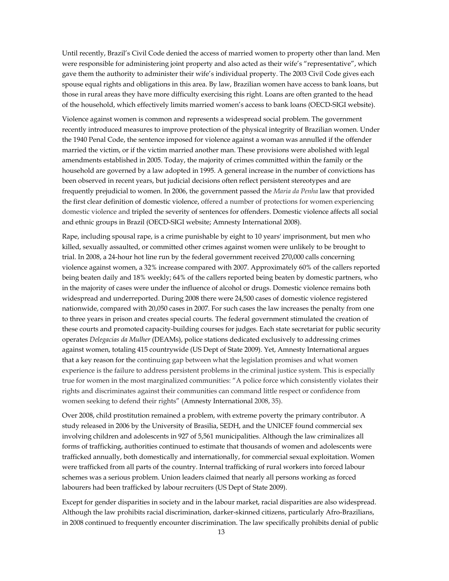Until recently, Brazil's Civil Code denied the access of married women to property other than land. Men were responsible for administering joint property and also acted as their wife's "representative", which gave them the authority to administer their wife's individual property. The 2003 Civil Code gives each spouse equal rights and obligations in this area. By law, Brazilian women have access to bank loans, but those in rural areas they have more difficulty exercising this right. Loans are often granted to the head of the household, which effectively limits married women's access to bank loans (OECD-SIGI website).

Violence against women is common and represents a widespread social problem. The government recently introduced measures to improve protection of the physical integrity of Brazilian women. Under the 1940 Penal Code, the sentence imposed for violence against a woman was annulled if the offender married the victim, or if the victim married another man. These provisions were abolished with legal amendments established in 2005. Today, the majority of crimes committed within the family or the household are governed by a law adopted in 1995. A general increase in the number of convictions has been observed in recent years, but judicial decisions often reflect persistent stereotypes and are frequently prejudicial to women. In 2006, the government passed the *Maria da Penha* law that provided the first clear definition of domestic violence, offered a number of protections for women experiencing domestic violence and tripled the severity of sentences for offenders. Domestic violence affects all social and ethnic groups in Brazil (OECD-SIGI website; Amnesty International 2008).

Rape, including spousal rape, is a crime punishable by eight to 10 years' imprisonment, but men who killed, sexually assaulted, or committed other crimes against women were unlikely to be brought to trial. In 2008, a 24-hour hot line run by the federal government received 270,000 calls concerning violence against women, a 32% increase compared with 2007. Approximately 60% of the callers reported being beaten daily and 18% weekly; 64% of the callers reported being beaten by domestic partners, who in the majority of cases were under the influence of alcohol or drugs. Domestic violence remains both widespread and underreported. During 2008 there were 24,500 cases of domestic violence registered nationwide, compared with 20,050 cases in 2007. For such cases the law increases the penalty from one to three years in prison and creates special courts. The federal government stimulated the creation of these courts and promoted capacity-building courses for judges. Each state secretariat for public security operates *Delegacias da Mulher* (DEAMs), police stations dedicated exclusively to addressing crimes against women, totaling 415 countrywide (US Dept of State 2009). Yet, Amnesty International argues that a key reason for the continuing gap between what the legislation promises and what women experience is the failure to address persistent problems in the criminal justice system. This is especially true for women in the most marginalized communities: "A police force which consistently violates their rights and discriminates against their communities can command little respect or confidence from women seeking to defend their rights" (Amnesty International 2008, 35).

Over 2008, child prostitution remained a problem, with extreme poverty the primary contributor. A study released in 2006 by the University of Brasilia, SEDH, and the UNICEF found commercial sex involving children and adolescents in 927 of 5,561 municipalities. Although the law criminalizes all forms of trafficking, authorities continued to estimate that thousands of women and adolescents were trafficked annually, both domestically and internationally, for commercial sexual exploitation. Women were trafficked from all parts of the country. Internal trafficking of rural workers into forced labour schemes was a serious problem. Union leaders claimed that nearly all persons working as forced labourers had been trafficked by labour recruiters (US Dept of State 2009).

Except for gender disparities in society and in the labour market, racial disparities are also widespread. Although the law prohibits racial discrimination, darker-skinned citizens, particularly Afro-Brazilians, in 2008 continued to frequently encounter discrimination. The law specifically prohibits denial of public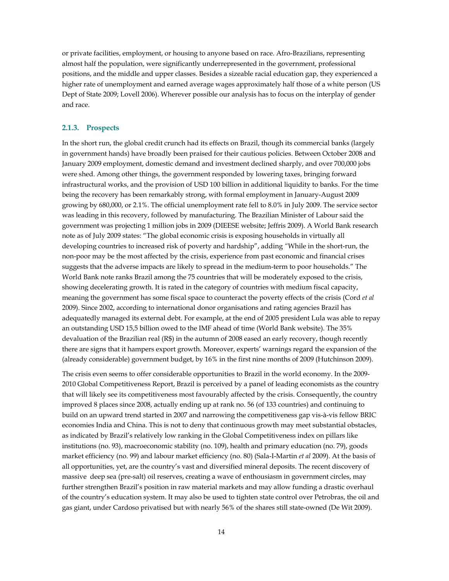or private facilities, employment, or housing to anyone based on race. Afro-Brazilians, representing almost half the population, were significantly underrepresented in the government, professional positions, and the middle and upper classes. Besides a sizeable racial education gap, they experienced a higher rate of unemployment and earned average wages approximately half those of a white person (US Dept of State 2009; Lovell 2006). Wherever possible our analysis has to focus on the interplay of gender and race.

#### **2.1.3. Prospects**

In the short run, the global credit crunch had its effects on Brazil, though its commercial banks (largely in government hands) have broadly been praised for their cautious policies. Between October 2008 and January 2009 employment, domestic demand and investment declined sharply, and over 700,000 jobs were shed. Among other things, the government responded by lowering taxes, bringing forward infrastructural works, and the provision of USD 100 billion in additional liquidity to banks. For the time being the recovery has been remarkably strong, with formal employment in January-August 2009 growing by 680,000, or 2.1%. The official unemployment rate fell to 8.0% in July 2009. The service sector was leading in this recovery, followed by manufacturing. The Brazilian Minister of Labour said the government was projecting 1 million jobs in 2009 (DIEESE website; Jeffris 2009). A World Bank research note as of July 2009 states: "The global economic crisis is exposing households in virtually all developing countries to increased risk of poverty and hardship", adding *"*While in the short-run, the non-poor may be the most affected by the crisis, experience from past economic and financial crises suggests that the adverse impacts are likely to spread in the medium-term to poor households." The World Bank note ranks Brazil among the 75 countries that will be moderately exposed to the crisis, showing decelerating growth. It is rated in the category of countries with medium fiscal capacity, meaning the government has some fiscal space to counteract the poverty effects of the crisis (Cord *et al* 2009). Since 2002, according to international donor organisations and rating agencies Brazil has adequatedly managed its external debt. For example, at the end of 2005 president Lula was able to repay an outstanding USD 15,5 billion owed to the IMF ahead of time (World Bank website). The 35% devaluation of the Brazilian real (R\$) in the autumn of 2008 eased an early recovery, though recently there are signs that it hampers export growth. Moreover, experts' warnings regard the expansion of the (already considerable) government budget, by 16% in the first nine months of 2009 (Hutchinson 2009).

The crisis even seems to offer considerable opportunities to Brazil in the world economy. In the 2009- 2010 Global Competitiveness Report, Brazil is perceived by a panel of leading economists as the country that will likely see its competitiveness most favourably affected by the crisis. Consequently, the country improved 8 places since 2008, actually ending up at rank no. 56 (of 133 countries) and continuing to build on an upward trend started in 2007 and narrowing the competitiveness gap vis-à-vis fellow BRIC economies India and China. This is not to deny that continuous growth may meet substantial obstacles, as indicated by Brazil's relatively low ranking in the Global Competitiveness index on pillars like institutions (no. 93), macroeconomic stability (no. 109), health and primary education (no. 79), goods market efficiency (no. 99) and labour market efficiency (no. 80) (Sala-I-Martin *et al* 2009). At the basis of all opportunities, yet, are the country's vast and diversified mineral deposits. The recent discovery of massive deep sea (pre-salt) oil reserves, creating a wave of enthousiasm in government circles, may further strengthen Brazil's position in raw material markets and may allow funding a drastic overhaul of the country's education system. It may also be used to tighten state control over Petrobras, the oil and gas giant, under Cardoso privatised but with nearly 56% of the shares still state-owned (De Wit 2009).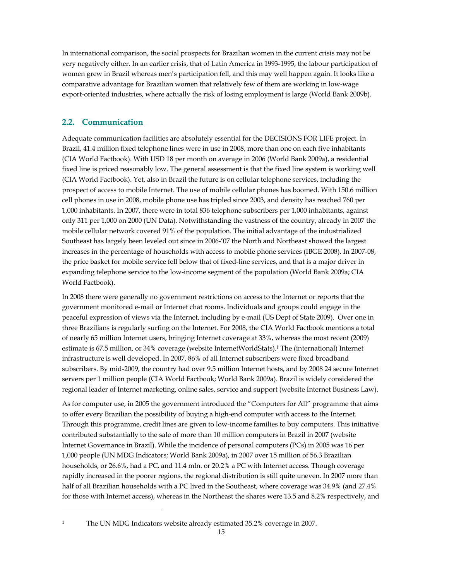In international comparison, the social prospects for Brazilian women in the current crisis may not be very negatively either. In an earlier crisis, that of Latin America in 1993-1995, the labour participation of women grew in Brazil whereas men's participation fell, and this may well happen again. It looks like a comparative advantage for Brazilian women that relatively few of them are working in low-wage export-oriented industries, where actually the risk of losing employment is large (World Bank 2009b).

### **2.2. Communication**

Adequate communication facilities are absolutely essential for the DECISIONS FOR LIFE project. In Brazil, 41.4 million fixed telephone lines were in use in 2008, more than one on each five inhabitants (CIA World Factbook). With USD 18 per month on average in 2006 (World Bank 2009a), a residential fixed line is priced reasonably low. The general assessment is that the fixed line system is working well (CIA World Factbook). Yet, also in Brazil the future is on cellular telephone services, including the prospect of access to mobile Internet. The use of mobile cellular phones has boomed. With 150.6 million cell phones in use in 2008, mobile phone use has tripled since 2003, and density has reached 760 per 1,000 inhabitants. In 2007, there were in total 836 telephone subscribers per 1,000 inhabitants, against only 311 per 1,000 on 2000 (UN Data). Notwithstanding the vastness of the country, already in 2007 the mobile cellular network covered 91% of the population. The initial advantage of the industrialized Southeast has largely been leveled out since in 2006-'07 the North and Northeast showed the largest increases in the percentage of households with access to mobile phone services (IBGE 2008). In 2007-08, the price basket for mobile service fell below that of fixed-line services, and that is a major driver in expanding telephone service to the low-income segment of the population (World Bank 2009a; CIA World Factbook).

In 2008 there were generally no government restrictions on access to the Internet or reports that the government monitored e-mail or Internet chat rooms. Individuals and groups could engage in the peaceful expression of views via the Internet, including by e-mail (US Dept of State 2009). Over one in three Brazilians is regularly surfing on the Internet. For 2008, the CIA World Factbook mentions a total of nearly 65 million Internet users, bringing Internet coverage at 33%, whereas the most recent (2009) estimate is 67.5 million, or 34% coverage (website InternetWorldStats).1 The (international) Internet infrastructure is well developed. In 2007, 86% of all Internet subscribers were fixed broadband subscribers. By mid-2009, the country had over 9.5 million Internet hosts, and by 2008 24 secure Internet servers per 1 million people (CIA World Factbook; World Bank 2009a). Brazil is widely considered the regional leader of Internet marketing, online sales, service and support (website Internet Business Law).

As for computer use, in 2005 the government introduced the "Computers for All" programme that aims to offer every Brazilian the possibility of buying a high-end computer with access to the Internet. Through this programme, credit lines are given to low-income families to buy computers. This initiative contributed substantially to the sale of more than 10 million computers in Brazil in 2007 (website Internet Governance in Brazil). While the incidence of personal computers (PCs) in 2005 was 16 per 1,000 people (UN MDG Indicators; World Bank 2009a), in 2007 over 15 million of 56.3 Brazilian households, or 26.6%, had a PC, and 11.4 mln. or 20.2% a PC with Internet access. Though coverage rapidly increased in the poorer regions, the regional distribution is still quite uneven. In 2007 more than half of all Brazilian households with a PC lived in the Southeast, where coverage was 34.9% (and 27.4% for those with Internet access), whereas in the Northeast the shares were 13.5 and 8.2% respectively, and

1

<sup>&</sup>lt;sup>1</sup> The UN MDG Indicators website already estimated 35.2% coverage in 2007.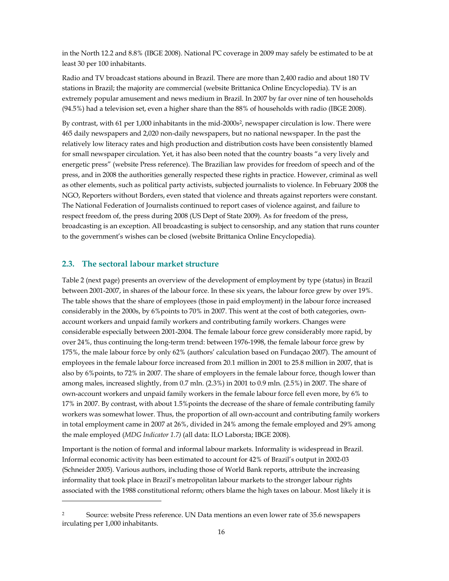in the North 12.2 and 8.8% (IBGE 2008). National PC coverage in 2009 may safely be estimated to be at least 30 per 100 inhabitants.

Radio and TV broadcast stations abound in Brazil. There are more than 2,400 radio and about 180 TV stations in Brazil; the majority are commercial (website Brittanica Online Encyclopedia). TV is an extremely popular amusement and news medium in Brazil. In 2007 by far over nine of ten households (94.5%) had a television set, even a higher share than the 88% of households with radio (IBGE 2008).

By contrast, with 61 per 1,000 inhabitants in the mid-2000s<sup>2</sup>, newspaper circulation is low. There were 465 daily newspapers and 2,020 non-daily newspapers, but no national newspaper. In the past the relatively low literacy rates and high production and distribution costs have been consistently blamed for small newspaper circulation. Yet, it has also been noted that the country boasts "a very lively and energetic press" (website Press reference). The Brazilian law provides for freedom of speech and of the press, and in 2008 the authorities generally respected these rights in practice. However, criminal as well as other elements, such as political party activists, subjected journalists to violence. In February 2008 the NGO, Reporters without Borders, even stated that violence and threats against reporters were constant. The National Federation of Journalists continued to report cases of violence against, and failure to respect freedom of, the press during 2008 (US Dept of State 2009). As for freedom of the press, broadcasting is an exception. All broadcasting is subject to censorship, and any station that runs counter to the government's wishes can be closed (website Brittanica Online Encyclopedia).

### **2.3. The sectoral labour market structure**

1

Table 2 (next page) presents an overview of the development of employment by type (status) in Brazil between 2001-2007, in shares of the labour force. In these six years, the labour force grew by over 19%. The table shows that the share of employees (those in paid employment) in the labour force increased considerably in the 2000s, by 6%points to 70% in 2007. This went at the cost of both categories, ownaccount workers and unpaid family workers and contributing family workers. Changes were considerable especially between 2001-2004. The female labour force grew considerably more rapid, by over 24%, thus continuing the long-term trend: between 1976-1998, the female labour force grew by 175%, the male labour force by only 62% (authors' calculation based on Fundaçao 2007). The amount of employees in the female labour force increased from 20.1 million in 2001 to 25.8 million in 2007, that is also by 6%points, to 72% in 2007. The share of employers in the female labour force, though lower than among males, increased slightly, from 0.7 mln. (2.3%) in 2001 to 0.9 mln. (2.5%) in 2007. The share of own-account workers and unpaid family workers in the female labour force fell even more, by 6% to 17% in 2007. By contrast, with about 1.5%points the decrease of the share of female contributing family workers was somewhat lower. Thus, the proportion of all own-account and contributing family workers in total employment came in 2007 at 26%, divided in 24% among the female employed and 29% among the male employed (*MDG Indicator 1.7)* (all data: ILO Laborsta; IBGE 2008).

Important is the notion of formal and informal labour markets. Informality is widespread in Brazil. Informal economic activity has been estimated to account for 42% of Brazil's output in 2002-03 (Schneider 2005). Various authors, including those of World Bank reports, attribute the increasing informality that took place in Brazil's metropolitan labour markets to the stronger labour rights associated with the 1988 constitutional reform; others blame the high taxes on labour. Most likely it is

<sup>2</sup> Source: website Press reference. UN Data mentions an even lower rate of 35.6 newspapers irculating per 1,000 inhabitants.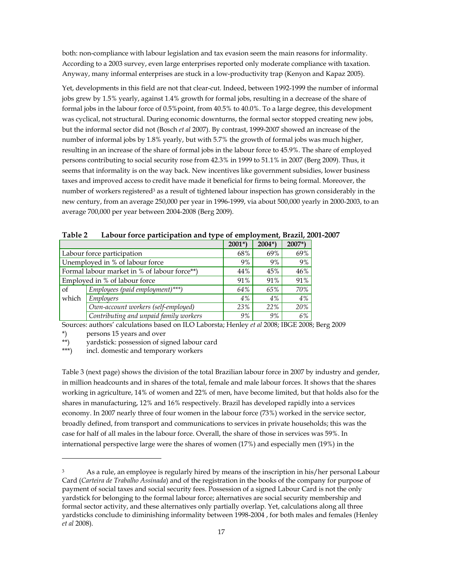both: non-compliance with labour legislation and tax evasion seem the main reasons for informality. According to a 2003 survey, even large enterprises reported only moderate compliance with taxation. Anyway, many informal enterprises are stuck in a low-productivity trap (Kenyon and Kapaz 2005).

Yet, developments in this field are not that clear-cut. Indeed, between 1992-1999 the number of informal jobs grew by 1.5% yearly, against 1.4% growth for formal jobs, resulting in a decrease of the share of formal jobs in the labour force of 0.5%point, from 40.5% to 40.0%. To a large degree, this development was cyclical, not structural. During economic downturns, the formal sector stopped creating new jobs, but the informal sector did not (Bosch *et al* 2007). By contrast, 1999-2007 showed an increase of the number of informal jobs by 1.8% yearly, but with 5.7% the growth of formal jobs was much higher, resulting in an increase of the share of formal jobs in the labour force to 45.9%. The share of employed persons contributing to social security rose from 42.3% in 1999 to 51.1% in 2007 (Berg 2009). Thus, it seems that informality is on the way back. New incentives like government subsidies, lower business taxes and improved access to credit have made it beneficial for firms to being formal. Moreover, the number of workers registered<sup>3</sup> as a result of tightened labour inspection has grown considerably in the new century, from an average 250,000 per year in 1996-1999, via about 500,000 yearly in 2000-2003, to an average 700,000 per year between 2004-2008 (Berg 2009).

|                               |                                              | $2001*)$ | $2004*)$ | $2007*)$ |
|-------------------------------|----------------------------------------------|----------|----------|----------|
|                               | Labour force participation                   | 68%      | 69%      | 69%      |
|                               | Unemployed in % of labour force              | 9%       | 9%       | 9%       |
|                               | Formal labour market in % of labour force**) | 44%      | 45%      | 46%      |
| Employed in % of labour force |                                              |          | 91%      | 91%      |
| of                            | Employees (paid employment)***)              | 64%      | 65%      | 70%      |
| which                         | Employers                                    | 4%       | 4%       | 4%       |
|                               | Own-account workers (self-employed)          | 23%      | 22%      | 20%      |
|                               | Contributing and unpaid family workers       | 9%       | 9%       | 6%       |

**Table 2 Labour force participation and type of employment, Brazil, 2001-2007** 

Sources: authors' calculations based on ILO Laborsta; Henley *et al* 2008; IBGE 2008; Berg 2009

\*) persons 15 years and over

1

\*\*) yardstick: possession of signed labour card<br>\*\*\*) incl. domestic and temporary workers

incl. domestic and temporary workers

Table 3 (next page) shows the division of the total Brazilian labour force in 2007 by industry and gender, in million headcounts and in shares of the total, female and male labour forces. It shows that the shares working in agriculture, 14% of women and 22% of men, have become limited, but that holds also for the shares in manufacturing, 12% and 16% respectively. Brazil has developed rapidly into a services economy. In 2007 nearly three of four women in the labour force (73%) worked in the service sector, broadly defined, from transport and communications to services in private households; this was the case for half of all males in the labour force. Overall, the share of those in services was 59%. In international perspective large were the shares of women (17%) and especially men (19%) in the

<sup>&</sup>lt;sup>3</sup> As a rule, an employee is regularly hired by means of the inscription in his/her personal Labour Card (*Carteira de Trabalho Assinada*) and of the registration in the books of the company for purpose of payment of social taxes and social security fees. Possession of a signed Labour Card is not the only yardstick for belonging to the formal labour force; alternatives are social security membership and formal sector activity, and these alternatives only partially overlap. Yet, calculations along all three yardsticks conclude to diminishing informality between 1998-2004 , for both males and females (Henley *et al* 2008).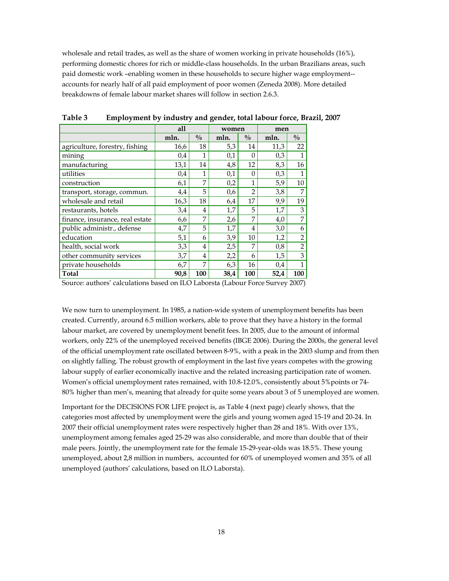wholesale and retail trades, as well as the share of women working in private households (16%), performing domestic chores for rich or middle-class households. In the urban Brazilians areas, such paid domestic work –enabling women in these households to secure higher wage employment- accounts for nearly half of all paid employment of poor women (Zeneda 2008). More detailed breakdowns of female labour market shares will follow in section 2.6.3.

|                                 | all  |               | women |                | men  |                |  |
|---------------------------------|------|---------------|-------|----------------|------|----------------|--|
|                                 | mln. | $\frac{0}{0}$ | mln.  | $\frac{0}{0}$  | mln. | $\frac{0}{0}$  |  |
| agriculture, forestry, fishing  | 16,6 | 18            | 5,3   | 14             | 11,3 | 22             |  |
| mining                          | 0,4  | 1             | 0,1   | 0              | 0,3  | $\mathbf{1}$   |  |
| manufacturing                   | 13,1 | 14            | 4,8   | 12             | 8,3  | 16             |  |
| utilities                       | 0.4  | 1             | 0,1   | $\Omega$       | 0,3  | $\mathbf{1}$   |  |
| construction                    | 6,1  | 7             | 0,2   | 1              | 5,9  | 10             |  |
| transport, storage, commun.     | 4,4  | 5             | 0,6   | $\mathfrak{D}$ | 3,8  | 7              |  |
| wholesale and retail            | 16,3 | 18            | 6,4   | 17             | 9,9  | 19             |  |
| restaurants, hotels             | 3.4  | 4             | 1,7   | 5              | 1,7  | 3              |  |
| finance, insurance, real estate | 6,6  | 7             | 2,6   | 7              | 4,0  | 7              |  |
| public administr., defense      | 4,7  | 5             | 1,7   | 4              | 3,0  | 6              |  |
| education                       | 5,1  | 6             | 3,9   | 10             | 1,2  | $\overline{2}$ |  |
| health, social work             | 3,3  | 4             | 2,5   | 7              | 0,8  | $\overline{2}$ |  |
| other community services        | 3,7  | 4             | 2,2   | 6              | 1,5  | 3              |  |
| private households              | 6,7  | 7             | 6,3   | 16             | 0,4  | 1              |  |
| Total                           | 90,8 | 100           | 38,4  | 100            | 52,4 | 100            |  |

**Table 3 Employment by industry and gender, total labour force, Brazil, 2007** 

Source: authors' calculations based on ILO Laborsta (Labour Force Survey 2007)

We now turn to unemployment. In 1985, a nation-wide system of unemployment benefits has been created. Currently, around 6.5 million workers, able to prove that they have a history in the formal labour market, are covered by unemployment benefit fees. In 2005, due to the amount of informal workers, only 22% of the unemployed received benefits (IBGE 2006). During the 2000s, the general level of the official unemployment rate oscillated between 8-9%, with a peak in the 2003 slump and from then on slightly falling. The robust growth of employment in the last five years competes with the growing labour supply of earlier economically inactive and the related increasing participation rate of women. Women's official unemployment rates remained, with 10.8-12.0%, consistently about 5%points or 74- 80% higher than men's, meaning that already for quite some years about 3 of 5 unemployed are women.

Important for the DECISIONS FOR LIFE project is, as Table 4 (next page) clearly shows, that the categories most affected by unemployment were the girls and young women aged 15-19 and 20-24. In 2007 their official unemployment rates were respectively higher than 28 and 18%. With over 13%, unemployment among females aged 25-29 was also considerable, and more than double that of their male peers. Jointly, the unemployment rate for the female 15-29-year-olds was 18.5%. These young unemployed, about 2,8 million in numbers, accounted for 60% of unemployed women and 35% of all unemployed (authors' calculations, based on ILO Laborsta).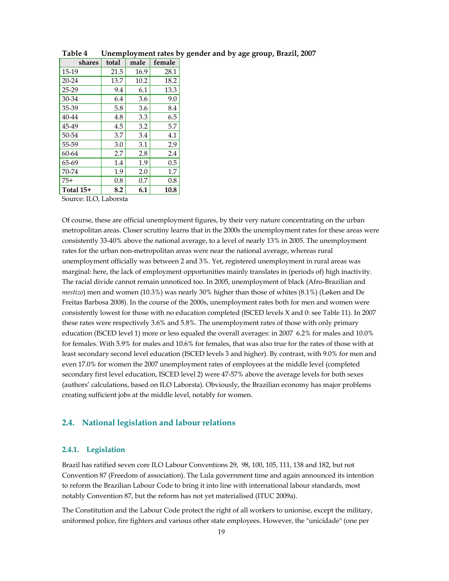| shares                                                                 | total | male | female |
|------------------------------------------------------------------------|-------|------|--------|
| 15-19                                                                  | 21.5  | 16.9 | 28.1   |
| 20-24                                                                  | 13.7  | 10.2 | 18.2   |
| 25-29                                                                  | 9.4   | 6.1  | 13.3   |
| 30-34                                                                  | 6.4   | 3.6  | 9.0    |
| 35-39                                                                  | 5.8   | 3.6  | 8.4    |
| 40-44                                                                  | 4.8   | 3.3  | 6.5    |
| 45-49                                                                  | 4.5   | 3.2  | 5.7    |
| 50-54                                                                  | 3.7   | 3.4  | 4.1    |
| 55-59                                                                  | 3.0   | 3.1  | 2.9    |
| 60-64                                                                  | 2.7   | 2.8  | 2.4    |
| 65-69                                                                  | 1.4   | 1.9  | 0.5    |
| 70-74                                                                  | 1.9   | 2.0  | 1.7    |
| $75+$                                                                  | 0.8   | 0.7  | 0.8    |
| Total 15+                                                              | 8.2   | 6.1  | 10.8   |
| $C_{\text{source}}$ . If $\bigcap_{i=1}^{n}$ I all $\bigcap_{i=1}^{n}$ |       |      |        |

**Table 4 Unemployment rates by gender and by age group, Brazil, 2007**

Source: ILO, Laborsta

Of course, these are official unemployment figures, by their very nature concentrating on the urban metropolitan areas. Closer scrutiny learns that in the 2000s the unemployment rates for these areas were consistently 33-40% above the national average, to a level of nearly 13% in 2005. The unemployment rates for the urban non-metropolitan areas were near the national average, whereas rural unemployment officially was between 2 and 3%. Yet, registered unemployment in rural areas was marginal: here, the lack of employment opportunities mainly translates in (periods of) high inactivity. The racial divide cannot remain unnoticed too. In 2005, unemployment of black (Afro-Brazilian and *mestizo*) men and women (10.3%) was nearly 30% higher than those of whites (8.1%) (Løken and De Freitas Barbosa 2008). In the course of the 2000s, unemployment rates both for men and women were consistently lowest for those with no education completed (ISCED levels X and 0: see Table 11). In 2007 these rates were respectively 3.6% and 5.8%. The unemployment rates of those with only primary education (ISCED level 1) more or less equaled the overall averages: in 2007 6.2% for males and 10.0% for females. With 5.9% for males and 10.6% for females, that was also true for the rates of those with at least secondary second level education (ISCED levels 3 and higher). By contrast, with 9.0% for men and even 17.0% for women the 2007 unemployment rates of employees at the middle level (completed secondary first level education, ISCED level 2) were 47-57% above the average levels for both sexes (authors' calculations, based on ILO Laborsta). Obviously, the Brazilian economy has major problems creating sufficient jobs at the middle level, notably for women.

#### **2.4. National legislation and labour relations**

#### **2.4.1. Legislation**

Brazil has ratified seven core ILO Labour Conventions 29, 98, 100, 105, 111, 138 and 182, but not Convention 87 (Freedom of association). The Lula government time and again announced its intention to reform the Brazilian Labour Code to bring it into line with international labour standards, most notably Convention 87, but the reform has not yet materialised (ITUC 2009a).

The Constitution and the Labour Code protect the right of all workers to unionise, except the military, uniformed police, fire fighters and various other state employees. However, the "unicidade" (one per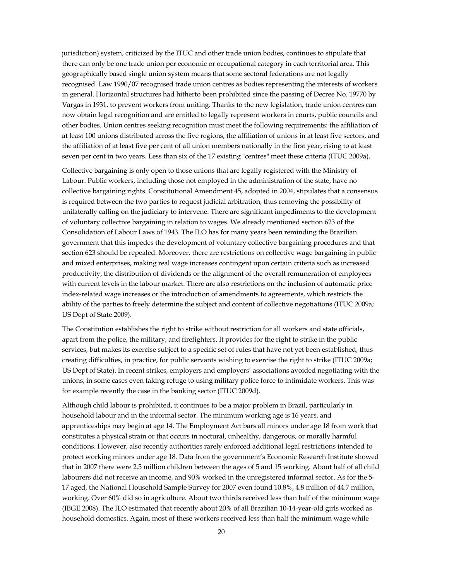jurisdiction) system, criticized by the ITUC and other trade union bodies, continues to stipulate that there can only be one trade union per economic or occupational category in each territorial area. This geographically based single union system means that some sectoral federations are not legally recognised. Law 1990/07 recognised trade union centres as bodies representing the interests of workers in general. Horizontal structures had hitherto been prohibited since the passing of Decree No. 19770 by Vargas in 1931, to prevent workers from uniting. Thanks to the new legislation, trade union centres can now obtain legal recognition and are entitled to legally represent workers in courts, public councils and other bodies. Union centres seeking recognition must meet the following requirements: the affiliation of at least 100 unions distributed across the five regions, the affiliation of unions in at least five sectors, and the affiliation of at least five per cent of all union members nationally in the first year, rising to at least seven per cent in two years. Less than six of the 17 existing "centres" meet these criteria (ITUC 2009a).

Collective bargaining is only open to those unions that are legally registered with the Ministry of Labour. Public workers, including those not employed in the administration of the state, have no collective bargaining rights. Constitutional Amendment 45, adopted in 2004, stipulates that a consensus is required between the two parties to request judicial arbitration, thus removing the possibility of unilaterally calling on the judiciary to intervene. There are significant impediments to the development of voluntary collective bargaining in relation to wages. We already mentioned section 623 of the Consolidation of Labour Laws of 1943. The ILO has for many years been reminding the Brazilian government that this impedes the development of voluntary collective bargaining procedures and that section 623 should be repealed. Moreover, there are restrictions on collective wage bargaining in public and mixed enterprises, making real wage increases contingent upon certain criteria such as increased productivity, the distribution of dividends or the alignment of the overall remuneration of employees with current levels in the labour market. There are also restrictions on the inclusion of automatic price index-related wage increases or the introduction of amendments to agreements, which restricts the ability of the parties to freely determine the subject and content of collective negotiations (ITUC 2009a; US Dept of State 2009).

The Constitution establishes the right to strike without restriction for all workers and state officials, apart from the police, the military, and firefighters. It provides for the right to strike in the public services, but makes its exercise subject to a specific set of rules that have not yet been established, thus creating difficulties, in practice, for public servants wishing to exercise the right to strike (ITUC 2009a; US Dept of State). In recent strikes, employers and employers' associations avoided negotiating with the unions, in some cases even taking refuge to using military police force to intimidate workers. This was for example recently the case in the banking sector (ITUC 2009d).

Although child labour is prohibited, it continues to be a major problem in Brazil, particularly in household labour and in the informal sector. The minimum working age is 16 years, and apprenticeships may begin at age 14. The Employment Act bars all minors under age 18 from work that constitutes a physical strain or that occurs in noctural, unhealthy, dangerous, or morally harmful conditions. However, also recently authorities rarely enforced additional legal restrictions intended to protect working minors under age 18. Data from the government's Economic Research Institute showed that in 2007 there were 2.5 million children between the ages of 5 and 15 working. About half of all child labourers did not receive an income, and 90% worked in the unregistered informal sector. As for the 5- 17 aged, the National Household Sample Survey for 2007 even found 10.8%, 4.8 million of 44.7 million, working. Over 60% did so in agriculture. About two thirds received less than half of the minimum wage (IBGE 2008). The ILO estimated that recently about 20% of all Brazilian 10-14-year-old girls worked as household domestics. Again, most of these workers received less than half the minimum wage while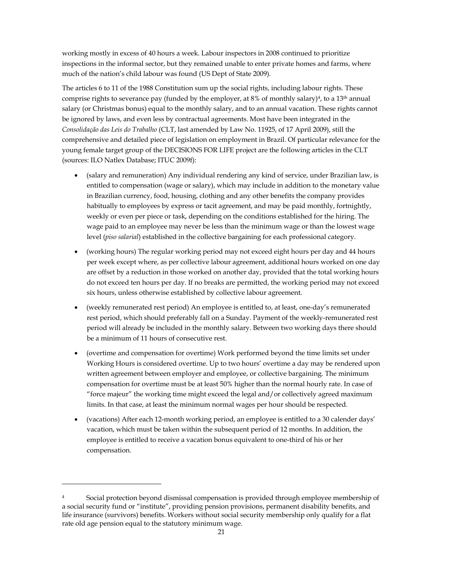working mostly in excess of 40 hours a week. Labour inspectors in 2008 continued to prioritize inspections in the informal sector, but they remained unable to enter private homes and farms, where much of the nation's child labour was found (US Dept of State 2009).

The articles 6 to 11 of the 1988 Constitution sum up the social rights, including labour rights. These comprise rights to severance pay (funded by the employer, at  $8\%$  of monthly salary)<sup>4</sup>, to a 13<sup>th</sup> annual salary (or Christmas bonus) equal to the monthly salary, and to an annual vacation. These rights cannot be ignored by laws, and even less by contractual agreements. Most have been integrated in the *Consolidação das Leis do Trabalho* (CLT, last amended by Law No. 11925, of 17 April 2009), still the comprehensive and detailed piece of legislation on employment in Brazil. Of particular relevance for the young female target group of the DECISIONS FOR LIFE project are the following articles in the CLT (sources: ILO Natlex Database; ITUC 2009f):

- (salary and remuneration) Any individual rendering any kind of service, under Brazilian law, is entitled to compensation (wage or salary), which may include in addition to the monetary value in Brazilian currency, food, housing, clothing and any other benefits the company provides habitually to employees by express or tacit agreement, and may be paid monthly, fortnightly, weekly or even per piece or task, depending on the conditions established for the hiring. The wage paid to an employee may never be less than the minimum wage or than the lowest wage level (*piso salarial*) established in the collective bargaining for each professional category.
- (working hours) The regular working period may not exceed eight hours per day and 44 hours per week except where, as per collective labour agreement, additional hours worked on one day are offset by a reduction in those worked on another day, provided that the total working hours do not exceed ten hours per day. If no breaks are permitted, the working period may not exceed six hours, unless otherwise established by collective labour agreement.
- (weekly remunerated rest period) An employee is entitled to, at least, one-day's remunerated rest period, which should preferably fall on a Sunday. Payment of the weekly-remunerated rest period will already be included in the monthly salary. Between two working days there should be a minimum of 11 hours of consecutive rest.
- (overtime and compensation for overtime) Work performed beyond the time limits set under Working Hours is considered overtime. Up to two hours' overtime a day may be rendered upon written agreement between employer and employee, or collective bargaining. The minimum compensation for overtime must be at least 50% higher than the normal hourly rate. In case of "force majeur" the working time might exceed the legal and/or collectively agreed maximum limits. In that case, at least the minimum normal wages per hour should be respected.
- (vacations) After each 12-month working period, an employee is entitled to a 30 calender days' vacation, which must be taken within the subsequent period of 12 months. In addition, the employee is entitled to receive a vacation bonus equivalent to one-third of his or her compensation.

-

<sup>4</sup> Social protection beyond dismissal compensation is provided through employee membership of a social security fund or "institute", providing pension provisions, permanent disability benefits, and life insurance (survivors) benefits. Workers without social security membership only qualify for a flat rate old age pension equal to the statutory minimum wage.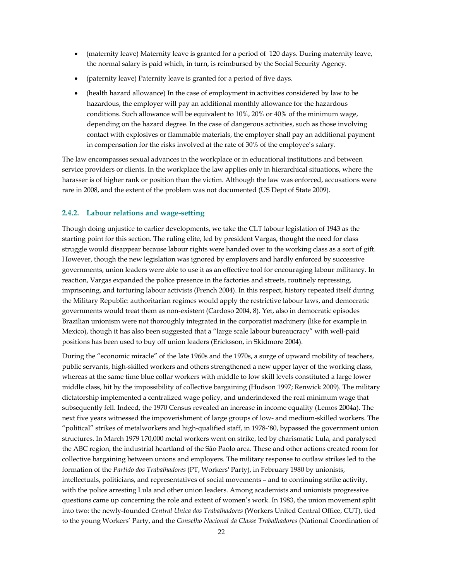- (maternity leave) Maternity leave is granted for a period of 120 days. During maternity leave, the normal salary is paid which, in turn, is reimbursed by the Social Security Agency.
- (paternity leave) Paternity leave is granted for a period of five days.
- (health hazard allowance) In the case of employment in activities considered by law to be hazardous, the employer will pay an additional monthly allowance for the hazardous conditions. Such allowance will be equivalent to 10%, 20% or 40% of the minimum wage, depending on the hazard degree. In the case of dangerous activities, such as those involving contact with explosives or flammable materials, the employer shall pay an additional payment in compensation for the risks involved at the rate of 30% of the employee's salary.

The law encompasses sexual advances in the workplace or in educational institutions and between service providers or clients. In the workplace the law applies only in hierarchical situations, where the harasser is of higher rank or position than the victim. Although the law was enforced, accusations were rare in 2008, and the extent of the problem was not documented (US Dept of State 2009).

#### **2.4.2. Labour relations and wage-setting**

Though doing unjustice to earlier developments, we take the CLT labour legislation of 1943 as the starting point for this section. The ruling elite, led by president Vargas, thought the need for class struggle would disappear because labour rights were handed over to the working class as a sort of gift. However, though the new legislation was ignored by employers and hardly enforced by successive governments, union leaders were able to use it as an effective tool for encouraging labour militancy. In reaction, Vargas expanded the police presence in the factories and streets, routinely repressing, imprisoning, and torturing labour activists (French 2004). In this respect, history repeated itself during the Military Republic: authoritarian regimes would apply the restrictive labour laws, and democratic governments would treat them as non-existent (Cardoso 2004, 8). Yet, also in democratic episodes Brazilian unionism were not thoroughly integrated in the corporatist machinery (like for example in Mexico), though it has also been suggested that a "large scale labour bureaucracy" with well-paid positions has been used to buy off union leaders (Ericksson, in Skidmore 2004).

During the "economic miracle" of the late 1960s and the 1970s, a surge of upward mobility of teachers, public servants, high-skilled workers and others strengthened a new upper layer of the working class, whereas at the same time blue collar workers with middle to low skill levels constituted a large lower middle class, hit by the impossibility of collective bargaining (Hudson 1997; Renwick 2009). The military dictatorship implemented a centralized wage policy, and underindexed the real minimum wage that subsequently fell. Indeed, the 1970 Census revealed an increase in income equality (Lemos 2004a). The next five years witnessed the impoverishment of large groups of low- and medium-skilled workers. The "political" strikes of metalworkers and high-qualified staff, in 1978-'80, bypassed the government union structures. In March 1979 170,000 metal workers went on strike, led by charismatic Lula, and paralysed the ABC region, the industrial heartland of the São Paolo area. These and other actions created room for collective bargaining between unions and employers. The military response to outlaw strikes led to the formation of the *Partido dos Trabalhadores* (PT, Workers' Party), in February 1980 by unionists, intellectuals, politicians, and representatives of social movements – and to continuing strike activity, with the police arresting Lula and other union leaders. Among academists and unionists progressive questions came up concerning the role and extent of women's work. In 1983, the union movement split into two: the newly-founded *Central Unica dos Trabalhadores* (Workers United Central Office, CUT), tied to the young Workers' Party, and the *Conselho Nacional da Classe Trabalhadores* (National Coordination of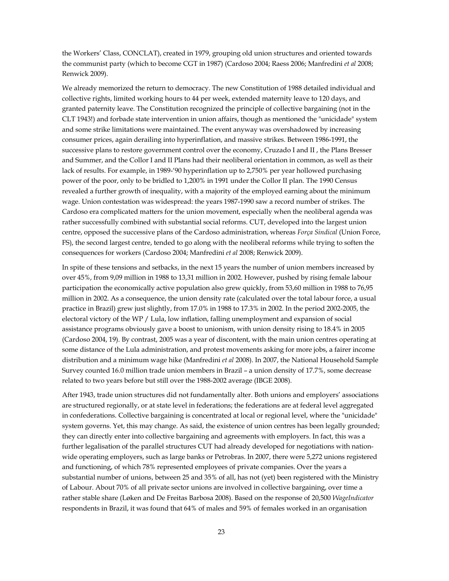the Workers' Class, CONCLAT), created in 1979, grouping old union structures and oriented towards the communist party (which to become CGT in 1987) (Cardoso 2004; Raess 2006; Manfredini *et al* 2008; Renwick 2009).

We already memorized the return to democracy. The new Constitution of 1988 detailed individual and collective rights, limited working hours to 44 per week, extended maternity leave to 120 days, and granted paternity leave. The Constitution recognized the principle of collective bargaining (not in the CLT 1943!) and forbade state intervention in union affairs, though as mentioned the "unicidade" system and some strike limitations were maintained. The event anyway was overshadowed by increasing consumer prices, again derailing into hyperinflation, and massive strikes. Between 1986-1991, the successive plans to restore government control over the economy, Cruzado I and II , the Plans Bresser and Summer, and the Collor I and II Plans had their neoliberal orientation in common, as well as their lack of results. For example, in 1989-'90 hyperinflation up to 2,750% per year hollowed purchasing power of the poor, only to be bridled to 1,200% in 1991 under the Collor II plan. The 1990 Census revealed a further growth of inequality, with a majority of the employed earning about the minimum wage. Union contestation was widespread: the years 1987-1990 saw a record number of strikes. The Cardoso era complicated matters for the union movement, especially when the neoliberal agenda was rather successfully combined with substantial social reforms. CUT, developed into the largest union centre, opposed the successive plans of the Cardoso administration, whereas *Força Sindical* (Union Force, FS), the second largest centre, tended to go along with the neoliberal reforms while trying to soften the consequences for workers (Cardoso 2004; Manfredini *et al* 2008; Renwick 2009).

In spite of these tensions and setbacks, in the next 15 years the number of union members increased by over 45%, from 9,09 million in 1988 to 13,31 million in 2002. However, pushed by rising female labour participation the economically active population also grew quickly, from 53,60 million in 1988 to 76,95 million in 2002. As a consequence, the union density rate (calculated over the total labour force, a usual practice in Brazil) grew just slightly, from 17.0% in 1988 to 17.3% in 2002. In the period 2002-2005, the electoral victory of the WP / Lula, low inflation, falling unemployment and expansion of social assistance programs obviously gave a boost to unionism, with union density rising to 18.4% in 2005 (Cardoso 2004, 19). By contrast, 2005 was a year of discontent, with the main union centres operating at some distance of the Lula administration, and protest movements asking for more jobs, a fairer income distribution and a minimum wage hike (Manfredini *et al* 2008). In 2007, the National Household Sample Survey counted 16.0 million trade union members in Brazil – a union density of 17.7%, some decrease related to two years before but still over the 1988-2002 average (IBGE 2008).

After 1943, trade union structures did not fundamentally alter. Both unions and employers' associations are structured regionally, or at state level in federations; the federations are at federal level aggregated in confederations. Collective bargaining is concentrated at local or regional level, where the "unicidade" system governs. Yet, this may change. As said, the existence of union centres has been legally grounded; they can directly enter into collective bargaining and agreements with employers. In fact, this was a further legalisation of the parallel structures CUT had already developed for negotiations with nationwide operating employers, such as large banks or Petrobras. In 2007, there were 5,272 unions registered and functioning, of which 78% represented employees of private companies. Over the years a substantial number of unions, between 25 and 35% of all, has not (yet) been registered with the Ministry of Labour. About 70% of all private sector unions are involved in collective bargaining, over time a rather stable share (Løken and De Freitas Barbosa 2008). Based on the response of 20,500 *WageIndicator* respondents in Brazil, it was found that 64% of males and 59% of females worked in an organisation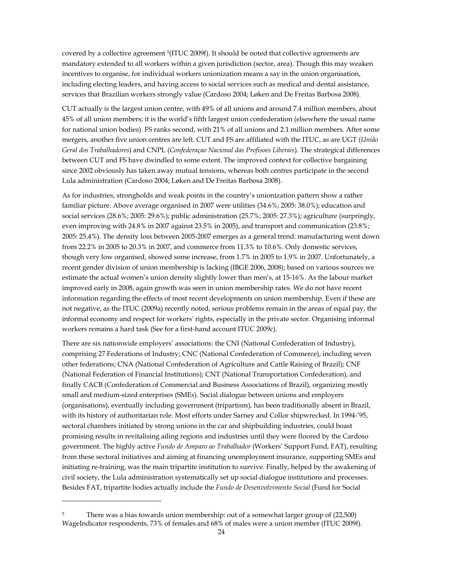covered by a collective agreement 5(ITUC 2009f). It should be noted that collective agreements are mandatory extended to all workers within a given jurisdiction (sector, area). Though this may weaken incentives to organise, for individual workers unionization means a say in the union organisation, including electing leaders, and having access to social services such as medical and dental assistance, services that Brazilian workers strongly value (Cardoso 2004; Løken and De Freitas Barbosa 2008).

CUT actually is the largest union centre, with 49% of all unions and around 7.4 million members, about 45% of all union members; it is the world's fifth largest union confederation (elsewhere the usual name for national union bodies). FS ranks second, with 21% of all unions and 2.1 million members. After some mergers, another five union centres are left. CUT and FS are affiliated with the ITUC, as are UGT (*União Geral dos Trabalhadores*) and CNPL (*Confederaçao Nacional das Profisoes Liberais*). The strategical differences between CUT and FS have dwindled to some extent. The improved context for collective bargaining since 2002 obviously has taken away mutual tensions, whereas both centres participate in the second Lula administration (Cardoso 2004; Løken and De Freitas Barbosa 2008).

As for industries, strongholds and weak points in the country's unionization pattern show a rather familiar picture. Above average organised in 2007 were utilities (34.6%; 2005: 38.0%); education and social services (28.6%; 2005: 29.6%); public administration (25.7%; 2005: 27.3%); agriculture (surpringly, even improving with 24.8% in 2007 against 23.5% in 2005), and transport and communication (23.8%; 2005: 25.4%). The density loss between 2005-2007 emerges as a general trend: manufacturing went down from 22.2% in 2005 to 20.3% in 2007, and commerce from 11.3% to 10.6%. Only domestic services, though very low organised, showed some increase, from 1.7% in 2005 to 1.9% in 2007. Unfortunately, a recent gender division of union membership is lacking (IBGE 2006, 2008); based on various sources we estimate the actual women's union density slightly lower than men's, at 15-16%. As the labour market improved early in 2008, again growth was seen in union membership rates. We do not have recent information regarding the effects of most recent developments on union membership. Even if these are not negative, as the ITUC (2009a) recently noted, serious problems remain in the areas of equal pay, the informal economy and respect for workers' rights, especially in the private sector. Organising informal workers remains a hard task (See for a first-hand account ITUC 2009c).

There are six nationwide employers' associations: the CNI (National Confederation of Industry), comprising 27 Federations of Industry; CNC (National Confederation of Commerce), including seven other federations; CNA (National Confederation of Agriculture and Cattle Raising of Brazil); CNF (National Federation of Financial Institutions); CNT (National Transportation Confederation), and finally CACB (Confederation of Commercial and Business Associations of Brazil), organizing mostly small and medium-sized enterprises (SMEs). Social dialogue between unions and employers (organisations), eventually including government (tripartism), has been traditionally absent in Brazil, with its history of authoritarian role. Most efforts under Sarney and Collor shipwrecked. In 1994-'95, sectoral chambers initiated by strong unions in the car and shipbuilding industries, could boast promising results in revitalising ailing regions and industries until they were floored by the Cardoso government. The highly active *Fundo de Amparo ao Trabalhador* (Workers' Support Fund, FAT), resulting from these sectoral initiatives and aiming at financing unemployment insurance, supporting SMEs and initiating re-training, was the main tripartite institution to survive. Finally, helped by the awakening of civil society, the Lula administration systematically set up social dialogue institutions and processes. Besides FAT, tripartite bodies actually include the *Fundo de Desenvolvimento Social* (Fund for Social

1

<sup>&</sup>lt;sup>5</sup> There was a bias towards union membership: out of a somewhat larger group of (22,500) WageIndicator respondents, 73% of females and 68% of males were a union member (ITUC 2009f).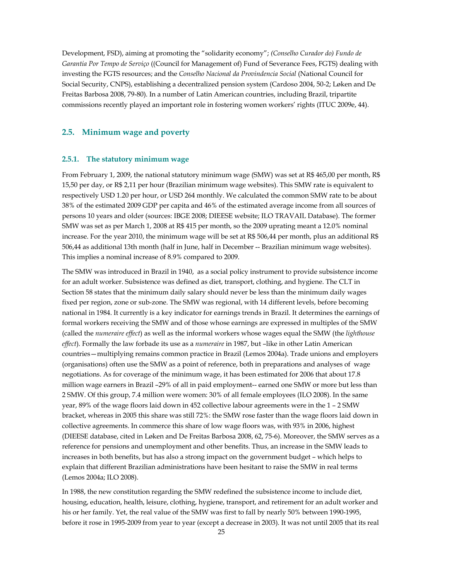Development, FSD), aiming at promoting the "solidarity economy"; *(Conselho Curador do) Fundo de Garantia Por Tempo de Serviço* ((Council for Management of) Fund of Severance Fees, FGTS) dealing with investing the FGTS resources; and the *Conselho Nacional da Provindencia Social* (National Council for Social Security, CNPS), establishing a decentralized pension system (Cardoso 2004, 50-2; Løken and De Freitas Barbosa 2008, 79-80). In a number of Latin American countries, including Brazil, tripartite commissions recently played an important role in fostering women workers' rights (ITUC 2009e, 44).

#### **2.5. Minimum wage and poverty**

#### **2.5.1. The statutory minimum wage**

From February 1, 2009, the national statutory minimum wage (SMW) was set at R\$ 465,00 per month, R\$ 15,50 per day, or R\$ 2,11 per hour (Brazilian minimum wage websites). This SMW rate is equivalent to respectively USD 1.20 per hour, or USD 264 monthly. We calculated the common SMW rate to be about 38% of the estimated 2009 GDP per capita and 46% of the estimated average income from all sources of persons 10 years and older (sources: IBGE 2008; DIEESE website; ILO TRAVAIL Database). The former SMW was set as per March 1, 2008 at R\$ 415 per month, so the 2009 uprating meant a 12.0% nominal increase. For the year 2010, the minimum wage will be set at R\$ 506,44 per month, plus an additional R\$ 506,44 as additional 13th month (half in June, half in December -- Brazilian minimum wage websites). This implies a nominal increase of 8.9% compared to 2009.

The SMW was introduced in Brazil in 1940, as a social policy instrument to provide subsistence income for an adult worker. Subsistence was defined as diet, transport, clothing, and hygiene. The CLT in Section 58 states that the minimum daily salary should never be less than the minimum daily wages fixed per region, zone or sub-zone. The SMW was regional, with 14 different levels, before becoming national in 1984. It currently is a key indicator for earnings trends in Brazil. It determines the earnings of formal workers receiving the SMW and of those whose earnings are expressed in multiples of the SMW (called the *numeraire effect*) as well as the informal workers whose wages equal the SMW (the *lighthouse effect*). Formally the law forbade its use as a *numeraire* in 1987, but –like in other Latin American countries—multiplying remains common practice in Brazil (Lemos 2004a). Trade unions and employers (organisations) often use the SMW as a point of reference, both in preparations and analyses of wage negotiations. As for coverage of the minimum wage, it has been estimated for 2006 that about 17.8 million wage earners in Brazil –29% of all in paid employment-- earned one SMW or more but less than 2 SMW. Of this group, 7.4 million were women: 30% of all female employees (ILO 2008). In the same year, 89% of the wage floors laid down in 452 collective labour agreements were in the 1 – 2 SMW bracket, whereas in 2005 this share was still 72%: the SMW rose faster than the wage floors laid down in collective agreements. In commerce this share of low wage floors was, with 93% in 2006, highest (DIEESE database, cited in Løken and De Freitas Barbosa 2008, 62, 75-6). Moreover, the SMW serves as a reference for pensions and unemployment and other benefits. Thus, an increase in the SMW leads to increases in both benefits, but has also a strong impact on the government budget – which helps to explain that different Brazilian administrations have been hesitant to raise the SMW in real terms (Lemos 2004a; ILO 2008).

In 1988, the new constitution regarding the SMW redefined the subsistence income to include diet, housing, education, health, leisure, clothing, hygiene, transport, and retirement for an adult worker and his or her family. Yet, the real value of the SMW was first to fall by nearly 50% between 1990-1995, before it rose in 1995-2009 from year to year (except a decrease in 2003). It was not until 2005 that its real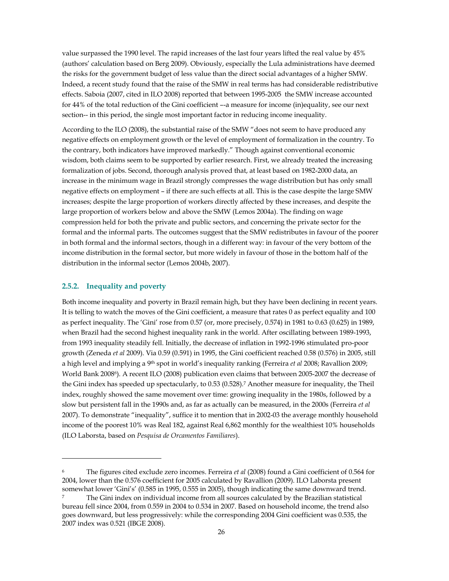value surpassed the 1990 level. The rapid increases of the last four years lifted the real value by 45% (authors' calculation based on Berg 2009). Obviously, especially the Lula administrations have deemed the risks for the government budget of less value than the direct social advantages of a higher SMW. Indeed, a recent study found that the raise of the SMW in real terms has had considerable redistributive effects. Saboia (2007, cited in ILO 2008) reported that between 1995-2005 the SMW increase accounted for 44% of the total reduction of the Gini coefficient –-a measure for income (in)equality, see our next section-- in this period, the single most important factor in reducing income inequality.

According to the ILO (2008), the substantial raise of the SMW "does not seem to have produced any negative effects on employment growth or the level of employment of formalization in the country. To the contrary, both indicators have improved markedly." Though against conventional economic wisdom, both claims seem to be supported by earlier research. First, we already treated the increasing formalization of jobs. Second, thorough analysis proved that, at least based on 1982-2000 data, an increase in the minimum wage in Brazil strongly compresses the wage distribution but has only small negative effects on employment – if there are such effects at all. This is the case despite the large SMW increases; despite the large proportion of workers directly affected by these increases, and despite the large proportion of workers below and above the SMW (Lemos 2004a). The finding on wage compression held for both the private and public sectors, and concerning the private sector for the formal and the informal parts. The outcomes suggest that the SMW redistributes in favour of the poorer in both formal and the informal sectors, though in a different way: in favour of the very bottom of the income distribution in the formal sector, but more widely in favour of those in the bottom half of the distribution in the informal sector (Lemos 2004b, 2007).

#### **2.5.2. Inequality and poverty**

1

Both income inequality and poverty in Brazil remain high, but they have been declining in recent years. It is telling to watch the moves of the Gini coefficient, a measure that rates 0 as perfect equality and 100 as perfect inequality. The 'Gini' rose from 0.57 (or, more precisely, 0.574) in 1981 to 0.63 (0.625) in 1989, when Brazil had the second highest inequality rank in the world. After oscillating between 1989-1993, from 1993 inequality steadily fell. Initially, the decrease of inflation in 1992-1996 stimulated pro-poor growth (Zeneda *et al* 2009). Via 0.59 (0.591) in 1995, the Gini coefficient reached 0.58 (0.576) in 2005, still a high level and implying a 9th spot in world's inequality ranking (Ferreira *et al* 2008; Ravallion 2009; World Bank 20086). A recent ILO (2008) publication even claims that between 2005-2007 the decrease of the Gini index has speeded up spectacularly, to 0.53 (0.528).7 Another measure for inequality, the Theil index, roughly showed the same movement over time: growing inequality in the 1980s, followed by a slow but persistent fall in the 1990s and, as far as actually can be measured, in the 2000s (Ferreira *et al* 2007). To demonstrate "inequality", suffice it to mention that in 2002-03 the average monthly household income of the poorest 10% was Real 182, against Real 6,862 monthly for the wealthiest 10% households (ILO Laborsta, based on *Pesquisa de Orcamentos Familiares*).

<sup>6</sup> The figures cited exclude zero incomes. Ferreira *et al* (2008) found a Gini coefficient of 0.564 for 2004, lower than the 0.576 coefficient for 2005 calculated by Ravallion (2009). ILO Laborsta present somewhat lower 'Gini's' (0.585 in 1995, 0.555 in 2005), though indicating the same downward trend.

<sup>7</sup> The Gini index on individual income from all sources calculated by the Brazilian statistical bureau fell since 2004, from 0.559 in 2004 to 0.534 in 2007. Based on household income, the trend also goes downward, but less progressively: while the corresponding 2004 Gini coefficient was 0.535, the 2007 index was 0.521 (IBGE 2008).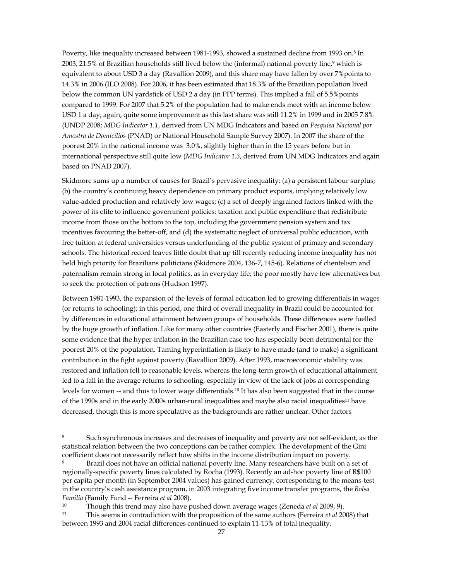Poverty, like inequality increased between 1981-1993, showed a sustained decline from 1993 on.8 In 2003, 21.5% of Brazilian households still lived below the (informal) national poverty line,9 which is equivalent to about USD 3 a day (Ravallion 2009), and this share may have fallen by over 7%points to 14.3% in 2006 (ILO 2008). For 2006, it has been estimated that 18.3% of the Brazilian population lived below the common UN yardstick of USD 2 a day (in PPP terms). This implied a fall of 5.5%points compared to 1999. For 2007 that 5.2% of the population had to make ends meet with an income below USD 1 a day; again, quite some improvement as this last share was still 11.2% in 1999 and in 2005 7.8% (UNDP 2008; *MDG Indicator 1.1*, derived from UN MDG Indicators and based on *Pesquisa Nacional por Amostra de Domicílios* (PNAD) or National Household Sample Survey 2007). In 2007 the share of the poorest 20% in the national income was 3.0%, slightly higher than in the 15 years before but in international perspective still quite low (*MDG Indicator 1.3*, derived from UN MDG Indicators and again based on PNAD 2007).

Skidmore sums up a number of causes for Brazil's pervasive inequality: (a) a persistent labour surplus; (b) the country's continuing heavy dependence on primary product exports, implying relatively low value-added production and relatively low wages; (c) a set of deeply ingrained factors linked with the power of its elite to influence government policies: taxation and public expenditure that redistribute income from those on the bottom to the top, including the government pension system and tax incentives favouring the better-off, and (d) the systematic neglect of universal public education, with free tuition at federal universities versus underfunding of the public system of primary and secondary schools. The historical record leaves little doubt that up till recently reducing income inequality has not held high priority for Brazilians politicians (Skidmore 2004, 136-7, 145-6). Relations of clientelism and paternalism remain strong in local politics, as in everyday life; the poor mostly have few alternatives but to seek the protection of patrons (Hudson 1997).

Between 1981-1993, the expansion of the levels of formal education led to growing differentials in wages (or returns to schooling); in this period, one third of overall inequality in Brazil could be accounted for by differences in educational attainment between groups of households. These differences were fuelled by the huge growth of inflation. Like for many other countries (Easterly and Fischer 2001), there is quite some evidence that the hyper-inflation in the Brazilian case too has especially been detrimental for the poorest 20% of the population. Taming hyperinflation is likely to have made (and to make) a significant contribution in the fight against poverty (Ravallion 2009). After 1993, macroeconomic stability was restored and inflation fell to reasonable levels, whereas the long-term growth of educational attainment led to a fall in the average returns to schooling, especially in view of the lack of jobs at corresponding levels for women -- and thus to lower wage differentials.10 It has also been suggested that in the course of the 1990s and in the early 2000s urban-rural inequalities and maybe also racial inequalities11 have decreased, though this is more speculative as the backgrounds are rather unclear. Other factors

1

Such synchronous increases and decreases of inequality and poverty are not self-evident, as the statistical relation between the two conceptions can be rather complex. The development of the Gini coefficient does not necessarily reflect how shifts in the income distribution impact on poverty.<br><sup>9</sup> Brazil does not have an official national poverty line. Many researchers have built on a set of

regionally-specific poverty lines calculated by Rocha (1993). Recently an ad-hoc poverty line of R\$100 per capita per month (in September 2004 values) has gained currency, corresponding to the means-test in the country's cash assistance program, in 2003 integrating five income transfer programs, the *Bolsa Familia* (Family Fund -- Ferreira *et al* 2008).<br><sup>10</sup> Though this trend may also have pushed down average wages (Zeneda *et al* 2009, 9).<br><sup>11</sup> This seems in contradiction with the proposition of the same authors (Ferreira

between 1993 and 2004 racial differences continued to explain 11-13% of total inequality.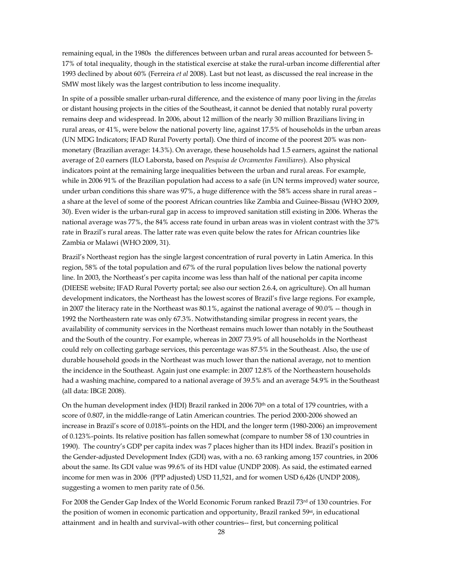remaining equal, in the 1980s the differences between urban and rural areas accounted for between 5- 17% of total inequality, though in the statistical exercise at stake the rural-urban income differential after 1993 declined by about 60% (Ferreira *et al* 2008). Last but not least, as discussed the real increase in the SMW most likely was the largest contribution to less income inequality.

In spite of a possible smaller urban-rural difference, and the existence of many poor living in the *favelas* or distant housing projects in the cities of the Southeast, it cannot be denied that notably rural poverty remains deep and widespread. In 2006, about 12 million of the nearly 30 million Brazilians living in rural areas, or 41%, were below the national poverty line, against 17.5% of households in the urban areas (UN MDG Indicators; IFAD Rural Poverty portal). One third of income of the poorest 20% was nonmonetary (Brazilian average: 14.3%). On average, these households had 1.5 earners, against the national average of 2.0 earners (ILO Laborsta, based on *Pesquisa de Orcamentos Familiares*). Also physical indicators point at the remaining large inequalities between the urban and rural areas. For example, while in 2006 91% of the Brazilian population had access to a safe (in UN terms improved) water source, under urban conditions this share was 97%, a huge difference with the 58% access share in rural areas – a share at the level of some of the poorest African countries like Zambia and Guinee-Bissau (WHO 2009, 30). Even wider is the urban-rural gap in access to improved sanitation still existing in 2006. Wheras the national average was 77%, the 84% access rate found in urban areas was in violent contrast with the 37% rate in Brazil's rural areas. The latter rate was even quite below the rates for African countries like Zambia or Malawi (WHO 2009, 31).

Brazil's Northeast region has the single largest concentration of rural poverty in Latin America. In this region, 58% of the total population and 67% of the rural population lives below the national poverty line. In 2003, the Northeast's per capita income was less than half of the national per capita income (DIEESE website; IFAD Rural Poverty portal; see also our section 2.6.4, on agriculture). On all human development indicators, the Northeast has the lowest scores of Brazil's five large regions. For example, in 2007 the literacy rate in the Northeast was 80.1%, against the national average of 90.0% -- though in 1992 the Northeastern rate was only 67.3%. Notwithstanding similar progress in recent years, the availability of community services in the Northeast remains much lower than notably in the Southeast and the South of the country. For example, whereas in 2007 73.9% of all households in the Northeast could rely on collecting garbage services, this percentage was 87.5% in the Southeast. Also, the use of durable household goods in the Northeast was much lower than the national average, not to mention the incidence in the Southeast. Again just one example: in 2007 12.8% of the Northeastern households had a washing machine, compared to a national average of 39.5% and an average 54.9% in the Southeast (all data: IBGE 2008).

On the human development index (HDI) Brazil ranked in 2006 70<sup>th</sup> on a total of 179 countries, with a score of 0.807, in the middle-range of Latin American countries. The period 2000-2006 showed an increase in Brazil's score of 0.018%-points on the HDI, and the longer term (1980-2006) an improvement of 0.123%-points. Its relative position has fallen somewhat (compare to number 58 of 130 countries in 1990). The country's GDP per capita index was 7 places higher than its HDI index. Brazil's position in the Gender-adjusted Development Index (GDI) was, with a no. 63 ranking among 157 countries, in 2006 about the same. Its GDI value was 99.6% of its HDI value (UNDP 2008). As said, the estimated earned income for men was in 2006 (PPP adjusted) USD 11,521, and for women USD 6,426 (UNDP 2008), suggesting a women to men parity rate of 0.56.

For 2008 the Gender Gap Index of the World Economic Forum ranked Brazil 73rd of 130 countries. For the position of women in economic partication and opportunity, Brazil ranked 59<sup>st</sup>, in educational attainment and in health and survival–with other countries-- first, but concerning political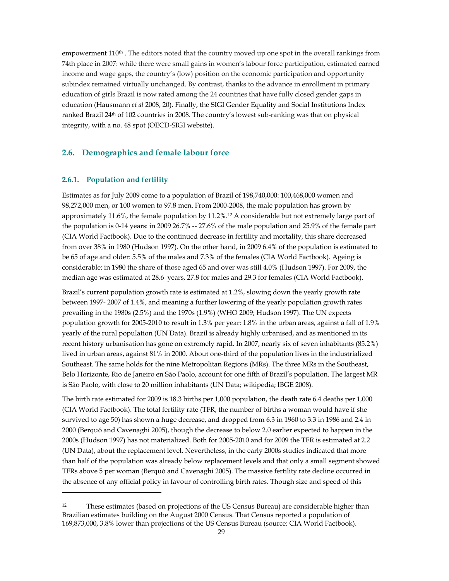empowerment 110<sup>th</sup>. The editors noted that the country moved up one spot in the overall rankings from 74th place in 2007: while there were small gains in women's labour force participation, estimated earned income and wage gaps, the country's (low) position on the economic participation and opportunity subindex remained virtually unchanged. By contrast, thanks to the advance in enrollment in primary education of girls Brazil is now rated among the 24 countries that have fully closed gender gaps in education (Hausmann *et al* 2008, 20). Finally, the SIGI Gender Equality and Social Institutions Index ranked Brazil 24th of 102 countries in 2008. The country's lowest sub-ranking was that on physical integrity, with a no. 48 spot (OECD-SIGI website).

# **2.6. Demographics and female labour force**

#### **2.6.1. Population and fertility**

1

Estimates as for July 2009 come to a population of Brazil of 198,740,000: 100,468,000 women and 98,272,000 men, or 100 women to 97.8 men. From 2000-2008, the male population has grown by approximately 11.6%, the female population by 11.2%.12 A considerable but not extremely large part of the population is 0-14 years: in 2009 26.7% -- 27.6% of the male population and 25.9% of the female part (CIA World Factbook). Due to the continued decrease in fertility and mortality, this share decreased from over 38% in 1980 (Hudson 1997). On the other hand, in 2009 6.4% of the population is estimated to be 65 of age and older: 5.5% of the males and 7.3% of the females (CIA World Factbook). Ageing is considerable: in 1980 the share of those aged 65 and over was still 4.0% (Hudson 1997). For 2009, the median age was estimated at 28.6 years, 27.8 for males and 29.3 for females (CIA World Factbook).

Brazil's current population growth rate is estimated at 1.2%, slowing down the yearly growth rate between 1997- 2007 of 1.4%, and meaning a further lowering of the yearly population growth rates prevailing in the 1980s (2.5%) and the 1970s (1.9%) (WHO 2009; Hudson 1997). The UN expects population growth for 2005-2010 to result in 1.3% per year: 1.8% in the urban areas, against a fall of 1.9% yearly of the rural population (UN Data). Brazil is already highly urbanised, and as mentioned in its recent history urbanisation has gone on extremely rapid. In 2007, nearly six of seven inhabitants (85.2%) lived in urban areas, against 81% in 2000. About one-third of the population lives in the industrialized Southeast. The same holds for the nine Metropolitan Regions (MRs). The three MRs in the Southeast, Belo Horizonte, Rio de Janeiro en Sâo Paolo, account for one fifth of Brazil's population. The largest MR is Sâo Paolo, with close to 20 million inhabitants (UN Data; wikipedia; IBGE 2008).

The birth rate estimated for 2009 is 18.3 births per 1,000 population, the death rate 6.4 deaths per 1,000 (CIA World Factbook). The total fertility rate (TFR, the number of births a woman would have if she survived to age 50) has shown a huge decrease, and dropped from 6.3 in 1960 to 3.3 in 1986 and 2.4 in 2000 (Berquó and Cavenaghi 2005), though the decrease to below 2.0 earlier expected to happen in the 2000s (Hudson 1997) has not materialized. Both for 2005-2010 and for 2009 the TFR is estimated at 2.2 (UN Data), about the replacement level. Nevertheless, in the early 2000s studies indicated that more than half of the population was already below replacement levels and that only a small segment showed TFRs above 5 per woman (Berquó and Cavenaghi 2005). The massive fertility rate decline occurred in the absence of any official policy in favour of controlling birth rates. Though size and speed of this

<sup>12</sup> These estimates (based on projections of the US Census Bureau) are considerable higher than Brazilian estimates building on the August 2000 Census. That Census reported a population of 169,873,000, 3.8% lower than projections of the US Census Bureau (source: CIA World Factbook).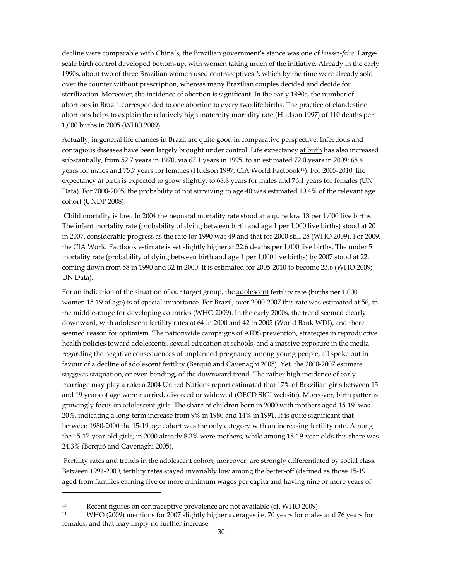decline were comparable with China's, the Brazilian government's stance was one of *laissez-faire*. Largescale birth control developed bottom-up, with women taking much of the initiative. Already in the early 1990s, about two of three Brazilian women used contraceptives13, which by the time were already sold over the counter without prescription, whereas many Brazilian couples decided and decide for sterilization. Moreover, the incidence of abortion is significant. In the early 1990s, the number of abortions in Brazil corresponded to one abortion to every two life births. The practice of clandestine abortions helps to explain the relatively high maternity mortality rate (Hudson 1997) of 110 deaths per 1,000 births in 2005 (WHO 2009).

Actually, in general life chances in Brazil are quite good in comparative perspective. Infectious and contagious diseases have been largely brought under control. Life expectancy at birth has also increased substantially, from 52.7 years in 1970, via 67.1 years in 1995, to an estimated 72.0 years in 2009: 68.4 years for males and 75.7 years for females (Hudson 1997; CIA World Factbook<sup>14</sup>). For 2005-2010 life expectancy at birth is expected to grow slightly, to 68.8 years for males and 76.1 years for females (UN Data). For 2000-2005, the probability of not surviving to age 40 was estimated 10.4% of the relevant age cohort (UNDP 2008).

 Child mortality is low. In 2004 the neonatal mortality rate stood at a quite low 13 per 1,000 live births. The infant mortality rate (probability of dying between birth and age 1 per 1,000 live births) stood at 20 in 2007, considerable progress as the rate for 1990 was 49 and that for 2000 still 28 (WHO 2009). For 2009, the CIA World Factbook estimate is set slightly higher at 22.6 deaths per 1,000 live births. The under 5 mortality rate (probability of dying between birth and age 1 per 1,000 live births) by 2007 stood at 22, coming down from 58 in 1990 and 32 in 2000. It is estimated for 2005-2010 to become 23.6 (WHO 2009; UN Data).

For an indication of the situation of our target group, the adolescent fertility rate (births per 1,000 women 15-19 of age) is of special importance. For Brazil, over 2000-2007 this rate was estimated at 56, in the middle-range for developing countries (WHO 2009). In the early 2000s, the trend seemed clearly downward, with adolescent fertility rates at 64 in 2000 and 42 in 2005 (World Bank WDI), and there seemed reason for optimism. The nationwide campaigns of AIDS prevention, strategies in reproductive health policies toward adolescents, sexual education at schools, and a massive exposure in the media regarding the negative consequences of unplanned pregnancy among young people, all spoke out in favour of a decline of adolescent fertility (Berquó and Cavenaghi 2005). Yet, the 2000-2007 estimate suggests stagnation, or even bending, of the downward trend. The rather high incidence of early marriage may play a role: a 2004 United Nations report estimated that 17% of Brazilian girls between 15 and 19 years of age were married, divorced or widowed (OECD SIGI website). Moreover, birth patterns growingly focus on adolescent girls. The share of children born in 2000 with mothers aged 15-19 was 20%, indicating a long-term increase from 9% in 1980 and 14% in 1991. It is quite significant that between 1980-2000 the 15-19 age cohort was the only category with an increasing fertility rate. Among the 15-17-year-old girls, in 2000 already 8.3% were mothers, while among 18-19-year-olds this share was 24.3% (Berquó and Cavenaghi 2005).

 Fertility rates and trends in the adolescent cohort, moreover, are strongly differentiated by social class. Between 1991-2000, fertility rates stayed invariably low among the better-off (defined as those 15-19 aged from families earning five or more minimum wages per capita and having nine or more years of

1

<sup>13</sup> Recent figures on contraceptive prevalence are not available (cf. WHO 2009).

<sup>14</sup> WHO (2009) mentions for 2007 slightly higher averages i.e. 70 years for males and 76 years for females, and that may imply no further increase.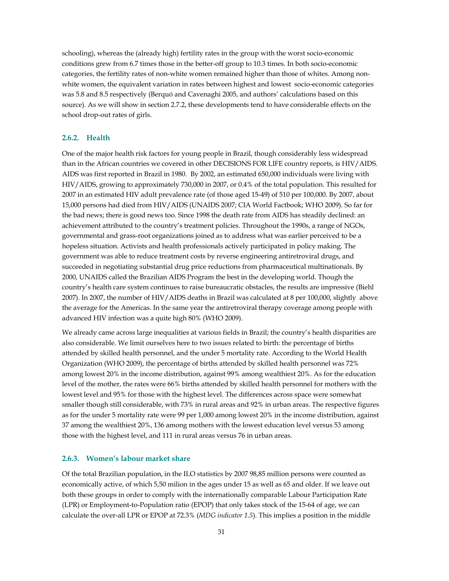schooling), whereas the (already high) fertility rates in the group with the worst socio-economic conditions grew from 6.7 times those in the better-off group to 10.3 times. In both socio-economic categories, the fertility rates of non-white women remained higher than those of whites. Among nonwhite women, the equivalent variation in rates between highest and lowest socio-economic categories was 5.8 and 8.5 respectively (Berquó and Cavenaghi 2005, and authors' calculations based on this source). As we will show in section 2.7.2, these developments tend to have considerable effects on the school drop-out rates of girls.

#### **2.6.2. Health**

One of the major health risk factors for young people in Brazil, though considerably less widespread than in the African countries we covered in other DECISIONS FOR LIFE country reports, is HIV/AIDS. AIDS was first reported in Brazil in 1980. By 2002, an estimated 650,000 individuals were living with HIV/AIDS, growing to approximately 730,000 in 2007, or 0.4% of the total population. This resulted for 2007 in an estimated HIV adult prevalence rate (of those aged 15-49) of 510 per 100,000. By 2007, about 15,000 persons had died from HIV/AIDS (UNAIDS 2007; CIA World Factbook; WHO 2009). So far for the bad news; there is good news too. Since 1998 the death rate from AIDS has steadily declined: an achievement attributed to the country's treatment policies. Throughout the 1990s, a range of NGOs, governmental and grass-root organizations joined as to address what was earlier perceived to be a hopeless situation. Activists and health professionals actively participated in policy making. The government was able to reduce treatment costs by reverse engineering antiretroviral drugs, and succeeded in negotiating substantial drug price reductions from pharmaceutical multinationals. By 2000, UNAIDS called the Brazilian AIDS Program the best in the developing world. Though the country's health care system continues to raise bureaucratic obstacles, the results are impressive (Biehl 2007). In 2007, the number of HIV/AIDS deaths in Brazil was calculated at 8 per 100,000, slightly above the average for the Americas. In the same year the antiretroviral therapy coverage among people with advanced HIV infection was a quite high 80% (WHO 2009).

We already came across large inequalities at various fields in Brazil; the country's health disparities are also considerable. We limit ourselves here to two issues related to birth: the percentage of births attended by skilled health personnel, and the under 5 mortality rate. According to the World Health Organization (WHO 2009), the percentage of births attended by skilled health personnel was 72% among lowest 20% in the income distribution, against 99% among wealthiest 20%. As for the education level of the mother, the rates were 66% births attended by skilled health personnel for mothers with the lowest level and 95% for those with the highest level. The differences across space were somewhat smaller though still considerable, with 73% in rural areas and 92% in urban areas. The respective figures as for the under 5 mortality rate were 99 per 1,000 among lowest 20% in the income distribution, against 37 among the wealthiest 20%, 136 among mothers with the lowest education level versus 53 among those with the highest level, and 111 in rural areas versus 76 in urban areas.

#### **2.6.3. Women's labour market share**

Of the total Brazilian population, in the ILO statistics by 2007 98,85 million persons were counted as economically active, of which 5,50 milion in the ages under 15 as well as 65 and older. If we leave out both these groups in order to comply with the internationally comparable Labour Participation Rate (LPR) or Employment-to-Population ratio (EPOP) that only takes stock of the 15-64 of age, we can calculate the over-all LPR or EPOP at 72.3% (*MDG indicator 1.5*). This implies a position in the middle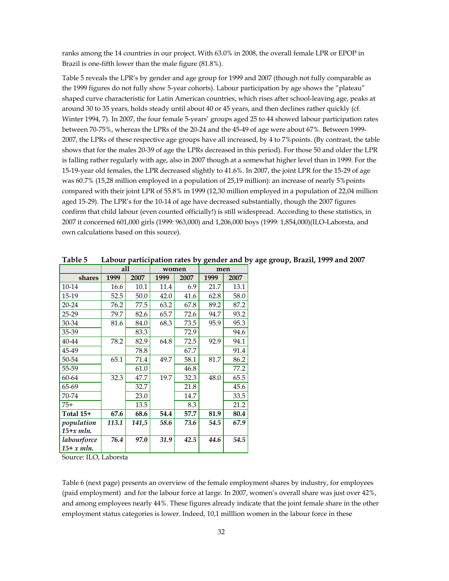ranks among the 14 countries in our project. With 63.0% in 2008, the overall female LPR or EPOP in Brazil is one-fifth lower than the male figure (81.8%).

Table 5 reveals the LPR's by gender and age group for 1999 and 2007 (though not fully comparable as the 1999 figures do not fully show 5-year cohorts). Labour participation by age shows the "plateau" shaped curve characteristic for Latin American countries, which rises after school-leaving age, peaks at around 30 to 35 years, holds steady until about 40 or 45 years, and then declines rather quickly (cf. Winter 1994, 7). In 2007, the four female 5-years' groups aged 25 to 44 showed labour participation rates between 70-75%, whereas the LPRs of the 20-24 and the 45-49 of age were about 67%. Between 1999- 2007, the LPRs of these respective age groups have all increased, by 4 to 7%points. (By contrast, the table shows that for the males 20-39 of age the LPRs decreased in this period). For those 50 and older the LPR is falling rather regularly with age, also in 2007 though at a somewhat higher level than in 1999. For the 15-19-year old females, the LPR decreased slightly to 41.6%. In 2007, the joint LPR for the 15-29 of age was 60.7% (15,28 million employed in a population of 25,19 million): an increase of nearly 5%points compared with their joint LPR of 55.8% in 1999 (12,30 million employed in a population of 22,04 million aged 15-29). The LPR's for the 10-14 of age have decreased substantially, though the 2007 figures confirm that child labour (even counted officially!) is still widespread. According to these statistics, in 2007 it concerned 601,000 girls (1999: 963,000) and 1,206,000 boys (1999: 1,854,000)(ILO-Laborsta, and own calculations based on this source).

|                            | all          |       | women |      | o<br>men |      |  |
|----------------------------|--------------|-------|-------|------|----------|------|--|
| shares                     | 1999<br>2007 |       | 1999  | 2007 | 1999     | 2007 |  |
| 10-14                      | 16.6         | 10.1  | 11.4  | 6.9  | 21.7     | 13.1 |  |
| 15-19                      | 52.5         | 50.0  | 42.0  | 41.6 | 62.8     | 58.0 |  |
| 20-24                      | 76.2         | 77.5  | 63.2  | 67.8 | 89.2     | 87.2 |  |
| 25-29                      | 79.7         | 82.6  | 65.7  | 72.6 | 94.7     | 93.2 |  |
| 30-34                      | 81.6         | 84.0  | 68.3  | 73.5 | 95.9     | 95.3 |  |
| 35-39                      |              | 83.3  |       | 72.9 |          | 94.6 |  |
| 40-44                      | 78.2         | 82.9  | 64.8  | 72.5 | 92.9     | 94.1 |  |
| 45-49                      |              | 78.8  |       | 67.7 |          | 91.4 |  |
| 50-54                      | 65.1         | 71.4  | 49.7  | 58.1 | 81.7     | 86.2 |  |
| 55-59                      |              | 61.0  |       | 46.8 |          | 77.2 |  |
| 60-64                      | 32.3         | 47.7  | 19.7  | 32.3 | 48.0     | 65.5 |  |
| 65-69                      |              | 32.7  |       | 21.8 |          | 45.6 |  |
| 70-74                      |              | 23.0  |       | 14.7 |          | 33.5 |  |
| $75+$                      |              | 13.5  |       | 8.3  |          | 21.2 |  |
| Total 15+                  | 67.6         | 68.6  | 54.4  | 57.7 | 81.9     | 80.4 |  |
| population                 | 113.1        | 141,5 | 58.6  | 73.6 | 54.5     | 67.9 |  |
| $15+x$ mln.                |              |       |       |      |          |      |  |
| labourforce<br>$15+x$ mln. | 76.4         | 97.0  | 31.9  | 42.5 | 44.6     | 54.5 |  |

**Table 5 Labour participation rates by gender and by age group, Brazil, 1999 and 2007**

Source: ILO, Laborsta

Table 6 (next page) presents an overview of the female employment shares by industry, for employees (paid employment) and for the labour force at large. In 2007, women's overall share was just over 42%, and among employees nearly 44%. These figures already indicate that the joint female share in the other employment status categories is lower. Indeed, 10,1 milllion women in the labour force in these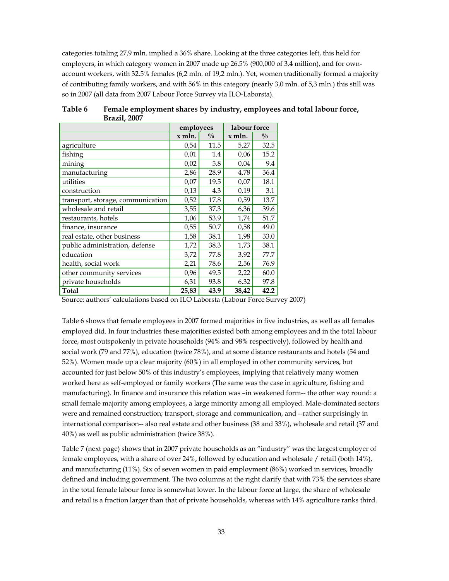categories totaling 27,9 mln. implied a 36% share. Looking at the three categories left, this held for employers, in which category women in 2007 made up 26.5% (900,000 of 3.4 million), and for ownaccount workers, with 32.5% females (6,2 mln. of 19,2 mln.). Yet, women traditionally formed a majority of contributing family workers, and with 56% in this category (nearly 3,0 mln. of 5,3 mln.) this still was so in 2007 (all data from 2007 Labour Force Survey via ILO-Laborsta).

|                                   | employees |               | labour force |               |
|-----------------------------------|-----------|---------------|--------------|---------------|
|                                   | x mln.    | $\frac{0}{0}$ | x mln.       | $\frac{0}{0}$ |
| agriculture                       | 0,54      | 11.5          | 5,27         | 32.5          |
| fishing                           | 0,01      | 1.4           | 0,06         | 15.2          |
| mining                            | 0,02      | 5.8           | 0,04         | 9.4           |
| manufacturing                     | 2,86      | 28.9          | 4,78         | 36.4          |
| utilities                         | 0,07      | 19.5          | 0,07         | 18.1          |
| construction                      | 0,13      | 4.3           | 0,19         | 3.1           |
| transport, storage, communication | 0,52      | 17.8          | 0,59         | 13.7          |
| wholesale and retail              | 3,55      | 37.3          | 6,36         | 39.6          |
| restaurants, hotels               | 1,06      | 53.9          | 1,74         | 51.7          |
| finance, insurance                | 0,55      | 50.7          | 0,58         | 49.0          |
| real estate, other business       | 1,58      | 38.1          | 1,98         | 33.0          |
| public administration, defense    | 1,72      | 38.3          | 1,73         | 38.1          |
| education                         | 3,72      | 77.8          | 3,92         | 77.7          |
| health, social work               | 2,21      | 78.6          | 2,56         | 76.9          |
| other community services          | 0,96      | 49.5          | 2,22         | 60.0          |
| private households                | 6,31      | 93.8          | 6,32         | 97.8          |
| Total                             | 25,83     | 43.9          | 38,42        | 42.2          |

**Table 6 Female employment shares by industry, employees and total labour force, Brazil, 2007**

Source: authors' calculations based on ILO Laborsta (Labour Force Survey 2007)

Table 6 shows that female employees in 2007 formed majorities in five industries, as well as all females employed did. In four industries these majorities existed both among employees and in the total labour force, most outspokenly in private households (94% and 98% respectively), followed by health and social work (79 and 77%), education (twice 78%), and at some distance restaurants and hotels (54 and 52%). Women made up a clear majority (60%) in all employed in other community services, but accounted for just below 50% of this industry's employees, implying that relatively many women worked here as self-employed or family workers (The same was the case in agriculture, fishing and manufacturing). In finance and insurance this relation was –in weakened form-- the other way round: a small female majority among employees, a large minority among all employed. Male-dominated sectors were and remained construction; transport, storage and communication, and --rather surprisingly in international comparison-- also real estate and other business (38 and 33%), wholesale and retail (37 and 40%) as well as public administration (twice 38%).

Table 7 (next page) shows that in 2007 private households as an "industry" was the largest employer of female employees, with a share of over 24%, followed by education and wholesale / retail (both 14%), and manufacturing (11%). Six of seven women in paid employment (86%) worked in services, broadly defined and including government. The two columns at the right clarify that with 73% the services share in the total female labour force is somewhat lower. In the labour force at large, the share of wholesale and retail is a fraction larger than that of private households, whereas with 14% agriculture ranks third.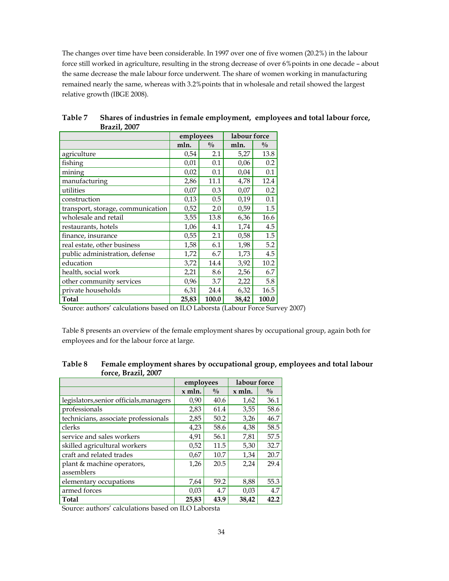The changes over time have been considerable. In 1997 over one of five women (20.2%) in the labour force still worked in agriculture, resulting in the strong decrease of over 6%points in one decade – about the same decrease the male labour force underwent. The share of women working in manufacturing remained nearly the same, whereas with 3.2%points that in wholesale and retail showed the largest relative growth (IBGE 2008).

|                                   | employees |               | labour force |               |  |
|-----------------------------------|-----------|---------------|--------------|---------------|--|
|                                   | mln.      | $\frac{0}{0}$ | mln.         | $\frac{0}{0}$ |  |
| agriculture                       | 0,54      | 2.1           | 5,27         | 13.8          |  |
| fishing                           | 0,01      | 0.1           | 0,06         | 0.2           |  |
| mining                            | 0,02      | 0.1           | 0,04         | 0.1           |  |
| manufacturing                     | 2,86      | 11.1          | 4,78         | 12.4          |  |
| utilities                         | 0,07      | 0.3           | 0,07         | 0.2           |  |
| construction                      | 0,13      | 0.5           | 0,19         | 0.1           |  |
| transport, storage, communication | 0,52      | 2.0           | 0,59         | 1.5           |  |
| wholesale and retail              | 3,55      | 13.8          | 6,36         | 16.6          |  |
| restaurants, hotels               | 1,06      | 4.1           | 1,74         | 4.5           |  |
| finance, insurance                | 0,55      | 2.1           | 0,58         | 1.5           |  |
| real estate, other business       | 1,58      | 6.1           | 1,98         | 5.2           |  |
| public administration, defense    | 1,72      | 6.7           | 1,73         | 4.5           |  |
| education                         | 3,72      | 14.4          | 3,92         | 10.2          |  |
| health, social work               | 2,21      | 8.6           | 2,56         | 6.7           |  |
| other community services          | 0,96      | 3.7           | 2,22         | 5.8           |  |
| private households                | 6,31      | 24.4          | 6,32         | 16.5          |  |
| <b>Total</b>                      | 25,83     | 100.0         | 38,42        | 100.0         |  |

**Table 7 Shares of industries in female employment, employees and total labour force, Brazil, 2007**

Source: authors' calculations based on ILO Laborsta (Labour Force Survey 2007)

Table 8 presents an overview of the female employment shares by occupational group, again both for employees and for the labour force at large.

| Table 8 | Female employment shares by occupational group, employees and total labour |
|---------|----------------------------------------------------------------------------|
|         | force, Brazil, 2007                                                        |

|          |               | labour force |               |  |
|----------|---------------|--------------|---------------|--|
| $x$ mln. | $\frac{0}{0}$ | $x$ mln.     | $\frac{0}{0}$ |  |
| 0,90     | 40.6          | 1,62         | 36.1          |  |
| 2,83     | 61.4          | 3,55         | 58.6          |  |
| 2,85     | 50.2          | 3,26         | 46.7          |  |
| 4,23     | 58.6          | 4,38         | 58.5          |  |
| 4,91     | 56.1          | 7,81         | 57.5          |  |
| 0,52     | 11.5          | 5,30         | 32.7          |  |
| 0,67     | 10.7          | 1,34         | 20.7          |  |
| 1,26     | 20.5          | 2,24         | 29.4          |  |
|          |               |              |               |  |
| 7,64     | 59.2          | 8,88         | 55.3          |  |
| 0,03     | 4.7           | 0.03         | 4.7           |  |
| 25,83    | 43.9          | 38,42        | 42.2          |  |
|          |               | employees    |               |  |

Source: authors' calculations based on ILO Laborsta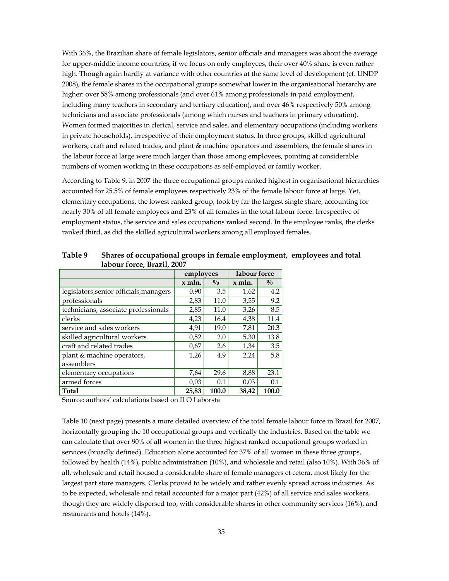With 36%, the Brazilian share of female legislators, senior officials and managers was about the average for upper-middle income countries; if we focus on only employees, their over 40% share is even rather high. Though again hardly at variance with other countries at the same level of development (cf. UNDP 2008), the female shares in the occupational groups somewhat lower in the organisational hierarchy are higher: over 58% among professionals (and over 61% among professionals in paid employment, including many teachers in secondary and tertiary education), and over 46% respectively 50% among technicians and associate professionals (among which nurses and teachers in primary education). Women formed majorities in clerical, service and sales, and elementary occupations (including workers in private households), irrespective of their employment status. In three groups, skilled agricultural workers; craft and related trades, and plant & machine operators and assemblers, the female shares in the labour force at large were much larger than those among employees, pointing at considerable numbers of women working in these occupations as self-employed or family worker.

According to Table 9, in 2007 the three occupational groups ranked highest in organisational hierarchies accounted for 25.5% of female employees respectively 23% of the female labour force at large. Yet, elementary occupations, the lowest ranked group, took by far the largest single share, accounting for nearly 30% of all female employees and 23% of all females in the total labour force. Irrespective of employment status, the service and sales occupations ranked second. In the employee ranks, the clerks ranked third, as did the skilled agricultural workers among all employed females.

|                                         | employees |               | labour force |               |
|-----------------------------------------|-----------|---------------|--------------|---------------|
|                                         | $x$ mln.  | $\frac{0}{0}$ | $x$ mln.     | $\frac{0}{0}$ |
| legislators, senior officials, managers | 0,90      | 3.5           | 1,62         | 4.2           |
| professionals                           | 2,83      | 11.0          | 3,55         | 9.2           |
| technicians, associate professionals    | 2,85      | 11.0          | 3,26         | 8.5           |
| clerks                                  | 4,23      | 16.4          | 4,38         | 11.4          |
| service and sales workers               | 4,91      | 19.0          | 7,81         | 20.3          |
| skilled agricultural workers            | 0,52      | 2.0           | 5,30         | 13.8          |
| craft and related trades                | 0,67      | 2.6           | 1,34         | 3.5           |
| plant & machine operators,              | 1,26      | 4.9           | 2,24         | 5.8           |
| assemblers                              |           |               |              |               |
| elementary occupations                  | 7,64      | 29.6          | 8,88         | 23.1          |
| armed forces                            | 0,03      | 0.1           | 0,03         | 0.1           |
| <b>Total</b>                            | 25.83     | 100.0         | 38.42        | 100.0         |

**Table 9 Shares of occupational groups in female employment, employees and total labour force, Brazil, 2007**

Source: authors' calculations based on ILO Laborsta

Table 10 (next page) presents a more detailed overview of the total female labour force in Brazil for 2007, horizontally grouping the 10 occupational groups and vertically the industries. Based on the table we can calculate that over 90% of all women in the three highest ranked occupational groups worked in services (broadly defined). Education alone accounted for 37% of all women in these three groups, followed by health (14%), public administration (10%), and wholesale and retail (also 10%). With 36% of all, wholesale and retail housed a considerable share of female managers et cetera, most likely for the largest part store managers. Clerks proved to be widely and rather evenly spread across industries. As to be expected, wholesale and retail accounted for a major part (42%) of all service and sales workers, though they are widely dispersed too, with considerable shares in other community services (16%), and restaurants and hotels (14%).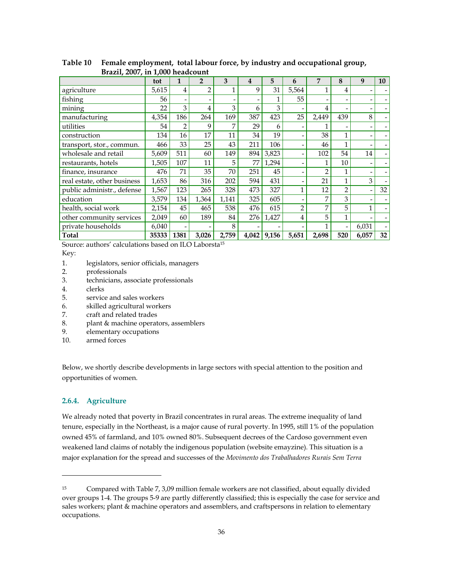|                             | tot   | 1                        | $\overline{2}$           | 3     | 4     | 5     | 6     | 7              | 8   | 9                        | <b>10</b> |
|-----------------------------|-------|--------------------------|--------------------------|-------|-------|-------|-------|----------------|-----|--------------------------|-----------|
| agriculture                 | 5,615 | 4                        | 2                        |       | 9     | 31    | 5,564 |                | 4   |                          |           |
| fishing                     | 56    | $\overline{\phantom{a}}$ | $\overline{\phantom{0}}$ |       |       | 1     | 55    |                |     |                          |           |
| mining                      | 22    | 3                        | 4                        | 3     | 6     | 3     |       | 4              |     | $\overline{\phantom{a}}$ |           |
| manufacturing               | 4,354 | 186                      | 264                      | 169   | 387   | 423   | 25    | 2,449          | 439 | 8                        | -         |
| utilities                   | 54    | $\overline{2}$           | 9                        | 7     | 29    | 6     |       |                |     |                          |           |
| construction                | 134   | 16                       | 17                       | 11    | 34    | 19    |       | 38             |     |                          |           |
| transport, stor., commun.   | 466   | 33                       | 25                       | 43    | 211   | 106   |       | 46             |     |                          |           |
| wholesale and retail        | 5,609 | 511                      | 60                       | 149   | 894   | 3,823 |       | 102            | 54  | 14                       |           |
| restaurants, hotels         | 1,505 | 107                      | 11                       | 5     | 77    | 1,294 |       | 1              | 10  | ٠                        |           |
| finance, insurance          | 476   | 71                       | 35                       | 70    | 251   | 45    |       | $\overline{2}$ |     | -                        |           |
| real estate, other business | 1,653 | 86                       | 316                      | 202   | 594   | 431   |       | 21             |     | 3                        |           |
| public administr., defense  | 1,567 | 123                      | 265                      | 328   | 473   | 327   |       | 12             | 2   | ۰                        | 32        |
| education                   | 3,579 | 134                      | 1,364                    | 1,141 | 325   | 605   |       | 7              | 3   | ٠                        |           |
| health, social work         | 2,154 | 45                       | 465                      | 538   | 476   | 615   | 2     | 7              | 5   | 1                        |           |
| other community services    | 2,049 | 60                       | 189                      | 84    | 276   | 1,427 | 4     | 5              | 1   |                          |           |
| private households          | 6,040 | $\overline{\phantom{a}}$ |                          | 8     |       |       |       | 1              |     | 6,031                    |           |
| Total                       | 35333 | 1381                     | 3,026                    | 2,759 | 4,042 | 9,156 | 5,651 | 2,698          | 520 | 6,057                    | 32        |

**Table 10 Female employment, total labour force, by industry and occupational group, Brazil, 2007, in 1,000 headcount**

Source: authors' calculations based on ILO Laborsta15

Key:

- 1. legislators, senior officials, managers
- 2. professionals
- 3. technicians, associate professionals
- 4. clerks
- 5. service and sales workers
- 6. skilled agricultural workers
- 7. craft and related trades
- 8. plant & machine operators, assemblers
- 9. elementary occupations
- 10. armed forces

Below, we shortly describe developments in large sectors with special attention to the position and opportunities of women.

### **2.6.4. Agriculture**

1

We already noted that poverty in Brazil concentrates in rural areas. The extreme inequality of land tenure, especially in the Northeast, is a major cause of rural poverty. In 1995, still 1% of the population owned 45% of farmland, and 10% owned 80%. Subsequent decrees of the Cardoso government even weakened land claims of notably the indigenous population (website emayzine). This situation is a major explanation for the spread and successes of the *Movimento dos Trabalhadores Rurais Sem Terra*

<sup>&</sup>lt;sup>15</sup> Compared with Table 7, 3,09 million female workers are not classified, about equally divided over groups 1-4. The groups 5-9 are partly differently classified; this is especially the case for service and sales workers; plant & machine operators and assemblers, and craftspersons in relation to elementary occupations.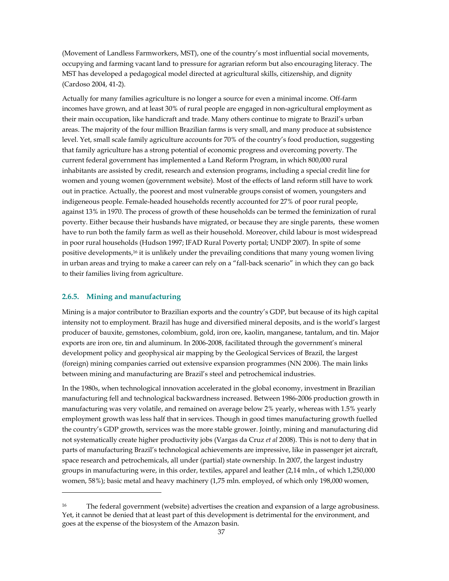(Movement of Landless Farmworkers, MST), one of the country's most influential social movements, occupying and farming vacant land to pressure for agrarian reform but also encouraging literacy. The MST has developed a pedagogical model directed at agricultural skills, citizenship, and dignity (Cardoso 2004, 41-2).

Actually for many families agriculture is no longer a source for even a minimal income. Off-farm incomes have grown, and at least 30% of rural people are engaged in non-agricultural employment as their main occupation, like handicraft and trade. Many others continue to migrate to Brazil's urban areas. The majority of the four million Brazilian farms is very small, and many produce at subsistence level. Yet, small scale family agriculture accounts for 70% of the country's food production, suggesting that family agriculture has a strong potential of economic progress and overcoming poverty. The current federal government has implemented a Land Reform Program, in which 800,000 rural inhabitants are assisted by credit, research and extension programs, including a special credit line for women and young women (government website). Most of the effects of land reform still have to work out in practice. Actually, the poorest and most vulnerable groups consist of women, youngsters and indigeneous people. Female-headed households recently accounted for 27% of poor rural people, against 13% in 1970. The process of growth of these households can be termed the feminization of rural poverty. Either because their husbands have migrated, or because they are single parents, these women have to run both the family farm as well as their household. Moreover, child labour is most widespread in poor rural households (Hudson 1997; IFAD Rural Poverty portal; UNDP 2007). In spite of some positive developments,16 it is unlikely under the prevailing conditions that many young women living in urban areas and trying to make a career can rely on a "fall-back scenario" in which they can go back to their families living from agriculture.

### **2.6.5. Mining and manufacturing**

1

Mining is a major contributor to Brazilian exports and the country's GDP, but because of its high capital intensity not to employment. Brazil has huge and diversified mineral deposits, and is the world's largest producer of bauxite, gemstones, colombium, gold, iron ore, kaolin, manganese, tantalum, and tin. Major exports are iron ore, tin and aluminum. In 2006-2008, facilitated through the government's mineral development policy and geophysical air mapping by the Geological Services of Brazil, the largest (foreign) mining companies carried out extensive expansion programmes (NN 2006). The main links between mining and manufacturing are Brazil's steel and petrochemical industries.

In the 1980s, when technological innovation accelerated in the global economy, investment in Brazilian manufacturing fell and technological backwardness increased. Between 1986-2006 production growth in manufacturing was very volatile, and remained on average below 2% yearly, whereas with 1.5% yearly employment growth was less half that in services. Though in good times manufacturing growth fuelled the country's GDP growth, services was the more stable grower. Jointly, mining and manufacturing did not systematically create higher productivity jobs (Vargas da Cruz *et al* 2008). This is not to deny that in parts of manufacturing Brazil's technological achievements are impressive, like in passenger jet aircraft, space research and petrochemicals, all under (partial) state ownership. In 2007, the largest industry groups in manufacturing were, in this order, textiles, apparel and leather (2,14 mln., of which 1,250,000 women, 58%); basic metal and heavy machinery (1,75 mln. employed, of which only 198,000 women,

<sup>16</sup> The federal government (website) advertises the creation and expansion of a large agrobusiness. Yet, it cannot be denied that at least part of this development is detrimental for the environment, and goes at the expense of the biosystem of the Amazon basin.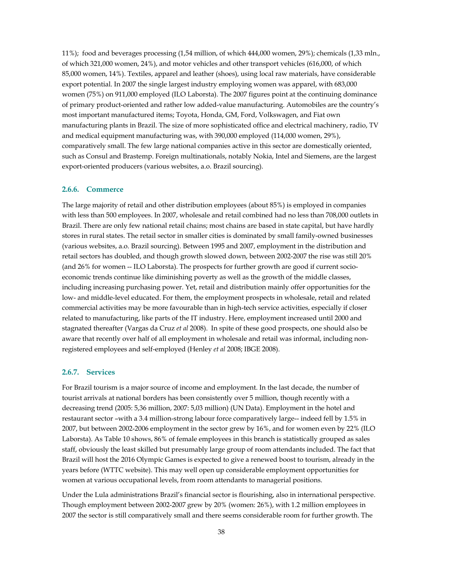11%); food and beverages processing (1,54 million, of which 444,000 women, 29%); chemicals (1,33 mln., of which 321,000 women, 24%), and motor vehicles and other transport vehicles (616,000, of which 85,000 women, 14%). Textiles, apparel and leather (shoes), using local raw materials, have considerable export potential. In 2007 the single largest industry employing women was apparel, with 683,000 women (75%) on 911,000 employed (ILO Laborsta). The 2007 figures point at the continuing dominance of primary product-oriented and rather low added-value manufacturing. Automobiles are the country's most important manufactured items; Toyota, Honda, GM, Ford, Volkswagen, and Fiat own manufacturing plants in Brazil. The size of more sophisticated office and electrical machinery, radio, TV and medical equipment manufacturing was, with 390,000 employed (114,000 women, 29%), comparatively small. The few large national companies active in this sector are domestically oriented, such as Consul and Brastemp. Foreign multinationals, notably Nokia, Intel and Siemens, are the largest export-oriented producers (various websites, a.o. Brazil sourcing).

#### **2.6.6. Commerce**

The large majority of retail and other distribution employees (about 85%) is employed in companies with less than 500 employees. In 2007, wholesale and retail combined had no less than 708,000 outlets in Brazil. There are only few national retail chains; most chains are based in state capital, but have hardly stores in rural states. The retail sector in smaller cities is dominated by small family-owned businesses (various websites, a.o. Brazil sourcing). Between 1995 and 2007, employment in the distribution and retail sectors has doubled, and though growth slowed down, between 2002-2007 the rise was still 20% (and 26% for women -- ILO Laborsta). The prospects for further growth are good if current socioeconomic trends continue like diminishing poverty as well as the growth of the middle classes, including increasing purchasing power. Yet, retail and distribution mainly offer opportunities for the low- and middle-level educated. For them, the employment prospects in wholesale, retail and related commercial activities may be more favourable than in high-tech service activities, especially if closer related to manufacturing, like parts of the IT industry. Here, employment increased until 2000 and stagnated thereafter (Vargas da Cruz *et al* 2008). In spite of these good prospects, one should also be aware that recently over half of all employment in wholesale and retail was informal, including nonregistered employees and self-employed (Henley *et al* 2008; IBGE 2008).

#### **2.6.7. Services**

For Brazil tourism is a major source of income and employment. In the last decade, the number of tourist arrivals at national borders has been consistently over 5 million, though recently with a decreasing trend (2005: 5,36 million, 2007: 5,03 million) (UN Data). Employment in the hotel and restaurant sector –with a 3.4 million-strong labour force comparatively large-- indeed fell by 1.5% in 2007, but between 2002-2006 employment in the sector grew by 16%, and for women even by 22% (ILO Laborsta). As Table 10 shows, 86% of female employees in this branch is statistically grouped as sales staff, obviously the least skilled but presumably large group of room attendants included. The fact that Brazil will host the 2016 Olympic Games is expected to give a renewed boost to tourism, already in the years before (WTTC website). This may well open up considerable employment opportunities for women at various occupational levels, from room attendants to managerial positions.

Under the Lula administrations Brazil's financial sector is flourishing, also in international perspective. Though employment between 2002-2007 grew by 20% (women: 26%), with 1.2 million employees in 2007 the sector is still comparatively small and there seems considerable room for further growth. The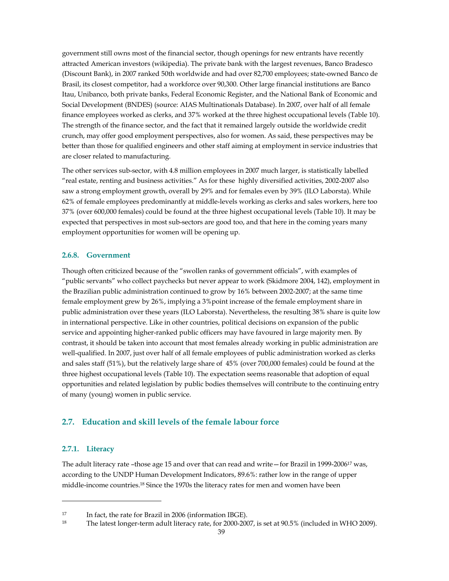government still owns most of the financial sector, though openings for new entrants have recently attracted American investors (wikipedia). The private bank with the largest revenues, Banco Bradesco (Discount Bank), in 2007 ranked 50th worldwide and had over 82,700 employees; state-owned Banco de Brasil, its closest competitor, had a workforce over 90,300. Other large financial institutions are Banco Itau, Unibanco, both private banks, Federal Economic Register, and the National Bank of Economic and Social Development (BNDES) (source: AIAS Multinationals Database). In 2007, over half of all female finance employees worked as clerks, and 37% worked at the three highest occupational levels (Table 10). The strength of the finance sector, and the fact that it remained largely outside the worldwide credit crunch, may offer good employment perspectives, also for women. As said, these perspectives may be better than those for qualified engineers and other staff aiming at employment in service industries that are closer related to manufacturing.

The other services sub-sector, with 4.8 million employees in 2007 much larger, is statistically labelled "real estate, renting and business activities." As for these highly diversified activities, 2002-2007 also saw a strong employment growth, overall by 29% and for females even by 39% (ILO Laborsta). While 62% of female employees predominantly at middle-levels working as clerks and sales workers, here too 37% (over 600,000 females) could be found at the three highest occupational levels (Table 10). It may be expected that perspectives in most sub-sectors are good too, and that here in the coming years many employment opportunities for women will be opening up.

#### **2.6.8. Government**

Though often criticized because of the "swollen ranks of government officials", with examples of "public servants" who collect paychecks but never appear to work (Skidmore 2004, 142), employment in the Brazilian public administration continued to grow by 16% between 2002-2007; at the same time female employment grew by 26%, implying a 3%point increase of the female employment share in public administration over these years (ILO Laborsta). Nevertheless, the resulting 38% share is quite low in international perspective. Like in other countries, political decisions on expansion of the public service and appointing higher-ranked public officers may have favoured in large majority men. By contrast, it should be taken into account that most females already working in public administration are well-qualified. In 2007, just over half of all female employees of public administration worked as clerks and sales staff (51%), but the relatively large share of 45% (over 700,000 females) could be found at the three highest occupational levels (Table 10). The expectation seems reasonable that adoption of equal opportunities and related legislation by public bodies themselves will contribute to the continuing entry of many (young) women in public service.

# **2.7. Education and skill levels of the female labour force**

#### **2.7.1. Literacy**

1

The adult literacy rate –those age 15 and over that can read and write—for Brazil in 1999-200617 was, according to the UNDP Human Development Indicators, 89.6%: rather low in the range of upper middle-income countries.18 Since the 1970s the literacy rates for men and women have been

<sup>17</sup> In fact, the rate for Brazil in 2006 (information IBGE).

<sup>18</sup> The latest longer-term adult literacy rate, for 2000-2007, is set at 90.5% (included in WHO 2009).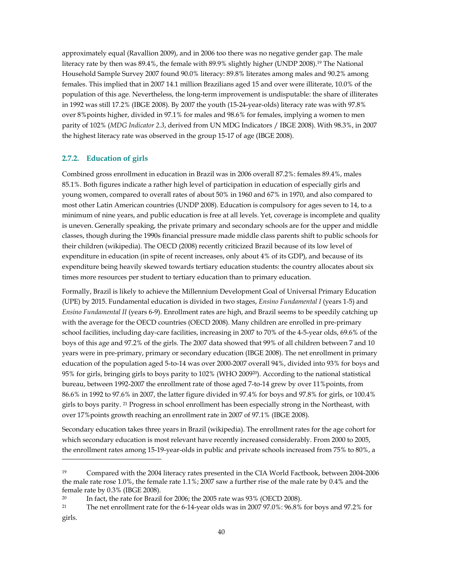approximately equal (Ravallion 2009), and in 2006 too there was no negative gender gap. The male literacy rate by then was 89.4%, the female with 89.9% slightly higher (UNDP 2008).19 The National Household Sample Survey 2007 found 90.0% literacy: 89.8% literates among males and 90.2% among females. This implied that in 2007 14.1 million Brazilians aged 15 and over were illiterate, 10.0% of the population of this age. Nevertheless, the long-term improvement is undisputable: the share of illiterates in 1992 was still 17.2% (IBGE 2008). By 2007 the youth (15-24-year-olds) literacy rate was with 97.8% over 8%points higher, divided in 97.1% for males and 98.6% for females, implying a women to men parity of 102% (*MDG Indicator 2.3*, derived from UN MDG Indicators / IBGE 2008). With 98.3%, in 2007 the highest literacy rate was observed in the group 15-17 of age (IBGE 2008).

#### **2.7.2. Education of girls**

1

Combined gross enrollment in education in Brazil was in 2006 overall 87.2%: females 89.4%, males 85.1%. Both figures indicate a rather high level of participation in education of especially girls and young women, compared to overall rates of about 50% in 1960 and 67% in 1970, and also compared to most other Latin American countries (UNDP 2008). Education is compulsory for ages seven to 14, to a minimum of nine years, and public education is free at all levels. Yet, coverage is incomplete and quality is uneven. Generally speaking, the private primary and secondary schools are for the upper and middle classes, though during the 1990s financial pressure made middle class parents shift to public schools for their children (wikipedia). The OECD (2008) recently criticized Brazil because of its low level of expenditure in education (in spite of recent increases, only about 4% of its GDP), and because of its expenditure being heavily skewed towards tertiary education students: the country allocates about six times more resources per student to tertiary education than to primary education.

Formally, Brazil is likely to achieve the Millennium Development Goal of Universal Primary Education (UPE) by 2015. Fundamental education is divided in two stages, *Ensino Fundamental I* (years 1-5) and *Ensino Fundamental II* (years 6-9). Enrollment rates are high, and Brazil seems to be speedily catching up with the average for the OECD countries (OECD 2008). Many children are enrolled in pre-primary school facilities, including day-care facilities, increasing in 2007 to 70% of the 4-5-year olds, 69.6% of the boys of this age and 97.2% of the girls. The 2007 data showed that 99% of all children between 7 and 10 years were in pre-primary, primary or secondary education (IBGE 2008). The net enrollment in primary education of the population aged 5-to-14 was over 2000-2007 overall 94%, divided into 93% for boys and 95% for girls, bringing girls to boys parity to 102% (WHO 200920). According to the national statistical bureau, between 1992-2007 the enrollment rate of those aged 7-to-14 grew by over 11%points, from 86.6% in 1992 to 97.6% in 2007, the latter figure divided in 97.4% for boys and 97.8% for girls, or 100.4% girls to boys parity. 21 Progress in school enrollment has been especially strong in the Northeast, with over 17%points growth reaching an enrollment rate in 2007 of 97.1% (IBGE 2008).

Secondary education takes three years in Brazil (wikipedia). The enrollment rates for the age cohort for which secondary education is most relevant have recently increased considerably. From 2000 to 2005, the enrollment rates among 15-19-year-olds in public and private schools increased from 75% to 80%, a

<sup>19</sup> Compared with the 2004 literacy rates presented in the CIA World Factbook, between 2004-2006 the male rate rose 1.0%, the female rate 1.1%; 2007 saw a further rise of the male rate by 0.4% and the female rate by 0.3% (IBGE 2008).

<sup>&</sup>lt;sup>20</sup> In fact, the rate for Brazil for 2006; the 2005 rate was 93% (OECD 2008).

<sup>21</sup> The net enrollment rate for the 6-14-year olds was in 2007 97.0%: 96.8% for boys and 97.2% for girls.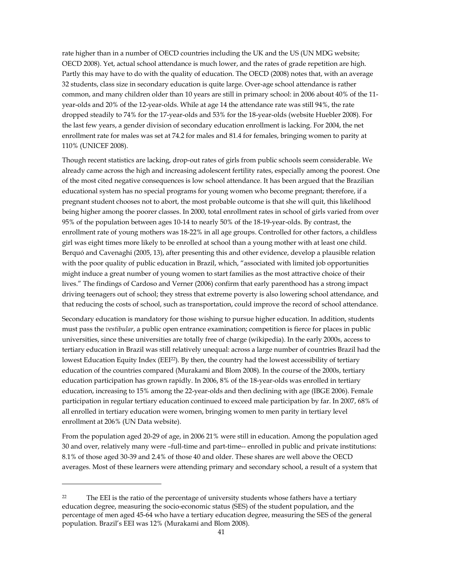rate higher than in a number of OECD countries including the UK and the US (UN MDG website; OECD 2008). Yet, actual school attendance is much lower, and the rates of grade repetition are high. Partly this may have to do with the quality of education. The OECD (2008) notes that, with an average 32 students, class size in secondary education is quite large. Over-age school attendance is rather common, and many children older than 10 years are still in primary school: in 2006 about 40% of the 11 year-olds and 20% of the 12-year-olds. While at age 14 the attendance rate was still 94%, the rate dropped steadily to 74% for the 17-year-olds and 53% for the 18-year-olds (website Huebler 2008). For the last few years, a gender division of secondary education enrollment is lacking. For 2004, the net enrollment rate for males was set at 74.2 for males and 81.4 for females, bringing women to parity at 110% (UNICEF 2008).

Though recent statistics are lacking, drop-out rates of girls from public schools seem considerable. We already came across the high and increasing adolescent fertility rates, especially among the poorest. One of the most cited negative consequences is low school attendance. It has been argued that the Brazilian educational system has no special programs for young women who become pregnant; therefore, if a pregnant student chooses not to abort, the most probable outcome is that she will quit, this likelihood being higher among the poorer classes. In 2000, total enrollment rates in school of girls varied from over 95% of the population between ages 10-14 to nearly 50% of the 18-19-year-olds. By contrast, the enrollment rate of young mothers was 18-22% in all age groups. Controlled for other factors, a childless girl was eight times more likely to be enrolled at school than a young mother with at least one child. Berquó and Cavenaghi (2005, 13), after presenting this and other evidence, develop a plausible relation with the poor quality of public education in Brazil, which, "associated with limited job opportunities might induce a great number of young women to start families as the most attractive choice of their lives." The findings of Cardoso and Verner (2006) confirm that early parenthood has a strong impact driving teenagers out of school; they stress that extreme poverty is also lowering school attendance, and that reducing the costs of school, such as transportation, could improve the record of school attendance.

Secondary education is mandatory for those wishing to pursue higher education. In addition, students must pass the *vestibular*, a public open entrance examination; competition is fierce for places in public universities, since these universities are totally free of charge (wikipedia). In the early 2000s, access to tertiary education in Brazil was still relatively unequal: across a large number of countries Brazil had the lowest Education Equity Index (EEI22). By then, the country had the lowest accessibility of tertiary education of the countries compared (Murakami and Blom 2008). In the course of the 2000s, tertiary education participation has grown rapidly. In 2006, 8% of the 18-year-olds was enrolled in tertiary education, increasing to 15% among the 22-year-olds and then declining with age (IBGE 2006). Female participation in regular tertiary education continued to exceed male participation by far. In 2007, 68% of all enrolled in tertiary education were women, bringing women to men parity in tertiary level enrollment at 206% (UN Data website).

From the population aged 20-29 of age, in 2006 21% were still in education. Among the population aged 30 and over, relatively many were –full-time and part-time-- enrolled in public and private institutions: 8.1% of those aged 30-39 and 2.4% of those 40 and older. These shares are well above the OECD averages. Most of these learners were attending primary and secondary school, a result of a system that

-

<sup>&</sup>lt;sup>22</sup> The EEI is the ratio of the percentage of university students whose fathers have a tertiary education degree, measuring the socio-economic status (SES) of the student population, and the percentage of men aged 45-64 who have a tertiary education degree, measuring the SES of the general population. Brazil's EEI was 12% (Murakami and Blom 2008).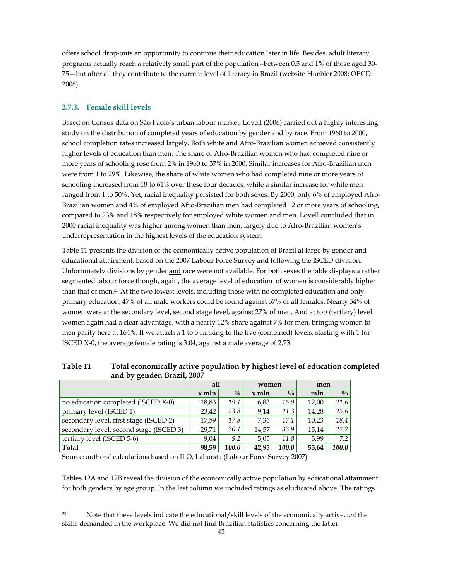offers school drop-outs an opportunity to continue their education later in life. Besides, adult literacy programs actually reach a relatively small part of the population –between 0.5 and 1% of those aged 30- 75—but after all they contribute to the current level of literacy in Brazil (website Huebler 2008; OECD 2008).

# **2.7.3. Female skill levels**

1

Based on Census data on Sâo Paolo's urban labour market, Lovell (2006) carried out a highly interesting study on the distribution of completed years of education by gender and by race. From 1960 to 2000, school completion rates increased largely. Both white and Afro-Brazilian women achieved consistently higher levels of education than men. The share of Afro-Brazilian women who had completed nine or more years of schooling rose from 2% in 1960 to 37% in 2000. Similar increases for Afro-Brazilian men were from 1 to 29%. Likewise, the share of white women who had completed nine or more years of schooling increased from 18 to 61% over these four decades, while a similar increase for white men ranged from 1 to 50%. Yet, racial inequality persisted for both sexes. By 2000, only 6% of employed Afro-Brazilian women and 4% of employed Afro-Brazilian men had completed 12 or more years of schooling, compared to 23% and 18% respectively for employed white women and men. Lovell concluded that in 2000 racial inequality was higher among women than men, largely due to Afro-Brazilian women's underrepresentation in the highest levels of the education system.

Table 11 presents the division of the economically active population of Brazil at large by gender and educational attainment, based on the 2007 Labour Force Survey and following the ISCED division. Unfortunately divisions by gender and race were not available. For both sexes the table displays a rather segmented labour force though, again, the average level of education of women is considerably higher than that of men.23 At the two lowest levels, including those with no completed education and only primary education, 47% of all male workers could be found against 37% of all females. Nearly 34% of women were at the secondary level, second stage level, against 27% of men. And at top (tertiary) level women again had a clear advantage, with a nearly 12% share against 7% for men, bringing women to men parity here at 164%. If we attach a 1 to 5 ranking to the five (combined) levels, starting with 1 for ISCED X-0, the average female rating is 3.04, against a male average of 2.73.

|                                         | all     |               | women   |             | men   |               |
|-----------------------------------------|---------|---------------|---------|-------------|-------|---------------|
|                                         | $x$ mln | $\frac{0}{0}$ | $x$ mln | $^{0}/_{0}$ | mln   | $\frac{0}{0}$ |
| no education completed (ISCED X-0)      | 18,83   | 19.1          | 6,83    | 15.9        | 12.00 | 21.6          |
| primary level (ISCED 1)                 | 23.42   | 23.8          | 9.14    | 21.3        | 14.28 | 25.6          |
| secondary level, first stage (ISCED 2)  | 17.59   | 17.8          | 7.36    | 17.1        | 10.23 | 18.4          |
| secondary level, second stage (ISCED 3) | 29.71   | 30.1          | 14.57   | 33.9        | 15.14 | 27.2          |
| tertiary level (ISCED 5-6)              | 9.04    | 9.2           | 5.05    | 11.8        | 3.99  | 7.2           |
| Total                                   | 98,59   | 100.0         | 42.95   | 100.0       | 55,64 | 100.0         |

**Table 11 Total economically active population by highest level of education completed and by gender, Brazil, 2007** 

Source: authors' calculations based on ILO, Laborsta (Labour Force Survey 2007)

Tables 12A and 12B reveal the division of the economically active population by educational attainment for both genders by age group. In the last column we included ratings as eludicated above. The ratings

<sup>23</sup> Note that these levels indicate the educational/skill levels of the economically active, *not* the skills demanded in the workplace. We did not find Brazilian statistics concerning the latter.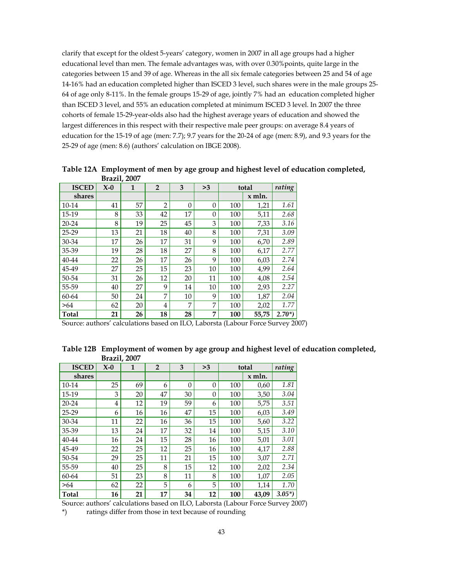clarify that except for the oldest 5-years' category, women in 2007 in all age groups had a higher educational level than men. The female advantages was, with over 0.30%points, quite large in the categories between 15 and 39 of age. Whereas in the all six female categories between 25 and 54 of age 14-16% had an education completed higher than ISCED 3 level, such shares were in the male groups 25- 64 of age only 8-11%. In the female groups 15-29 of age, jointly 7% had an education completed higher than ISCED 3 level, and 55% an education completed at minimum ISCED 3 level. In 2007 the three cohorts of female 15-29-year-olds also had the highest average years of education and showed the largest differences in this respect with their respective male peer groups: on average 8.4 years of education for the 15-19 of age (men: 7.7); 9.7 years for the 20-24 of age (men: 8.9), and 9.3 years for the 25-29 of age (men: 8.6) (authors' calculation on IBGE 2008).

|              | <b>ISCED</b><br>3<br>$X-0$<br>$\overline{2}$<br>>3<br>1<br>total |    |                |          |          |     |        | rating     |
|--------------|------------------------------------------------------------------|----|----------------|----------|----------|-----|--------|------------|
|              |                                                                  |    |                |          |          |     |        |            |
| shares       |                                                                  |    |                |          |          |     | x mln. |            |
| 10-14        | 41                                                               | 57 | $\overline{2}$ | $\Omega$ | $\theta$ | 100 | 1,21   | 1.61       |
| 15-19        | 8                                                                | 33 | 42             | 17       | $\Omega$ | 100 | 5,11   | 2.68       |
| 20-24        | 8                                                                | 19 | 25             | 45       | 3        | 100 | 7,33   | 3.16       |
| 25-29        | 13                                                               | 21 | 18             | 40       | 8        | 100 | 7,31   | 3.09       |
| 30-34        | 17                                                               | 26 | 17             | 31       | 9        | 100 | 6,70   | 2.89       |
| 35-39        | 19                                                               | 28 | 18             | 27       | 8        | 100 | 6,17   | 2.77       |
| 40-44        | 22                                                               | 26 | 17             | 26       | 9        | 100 | 6,03   | 2.74       |
| 45-49        | 27                                                               | 25 | 15             | 23       | 10       | 100 | 4,99   | 2.64       |
| 50-54        | 31                                                               | 26 | 12             | 20       | 11       | 100 | 4,08   | 2.54       |
| 55-59        | 40                                                               | 27 | 9              | 14       | 10       | 100 | 2,93   | 2.27       |
| 60-64        | 50                                                               | 24 | 7              | 10       | 9        | 100 | 1,87   | 2.04       |
| >64          | 62                                                               | 20 | 4              | 7        | 7        | 100 | 2,02   | 1.77       |
| <b>Total</b> | 21                                                               | 26 | 18             | 28       | 7        | 100 | 55,75  | $2.70^{*}$ |

**Table 12A Employment of men by age group and highest level of education completed, Brazil, 2007**

Source: authors' calculations based on ILO, Laborsta (Labour Force Survey 2007)

| Table 12B Employment of women by age group and highest level of education completed, |
|--------------------------------------------------------------------------------------|
| <b>Brazil, 2007</b>                                                                  |

| <b>ISCED</b> | $X-0$ | $\mathbf{1}$ | $\overline{2}$ | 3        | >3       |     | total    | rating     |
|--------------|-------|--------------|----------------|----------|----------|-----|----------|------------|
| shares       |       |              |                |          |          |     | $x$ mln. |            |
| 10-14        | 25    | 69           | 6              | $\theta$ | $\theta$ | 100 | 0,60     | 1.81       |
| 15-19        | 3     | 20           | 47             | 30       | $\Omega$ | 100 | 3,50     | 3.04       |
| $20 - 24$    | 4     | 12           | 19             | 59       | 6        | 100 | 5,75     | 3.51       |
| 25-29        | 6     | 16           | 16             | 47       | 15       | 100 | 6,03     | 3.49       |
| 30-34        | 11    | 22           | 16             | 36       | 15       | 100 | 5,60     | 3.22       |
| 35-39        | 13    | 24           | 17             | 32       | 14       | 100 | 5,15     | 3.10       |
| 40-44        | 16    | 24           | 15             | 28       | 16       | 100 | 5,01     | 3.01       |
| 45-49        | 22    | 25           | 12             | 25       | 16       | 100 | 4,17     | 2.88       |
| 50-54        | 29    | 25           | 11             | 21       | 15       | 100 | 3,07     | 2.71       |
| 55-59        | 40    | 25           | 8              | 15       | 12       | 100 | 2,02     | 2.34       |
| 60-64        | 51    | 23           | 8              | 11       | 8        | 100 | 1,07     | 2.05       |
| >64          | 62    | 22           | 5              | 6        | 5        | 100 | 1,14     | 1.70       |
| <b>Total</b> | 16    | 21           | 17             | 34       | 12       | 100 | 43,09    | $3.05^{*}$ |

Source: authors' calculations based on ILO, Laborsta (Labour Force Survey 2007)

\*) ratings differ from those in text because of rounding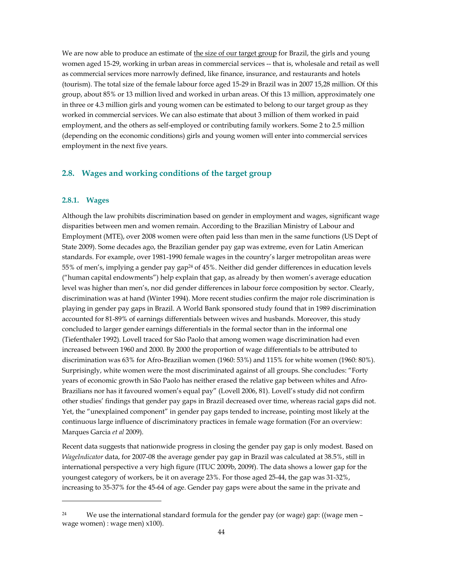We are now able to produce an estimate of the size of our target group for Brazil, the girls and young women aged 15-29, working in urban areas in commercial services -- that is, wholesale and retail as well as commercial services more narrowly defined, like finance, insurance, and restaurants and hotels (tourism). The total size of the female labour force aged 15-29 in Brazil was in 2007 15,28 million. Of this group, about 85% or 13 million lived and worked in urban areas. Of this 13 million, approximately one in three or 4.3 million girls and young women can be estimated to belong to our target group as they worked in commercial services. We can also estimate that about 3 million of them worked in paid employment, and the others as self-employed or contributing family workers. Some 2 to 2.5 million (depending on the economic conditions) girls and young women will enter into commercial services employment in the next five years.

### **2.8. Wages and working conditions of the target group**

#### **2.8.1. Wages**

1

Although the law prohibits discrimination based on gender in employment and wages, significant wage disparities between men and women remain. According to the Brazilian Ministry of Labour and Employment (MTE), over 2008 women were often paid less than men in the same functions (US Dept of State 2009). Some decades ago, the Brazilian gender pay gap was extreme, even for Latin American standards. For example, over 1981-1990 female wages in the country's larger metropolitan areas were 55% of men's, implying a gender pay gap24 of 45%. Neither did gender differences in education levels ("human capital endowments") help explain that gap, as already by then women's average education level was higher than men's, nor did gender differences in labour force composition by sector. Clearly, discrimination was at hand (Winter 1994). More recent studies confirm the major role discrimination is playing in gender pay gaps in Brazil. A World Bank sponsored study found that in 1989 discrimination accounted for 81-89% of earnings differentials between wives and husbands. Moreover, this study concluded to larger gender earnings differentials in the formal sector than in the informal one (Tiefenthaler 1992). Lovell traced for Sâo Paolo that among women wage discrimination had even increased between 1960 and 2000. By 2000 the proportion of wage differentials to be attributed to discrimination was 63% for Afro-Brazilian women (1960: 53%) and 115% for white women (1960: 80%). Surprisingly, white women were the most discriminated against of all groups. She concludes: "Forty years of economic growth in Sâo Paolo has neither erased the relative gap between whites and Afro-Brazilians nor has it favoured women's equal pay" (Lovell 2006, 81). Lovell's study did not confirm other studies' findings that gender pay gaps in Brazil decreased over time, whereas racial gaps did not. Yet, the "unexplained component" in gender pay gaps tended to increase, pointing most likely at the continuous large influence of discriminatory practices in female wage formation (For an overview: Marques Garcia *et al* 2009).

Recent data suggests that nationwide progress in closing the gender pay gap is only modest. Based on *WageIndicator* data, for 2007-08 the average gender pay gap in Brazil was calculated at 38.5%, still in international perspective a very high figure (ITUC 2009b, 2009f). The data shows a lower gap for the youngest category of workers, be it on average 23%. For those aged 25-44, the gap was 31-32%, increasing to 35-37% for the 45-64 of age. Gender pay gaps were about the same in the private and

<sup>24</sup> We use the international standard formula for the gender pay (or wage) gap: ((wage men – wage women) : wage men) x100).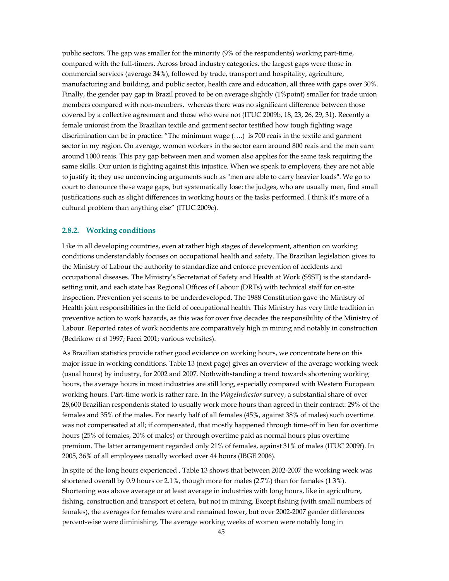public sectors. The gap was smaller for the minority (9% of the respondents) working part-time, compared with the full-timers. Across broad industry categories, the largest gaps were those in commercial services (average 34%), followed by trade, transport and hospitality, agriculture, manufacturing and building, and public sector, health care and education, all three with gaps over 30%. Finally, the gender pay gap in Brazil proved to be on average slightly (1%point) smaller for trade union members compared with non-members, whereas there was no significant difference between those covered by a collective agreement and those who were not (ITUC 2009b, 18, 23, 26, 29, 31). Recently a female unionist from the Brazilian textile and garment sector testified how tough fighting wage discrimination can be in practice: "The minimum wage (….) is 700 reais in the textile and garment sector in my region. On average, women workers in the sector earn around 800 reais and the men earn around 1000 reais. This pay gap between men and women also applies for the same task requiring the same skills. Our union is fighting against this injustice. When we speak to employers, they are not able to justify it; they use unconvincing arguments such as "men are able to carry heavier loads". We go to court to denounce these wage gaps, but systematically lose: the judges, who are usually men, find small justifications such as slight differences in working hours or the tasks performed. I think it's more of a cultural problem than anything else" (ITUC 2009c).

#### **2.8.2. Working conditions**

Like in all developing countries, even at rather high stages of development, attention on working conditions understandably focuses on occupational health and safety. The Brazilian legislation gives to the Ministry of Labour the authority to standardize and enforce prevention of accidents and occupational diseases. The Ministry's Secretariat of Safety and Health at Work (SSST) is the standardsetting unit, and each state has Regional Offices of Labour (DRTs) with technical staff for on-site inspection. Prevention yet seems to be underdeveloped. The 1988 Constitution gave the Ministry of Health joint responsibilities in the field of occupational health. This Ministry has very little tradition in preventive action to work hazards, as this was for over five decades the responsibility of the Ministry of Labour. Reported rates of work accidents are comparatively high in mining and notably in construction (Bedrikow *et al* 1997; Facci 2001; various websites).

As Brazilian statistics provide rather good evidence on working hours, we concentrate here on this major issue in working conditions. Table 13 (next page) gives an overview of the average working week (usual hours) by industry, for 2002 and 2007. Nothwithstanding a trend towards shortening working hours, the average hours in most industries are still long, especially compared with Western European working hours. Part-time work is rather rare. In the *WageIndicator* survey, a substantial share of over 28,600 Brazilian respondents stated to usually work more hours than agreed in their contract: 29% of the females and 35% of the males. For nearly half of all females (45%, against 38% of males) such overtime was not compensated at all; if compensated, that mostly happened through time-off in lieu for overtime hours (25% of females, 20% of males) or through overtime paid as normal hours plus overtime premium. The latter arrangement regarded only 21% of females, against 31% of males (ITUC 2009f). In 2005, 36% of all employees usually worked over 44 hours (IBGE 2006).

In spite of the long hours experienced , Table 13 shows that between 2002-2007 the working week was shortened overall by 0.9 hours or 2.1%, though more for males (2.7%) than for females (1.3%). Shortening was above average or at least average in industries with long hours, like in agriculture, fishing, construction and transport et cetera, but not in mining. Except fishing (with small numbers of females), the averages for females were and remained lower, but over 2002-2007 gender differences percent-wise were diminishing. The average working weeks of women were notably long in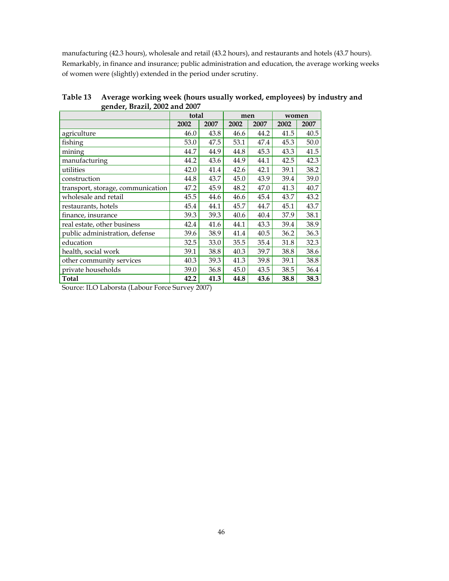manufacturing (42.3 hours), wholesale and retail (43.2 hours), and restaurants and hotels (43.7 hours). Remarkably, in finance and insurance; public administration and education, the average working weeks of women were (slightly) extended in the period under scrutiny.

|                                   | total |      | men  |      | women |      |
|-----------------------------------|-------|------|------|------|-------|------|
|                                   | 2002  | 2007 | 2002 | 2007 | 2002  | 2007 |
| agriculture                       | 46.0  | 43.8 | 46.6 | 44.2 | 41.5  | 40.5 |
| fishing                           | 53.0  | 47.5 | 53.1 | 47.4 | 45.3  | 50.0 |
| mining                            | 44.7  | 44.9 | 44.8 | 45.3 | 43.3  | 41.5 |
| manufacturing                     | 44.2  | 43.6 | 44.9 | 44.1 | 42.5  | 42.3 |
| utilities                         | 42.0  | 41.4 | 42.6 | 42.1 | 39.1  | 38.2 |
| construction                      | 44.8  | 43.7 | 45.0 | 43.9 | 39.4  | 39.0 |
| transport, storage, communication | 47.2  | 45.9 | 48.2 | 47.0 | 41.3  | 40.7 |
| wholesale and retail              | 45.5  | 44.6 | 46.6 | 45.4 | 43.7  | 43.2 |
| restaurants, hotels               | 45.4  | 44.1 | 45.7 | 44.7 | 45.1  | 43.7 |
| finance, insurance                | 39.3  | 39.3 | 40.6 | 40.4 | 37.9  | 38.1 |
| real estate, other business       | 42.4  | 41.6 | 44.1 | 43.3 | 39.4  | 38.9 |
| public administration, defense    | 39.6  | 38.9 | 41.4 | 40.5 | 36.2  | 36.3 |
| education                         | 32.5  | 33.0 | 35.5 | 35.4 | 31.8  | 32.3 |
| health, social work               | 39.1  | 38.8 | 40.3 | 39.7 | 38.8  | 38.6 |
| other community services          | 40.3  | 39.3 | 41.3 | 39.8 | 39.1  | 38.8 |
| private households                | 39.0  | 36.8 | 45.0 | 43.5 | 38.5  | 36.4 |
| <b>Total</b>                      | 42.2  | 41.3 | 44.8 | 43.6 | 38.8  | 38.3 |

**Table 13 Average working week (hours usually worked, employees) by industry and gender, Brazil, 2002 and 2007**

Source: ILO Laborsta (Labour Force Survey 2007)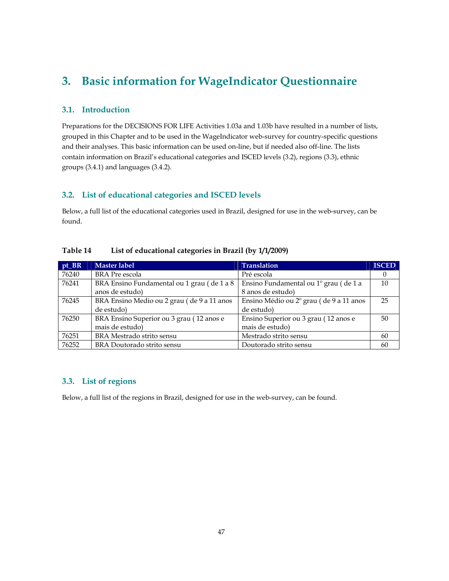# **3. Basic information for WageIndicator Questionnaire**

# **3.1. Introduction**

Preparations for the DECISIONS FOR LIFE Activities 1.03a and 1.03b have resulted in a number of lists, grouped in this Chapter and to be used in the WageIndicator web-survey for country-specific questions and their analyses. This basic information can be used on-line, but if needed also off-line. The lists contain information on Brazil's educational categories and ISCED levels (3.2), regions (3.3), ethnic groups (3.4.1) and languages (3.4.2).

## **3.2. List of educational categories and ISCED levels**

Below, a full list of the educational categories used in Brazil, designed for use in the web-survey, can be found.

| $pt_B R$ | Master label                               | <b>Translation</b>                      | <b>ISCED</b> |
|----------|--------------------------------------------|-----------------------------------------|--------------|
| 76240    | <b>BRA</b> Pre escola                      | Pré escola                              | $\theta$     |
| 76241    | BRA Ensino Fundamental ou 1 grau (de 1 a 8 | Ensino Fundamental ou 1º grau (de 1 a   | 10           |
|          | anos de estudo)                            | 8 anos de estudo)                       |              |
| 76245    | BRA Ensino Medio ou 2 grau (de 9 a 11 anos | Ensino Médio ou 2º grau (de 9 a 11 anos | 25           |
|          | de estudo)                                 | de estudo)                              |              |
| 76250    | BRA Ensino Superior ou 3 grau (12 anos e   | Ensino Superior ou 3 grau (12 anos e    | 50           |
|          | mais de estudo)                            | mais de estudo)                         |              |
| 76251    | BRA Mestrado strito sensu                  | Mestrado strito sensu                   | 60           |
| 76252    | BRA Doutorado strito sensu                 | Doutorado strito sensu                  | 60           |

### **Table 14 List of educational categories in Brazil (by 1/1/2009)**

## **3.3. List of regions**

Below, a full list of the regions in Brazil, designed for use in the web-survey, can be found.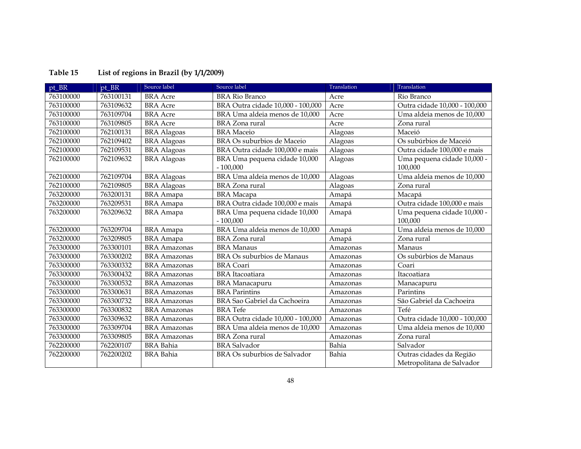| pt_BR     | pt BR     | Source label        | Source label                                | Translation | Translation                                           |
|-----------|-----------|---------------------|---------------------------------------------|-------------|-------------------------------------------------------|
| 763100000 | 763100131 | <b>BRA</b> Acre     | <b>BRA Rio Branco</b>                       | Acre        | Rio Branco                                            |
| 763100000 | 763109632 | <b>BRA</b> Acre     | BRA Outra cidade 10,000 - 100,000           | Acre        | Outra cidade 10,000 - 100,000                         |
| 763100000 | 763109704 | <b>BRA</b> Acre     | BRA Uma aldeia menos de 10,000              | Acre        | Uma aldeia menos de 10,000                            |
| 763100000 | 763109805 | <b>BRA</b> Acre     | <b>BRA</b> Zona rural                       | Acre        | Zona rural                                            |
| 762100000 | 762100131 | <b>BRA</b> Alagoas  | <b>BRA</b> Maceio                           | Alagoas     | Maceió                                                |
| 762100000 | 762109402 | <b>BRA</b> Alagoas  | BRA Os suburbios de Maceio                  | Alagoas     | Os subúrbios de Maceió                                |
| 762100000 | 762109531 | <b>BRA</b> Alagoas  | BRA Outra cidade 100,000 e mais             | Alagoas     | Outra cidade 100,000 e mais                           |
| 762100000 | 762109632 | <b>BRA</b> Alagoas  | BRA Uma pequena cidade 10,000<br>$-100,000$ | Alagoas     | Uma pequena cidade 10,000 -<br>100,000                |
| 762100000 | 762109704 | <b>BRA</b> Alagoas  | BRA Uma aldeia menos de 10,000              | Alagoas     | Uma aldeia menos de 10,000                            |
| 762100000 | 762109805 | <b>BRA</b> Alagoas  | <b>BRA</b> Zona rural                       | Alagoas     | Zona rural                                            |
| 763200000 | 763200131 | <b>BRA</b> Amapa    | <b>BRA</b> Macapa                           | Amapá       | Macapá                                                |
| 763200000 | 763209531 | <b>BRA</b> Amapa    | BRA Outra cidade 100,000 e mais             | Amapá       | Outra cidade 100,000 e mais                           |
| 763200000 | 763209632 | <b>BRA</b> Amapa    | BRA Uma pequena cidade 10,000<br>$-100,000$ | Amapá       | Uma pequena cidade 10,000 -<br>100,000                |
| 763200000 | 763209704 | <b>BRA</b> Amapa    | BRA Uma aldeia menos de 10,000              | Amapá       | Uma aldeia menos de 10,000                            |
| 763200000 | 763209805 | <b>BRA</b> Amapa    | <b>BRA</b> Zona rural                       | Amapá       | Zona rural                                            |
| 763300000 | 763300101 | <b>BRA</b> Amazonas | <b>BRA</b> Manaus                           | Amazonas    | Manaus                                                |
| 763300000 | 763300202 | <b>BRA</b> Amazonas | BRA Os suburbios de Manaus                  | Amazonas    | Os subúrbios de Manaus                                |
| 763300000 | 763300332 | <b>BRA</b> Amazonas | <b>BRA</b> Coari                            | Amazonas    | Coari                                                 |
| 763300000 | 763300432 | <b>BRA</b> Amazonas | <b>BRA</b> Itacoatiara                      | Amazonas    | Itacoatiara                                           |
| 763300000 | 763300532 | <b>BRA</b> Amazonas | <b>BRA</b> Manacapuru                       | Amazonas    | Manacapuru                                            |
| 763300000 | 763300631 | <b>BRA</b> Amazonas | <b>BRA</b> Parintins                        | Amazonas    | Parintins                                             |
| 763300000 | 763300732 | <b>BRA</b> Amazonas | BRA Sao Gabriel da Cachoeira                | Amazonas    | São Gabriel da Cachoeira                              |
| 763300000 | 763300832 | <b>BRA</b> Amazonas | <b>BRA</b> Tefe                             | Amazonas    | Tefé                                                  |
| 763300000 | 763309632 | <b>BRA</b> Amazonas | BRA Outra cidade 10,000 - 100,000           | Amazonas    | Outra cidade 10,000 - 100,000                         |
| 763300000 | 763309704 | <b>BRA Amazonas</b> | BRA Uma aldeia menos de 10,000              | Amazonas    | Uma aldeia menos de 10,000                            |
| 763300000 | 763309805 | <b>BRA</b> Amazonas | <b>BRA</b> Zona rural                       | Amazonas    | Zona rural                                            |
| 762200000 | 762200107 | <b>BRA</b> Bahia    | <b>BRA</b> Salvador                         | Bahia       | Salvador                                              |
| 762200000 | 762200202 | <b>BRA</b> Bahia    | BRA Os suburbios de Salvador                | Bahia       | Outras cidades da Região<br>Metropolitana de Salvador |

# **Table 15 List of regions in Brazil (by 1/1/2009)**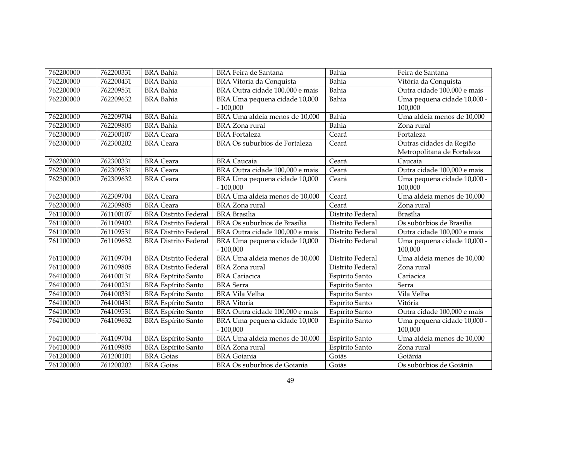| 762200000 | 762200331 | <b>BRA</b> Bahia            | <b>BRA Feira de Santana</b>                 | Bahia            | Feira de Santana                       |
|-----------|-----------|-----------------------------|---------------------------------------------|------------------|----------------------------------------|
| 762200000 | 762200431 | <b>BRA</b> Bahia            | BRA Vitoria da Conquista                    | Bahia            | Vitória da Conquista                   |
| 762200000 | 762209531 | <b>BRA</b> Bahia            | BRA Outra cidade 100,000 e mais             | Bahia            | Outra cidade 100,000 e mais            |
| 762200000 | 762209632 | <b>BRA</b> Bahia            | BRA Uma pequena cidade 10,000               | Bahia            | Uma pequena cidade 10,000 -            |
|           |           |                             | $-100,000$                                  |                  | 100,000                                |
| 762200000 | 762209704 | <b>BRA</b> Bahia            | BRA Uma aldeia menos de 10,000              | Bahia            | Uma aldeia menos de 10,000             |
| 762200000 | 762209805 | <b>BRA</b> Bahia            | <b>BRA</b> Zona rural                       | Bahia            | Zona rural                             |
| 762300000 | 762300107 | <b>BRA</b> Ceara            | <b>BRA</b> Fortaleza                        | Ceará            | Fortaleza                              |
| 762300000 | 762300202 | <b>BRA</b> Ceara            | BRA Os suburbios de Fortaleza               | Ceará            | Outras cidades da Região               |
|           |           |                             |                                             |                  | Metropolitana de Fortaleza             |
| 762300000 | 762300331 | <b>BRA</b> Ceara            | <b>BRA</b> Caucaia                          | Ceará            | Caucaia                                |
| 762300000 | 762309531 | <b>BRA</b> Ceara            | BRA Outra cidade 100,000 e mais             | Ceará            | Outra cidade 100,000 e mais            |
| 762300000 | 762309632 | <b>BRA</b> Ceara            | BRA Uma pequena cidade 10,000               | Ceará            | Uma pequena cidade 10,000 -            |
|           |           |                             | $-100,000$                                  |                  | 100,000                                |
| 762300000 | 762309704 | <b>BRA</b> Ceara            | BRA Uma aldeia menos de 10,000              | Ceará            | Uma aldeia menos de 10,000             |
| 762300000 | 762309805 | <b>BRA</b> Ceara            | <b>BRA</b> Zona rural                       | Ceará            | Zona rural                             |
| 761100000 | 761100107 | <b>BRA Distrito Federal</b> | <b>BRA</b> Brasilia                         | Distrito Federal | <b>Brasília</b>                        |
| 761100000 | 761109402 | <b>BRA Distrito Federal</b> | BRA Os suburbios de Brasilia                | Distrito Federal | Os subúrbios de Brasília               |
| 761100000 | 761109531 | <b>BRA Distrito Federal</b> | BRA Outra cidade 100,000 e mais             | Distrito Federal | Outra cidade 100,000 e mais            |
| 761100000 | 761109632 | <b>BRA Distrito Federal</b> | BRA Uma pequena cidade 10,000               | Distrito Federal | Uma pequena cidade 10,000 -            |
|           |           |                             | $-100,000$                                  |                  | 100,000                                |
| 761100000 | 761109704 | <b>BRA Distrito Federal</b> | BRA Uma aldeia menos de 10,000              | Distrito Federal | Uma aldeia menos de 10,000             |
| 761100000 | 761109805 | <b>BRA Distrito Federal</b> | <b>BRA</b> Zona rural                       | Distrito Federal | Zona rural                             |
| 764100000 | 764100131 | <b>BRA Espírito Santo</b>   | <b>BRA</b> Cariacica                        | Espírito Santo   | Cariacica                              |
| 764100000 | 764100231 | <b>BRA Espírito Santo</b>   | <b>BRA</b> Serra                            | Espírito Santo   | Serra                                  |
| 764100000 | 764100331 | <b>BRA Espírito Santo</b>   | <b>BRA Vila Velha</b>                       | Espírito Santo   | Vila Velha                             |
| 764100000 | 764100431 | <b>BRA Espírito Santo</b>   | <b>BRA</b> Vitoria                          | Espírito Santo   | Vitória                                |
| 764100000 | 764109531 | <b>BRA Espírito Santo</b>   | BRA Outra cidade 100,000 e mais             | Espírito Santo   | Outra cidade 100,000 e mais            |
| 764100000 | 764109632 | <b>BRA Espírito Santo</b>   | BRA Uma pequena cidade 10,000<br>$-100,000$ | Espírito Santo   | Uma pequena cidade 10,000 -<br>100,000 |
| 764100000 | 764109704 | <b>BRA Espírito Santo</b>   | BRA Uma aldeia menos de 10,000              | Espírito Santo   | Uma aldeia menos de 10,000             |
| 764100000 | 764109805 | <b>BRA Espírito Santo</b>   | <b>BRA</b> Zona rural                       | Espírito Santo   | Zona rural                             |
| 761200000 | 761200101 | <b>BRA</b> Goias            | <b>BRA</b> Goiania                          | Goiás            | Goiânia                                |
| 761200000 | 761200202 | <b>BRA</b> Goias            | BRA Os suburbios de Goiania                 | Goiás            | Os subúrbios de Goiânia                |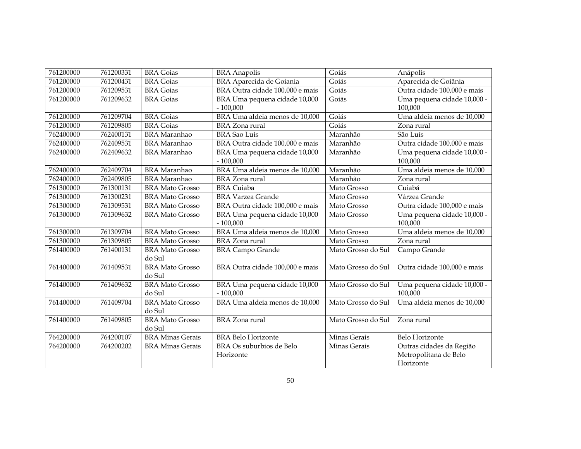| 761200000 | 761200331 | <b>BRA</b> Goias        | <b>BRA</b> Anapolis             | Goiás              | Anápolis                    |
|-----------|-----------|-------------------------|---------------------------------|--------------------|-----------------------------|
| 761200000 | 761200431 | <b>BRA</b> Goias        | <b>BRA</b> Aparecida de Goiania | Goiás              | Aparecida de Goiânia        |
| 761200000 | 761209531 | <b>BRA</b> Goias        | BRA Outra cidade 100,000 e mais | Goiás              | Outra cidade 100,000 e mais |
| 761200000 | 761209632 | <b>BRA</b> Goias        | BRA Uma pequena cidade 10,000   | Goiás              | Uma pequena cidade 10,000 - |
|           |           |                         | $-100,000$                      |                    | 100,000                     |
| 761200000 | 761209704 | <b>BRA</b> Goias        | BRA Uma aldeia menos de 10,000  | Goiás              | Uma aldeia menos de 10,000  |
| 761200000 | 761209805 | <b>BRA</b> Goias        | <b>BRA</b> Zona rural           | Goiás              | Zona rural                  |
| 762400000 | 762400131 | <b>BRA</b> Maranhao     | <b>BRA</b> Sao Luis             | Maranhão           | São Luís                    |
| 762400000 | 762409531 | <b>BRA</b> Maranhao     | BRA Outra cidade 100,000 e mais | Maranhão           | Outra cidade 100,000 e mais |
| 762400000 | 762409632 | <b>BRA</b> Maranhao     | BRA Uma pequena cidade 10,000   | Maranhão           | Uma pequena cidade 10,000 - |
|           |           |                         | $-100,000$                      |                    | 100,000                     |
| 762400000 | 762409704 | <b>BRA</b> Maranhao     | BRA Uma aldeia menos de 10,000  | Maranhão           | Uma aldeia menos de 10,000  |
| 762400000 | 762409805 | <b>BRA</b> Maranhao     | <b>BRA</b> Zona rural           | Maranhão           | Zona rural                  |
| 761300000 | 761300131 | <b>BRA Mato Grosso</b>  | <b>BRA</b> Cuiaba               | Mato Grosso        | Cuiabá                      |
| 761300000 | 761300231 | <b>BRA Mato Grosso</b>  | <b>BRA Varzea Grande</b>        | Mato Grosso        | Várzea Grande               |
| 761300000 | 761309531 | <b>BRA Mato Grosso</b>  | BRA Outra cidade 100,000 e mais | Mato Grosso        | Outra cidade 100,000 e mais |
| 761300000 | 761309632 | <b>BRA Mato Grosso</b>  | BRA Uma pequena cidade 10,000   | Mato Grosso        | Uma pequena cidade 10,000 - |
|           |           |                         | $-100,000$                      |                    | 100,000                     |
| 761300000 | 761309704 | <b>BRA Mato Grosso</b>  | BRA Uma aldeia menos de 10,000  | Mato Grosso        | Uma aldeia menos de 10,000  |
| 761300000 | 761309805 | <b>BRA Mato Grosso</b>  | <b>BRA</b> Zona rural           | Mato Grosso        | Zona rural                  |
| 761400000 | 761400131 | <b>BRA Mato Grosso</b>  | <b>BRA Campo Grande</b>         | Mato Grosso do Sul | Campo Grande                |
|           |           | do Sul                  |                                 |                    |                             |
| 761400000 | 761409531 | <b>BRA Mato Grosso</b>  | BRA Outra cidade 100,000 e mais | Mato Grosso do Sul | Outra cidade 100,000 e mais |
|           |           | do Sul                  |                                 |                    |                             |
| 761400000 | 761409632 | <b>BRA Mato Grosso</b>  | BRA Uma pequena cidade 10,000   | Mato Grosso do Sul | Uma pequena cidade 10,000 - |
|           |           | do Sul                  | $-100,000$                      |                    | 100,000                     |
| 761400000 | 761409704 | <b>BRA Mato Grosso</b>  | BRA Uma aldeia menos de 10,000  | Mato Grosso do Sul | Uma aldeia menos de 10,000  |
|           |           | do Sul                  |                                 |                    |                             |
| 761400000 | 761409805 | <b>BRA Mato Grosso</b>  | <b>BRA</b> Zona rural           | Mato Grosso do Sul | Zona rural                  |
|           |           | do Sul                  |                                 |                    |                             |
| 764200000 | 764200107 | <b>BRA Minas Gerais</b> | <b>BRA Belo Horizonte</b>       | Minas Gerais       | Belo Horizonte              |
| 764200000 | 764200202 | <b>BRA Minas Gerais</b> | BRA Os suburbios de Belo        | Minas Gerais       | Outras cidades da Região    |
|           |           |                         | Horizonte                       |                    | Metropolitana de Belo       |
|           |           |                         |                                 |                    | Horizonte                   |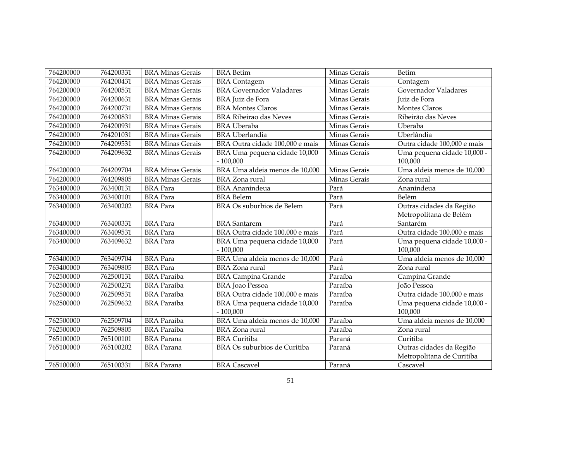| 764200000 | 764200331 | <b>BRA Minas Gerais</b> | <b>BRA</b> Betim                | Minas Gerais | Betim                       |
|-----------|-----------|-------------------------|---------------------------------|--------------|-----------------------------|
| 764200000 | 764200431 | <b>BRA Minas Gerais</b> | <b>BRA</b> Contagem             | Minas Gerais | Contagem                    |
| 764200000 | 764200531 | <b>BRA Minas Gerais</b> | <b>BRA Governador Valadares</b> | Minas Gerais | Governador Valadares        |
| 764200000 | 764200631 | <b>BRA Minas Gerais</b> | BRA Juiz de Fora                | Minas Gerais | Juiz de Fora                |
| 764200000 | 764200731 | <b>BRA Minas Gerais</b> | <b>BRA Montes Claros</b>        | Minas Gerais | Montes Claros               |
| 764200000 | 764200831 | <b>BRA Minas Gerais</b> | <b>BRA Ribeirao das Neves</b>   | Minas Gerais | Ribeirão das Neves          |
| 764200000 | 764200931 | <b>BRA Minas Gerais</b> | <b>BRA</b> Uberaba              | Minas Gerais | Uberaba                     |
| 764200000 | 764201031 | <b>BRA Minas Gerais</b> | <b>BRA</b> Uberlandia           | Minas Gerais | Uberlândia                  |
| 764200000 | 764209531 | <b>BRA Minas Gerais</b> | BRA Outra cidade 100,000 e mais | Minas Gerais | Outra cidade 100,000 e mais |
| 764200000 | 764209632 | <b>BRA Minas Gerais</b> | BRA Uma pequena cidade 10,000   | Minas Gerais | Uma pequena cidade 10,000 - |
|           |           |                         | $-100,000$                      |              | 100,000                     |
| 764200000 | 764209704 | <b>BRA Minas Gerais</b> | BRA Uma aldeia menos de 10,000  | Minas Gerais | Uma aldeia menos de 10,000  |
| 764200000 | 764209805 | <b>BRA Minas Gerais</b> | <b>BRA</b> Zona rural           | Minas Gerais | Zona rural                  |
| 763400000 | 763400131 | <b>BRA</b> Para         | <b>BRA</b> Ananindeua           | Pará         | Ananindeua                  |
| 763400000 | 763400101 | <b>BRA</b> Para         | <b>BRA</b> Belem                | Pará         | Belém                       |
| 763400000 | 763400202 | <b>BRA</b> Para         | BRA Os suburbios de Belem       | Pará         | Outras cidades da Região    |
|           |           |                         |                                 |              | Metropolitana de Belém      |
| 763400000 | 763400331 | <b>BRA</b> Para         | <b>BRA</b> Santarem             | Pará         | Santarém                    |
| 763400000 | 763409531 | <b>BRA</b> Para         | BRA Outra cidade 100,000 e mais | Pará         | Outra cidade 100,000 e mais |
| 763400000 | 763409632 | <b>BRA</b> Para         | BRA Uma pequena cidade 10,000   | Pará         | Uma pequena cidade 10,000 - |
|           |           |                         | $-100,000$                      |              | 100,000                     |
| 763400000 | 763409704 | <b>BRA</b> Para         | BRA Uma aldeia menos de 10,000  | Pará         | Uma aldeia menos de 10,000  |
| 763400000 | 763409805 | <b>BRA</b> Para         | <b>BRA</b> Zona rural           | Pará         | Zona rural                  |
| 762500000 | 762500131 | <b>BRA</b> Paraíba      | <b>BRA Campina Grande</b>       | Paraíba      | Campina Grande              |
| 762500000 | 762500231 | <b>BRA</b> Paraíba      | <b>BRA</b> Joao Pessoa          | Paraíba      | <b>João Pessoa</b>          |
| 762500000 | 762509531 | <b>BRA</b> Paraíba      | BRA Outra cidade 100,000 e mais | Paraíba      | Outra cidade 100,000 e mais |
| 762500000 | 762509632 | <b>BRA</b> Paraíba      | BRA Uma pequena cidade 10,000   | Paraíba      | Uma pequena cidade 10,000 - |
|           |           |                         | $-100,000$                      |              | 100,000                     |
| 762500000 | 762509704 | <b>BRA</b> Paraíba      | BRA Uma aldeia menos de 10,000  | Paraíba      | Uma aldeia menos de 10,000  |
| 762500000 | 762509805 | <b>BRA</b> Paraíba      | <b>BRA</b> Zona rural           | Paraíba      | Zona rural                  |
| 765100000 | 765100101 | <b>BRA</b> Parana       | <b>BRA</b> Curitiba             | Paraná       | Curitiba                    |
| 765100000 | 765100202 | <b>BRA</b> Parana       | BRA Os suburbios de Curitiba    | Paraná       | Outras cidades da Região    |
|           |           |                         |                                 |              | Metropolitana de Curitiba   |
| 765100000 | 765100331 | <b>BRA</b> Parana       | <b>BRA</b> Cascavel             | Paraná       | Cascavel                    |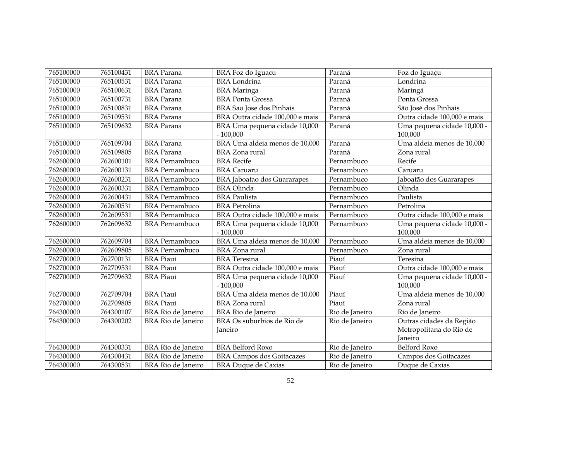| 765100000 | 765100431 | <b>BRA</b> Parana         | BRA Foz do Iguacu                           | Paraná         | Foz do Iguaçu                                                  |
|-----------|-----------|---------------------------|---------------------------------------------|----------------|----------------------------------------------------------------|
| 765100000 | 765100531 | <b>BRA</b> Parana         | <b>BRA</b> Londrina                         | Paraná         | Londrina                                                       |
| 765100000 | 765100631 | <b>BRA</b> Parana         | <b>BRA</b> Maringa                          | Paraná         | Maringá                                                        |
| 765100000 | 765100731 | <b>BRA</b> Parana         | <b>BRA Ponta Grossa</b>                     | Paraná         | Ponta Grossa                                                   |
| 765100000 | 765100831 | <b>BRA</b> Parana         | BRA Sao Jose dos Pinhais                    | Paraná         | São José dos Pinhais                                           |
| 765100000 | 765109531 | <b>BRA</b> Parana         | BRA Outra cidade 100,000 e mais             | Paraná         | Outra cidade 100,000 e mais                                    |
| 765100000 | 765109632 | <b>BRA</b> Parana         | BRA Uma pequena cidade 10,000<br>$-100,000$ | Paraná         | Uma pequena cidade 10,000 -<br>100,000                         |
| 765100000 | 765109704 | <b>BRA</b> Parana         | BRA Uma aldeia menos de 10,000              | Paraná         | Uma aldeia menos de 10,000                                     |
| 765100000 | 765109805 | <b>BRA</b> Parana         | BRA Zona rural                              | Paraná         | Zona rural                                                     |
| 762600000 | 762600101 | <b>BRA</b> Pernambuco     | <b>BRA</b> Recife                           | Pernambuco     | Recife                                                         |
| 762600000 | 762600131 | <b>BRA</b> Pernambuco     | <b>BRA</b> Caruaru                          | Pernambuco     | Caruaru                                                        |
| 762600000 | 762600231 | <b>BRA</b> Pernambuco     | <b>BRA</b> Jaboatao dos Guararapes          | Pernambuco     | Jaboatão dos Guararapes                                        |
| 762600000 | 762600331 | <b>BRA</b> Pernambuco     | <b>BRA</b> Olinda                           | Pernambuco     | Olinda                                                         |
| 762600000 | 762600431 | <b>BRA</b> Pernambuco     | <b>BRA</b> Paulista                         | Pernambuco     | Paulista                                                       |
| 762600000 | 762600531 | <b>BRA</b> Pernambuco     | <b>BRA</b> Petrolina                        | Pernambuco     | Petrolina                                                      |
| 762600000 | 762609531 | <b>BRA</b> Pernambuco     | BRA Outra cidade 100,000 e mais             | Pernambuco     | Outra cidade 100,000 e mais                                    |
| 762600000 | 762609632 | <b>BRA</b> Pernambuco     |                                             | Pernambuco     |                                                                |
|           |           |                           | BRA Uma pequena cidade 10,000<br>$-100,000$ |                | Uma pequena cidade 10,000 -<br>100,000                         |
| 762600000 | 762609704 | <b>BRA</b> Pernambuco     | BRA Uma aldeia menos de 10,000              | Pernambuco     | Uma aldeia menos de 10,000                                     |
| 762600000 | 762609805 | <b>BRA</b> Pernambuco     | <b>BRA</b> Zona rural                       | Pernambuco     | Zona rural                                                     |
| 762700000 | 762700131 | <b>BRA</b> Piauí          | <b>BRA</b> Teresina                         | Piauí          | Teresina                                                       |
| 762700000 | 762709531 | <b>BRA Piauí</b>          | BRA Outra cidade 100,000 e mais             | Piauí          | Outra cidade 100,000 e mais                                    |
| 762700000 | 762709632 | <b>BRA Piauí</b>          | BRA Uma pequena cidade 10,000<br>$-100,000$ | Piauí          | Uma pequena cidade 10,000 -<br>100,000                         |
| 762700000 | 762709704 | <b>BRA</b> Piauí          | BRA Uma aldeia menos de 10,000              | Piauí          | Uma aldeia menos de 10,000                                     |
| 762700000 | 762709805 | <b>BRA Piauí</b>          | <b>BRA</b> Zona rural                       | Piauí          | Zona rural                                                     |
| 764300000 | 764300107 | BRA Rio de Janeiro        | BRA Rio de Janeiro                          | Rio de Janeiro | Rio de Janeiro                                                 |
| 764300000 | 764300202 | BRA Rio de Janeiro        | BRA Os suburbios de Rio de<br>Janeiro       | Rio de Janeiro | Outras cidades da Região<br>Metropolitana do Rio de<br>Janeiro |
| 764300000 | 764300331 | BRA Rio de Janeiro        | <b>BRA Belford Roxo</b>                     | Rio de Janeiro | Belford Roxo                                                   |
| 764300000 | 764300431 | BRA Rio de Janeiro        | <b>BRA Campos dos Goitacazes</b>            | Rio de Janeiro | Campos dos Goitacazes                                          |
| 764300000 | 764300531 | <b>BRA Rio de Janeiro</b> | <b>BRA Duque de Caxias</b>                  | Rio de Janeiro | Duque de Caxias                                                |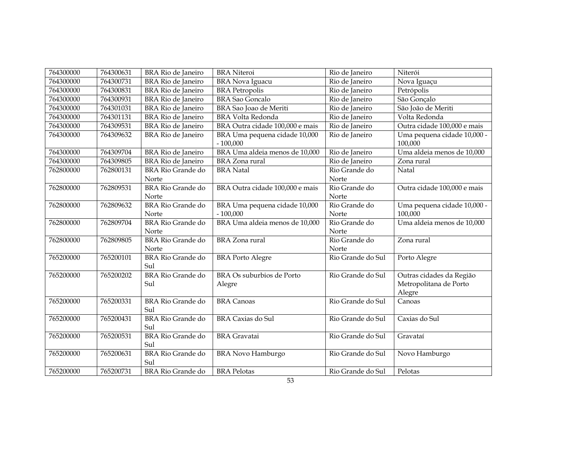| 764300000 | 764300631 | <b>BRA Rio de Janeiro</b>         | <b>BRA</b> Niteroi                          | Rio de Janeiro         | Niterói                                |
|-----------|-----------|-----------------------------------|---------------------------------------------|------------------------|----------------------------------------|
| 764300000 | 764300731 | BRA Rio de Janeiro                | <b>BRA Nova Iguacu</b>                      | Rio de Janeiro         | Nova Iguaçu                            |
| 764300000 | 764300831 | BRA Rio de Janeiro                | <b>BRA</b> Petropolis                       | Rio de Janeiro         | Petrópolis                             |
| 764300000 | 764300931 | BRA Rio de Janeiro                | <b>BRA Sao Goncalo</b>                      | Rio de Janeiro         | São Gonçalo                            |
| 764300000 | 764301031 | BRA Rio de Janeiro                | BRA Sao Joao de Meriti                      | Rio de Janeiro         | São João de Meriti                     |
| 764300000 | 764301131 | <b>BRA Rio de Janeiro</b>         | <b>BRA Volta Redonda</b>                    | Rio de Janeiro         | Volta Redonda                          |
| 764300000 | 764309531 | BRA Rio de Janeiro                | BRA Outra cidade 100,000 e mais             | Rio de Janeiro         | Outra cidade 100,000 e mais            |
| 764300000 | 764309632 | BRA Rio de Janeiro                | BRA Uma pequena cidade 10,000<br>$-100,000$ | Rio de Janeiro         | Uma pequena cidade 10,000 -<br>100,000 |
| 764300000 | 764309704 | <b>BRA Rio de Janeiro</b>         | BRA Uma aldeia menos de 10,000              | Rio de Janeiro         | Uma aldeia menos de 10,000             |
| 764300000 | 764309805 | <b>BRA Rio de Janeiro</b>         | <b>BRA</b> Zona rural                       | Rio de Janeiro         | Zona rural                             |
| 762800000 | 762800131 | <b>BRA Rio Grande do</b>          | <b>BRA</b> Natal                            | Rio Grande do          | Natal                                  |
|           |           | Norte                             |                                             | Norte                  |                                        |
| 762800000 | 762809531 | <b>BRA Rio Grande do</b><br>Norte | BRA Outra cidade 100,000 e mais             | Rio Grande do<br>Norte | Outra cidade 100,000 e mais            |
| 762800000 | 762809632 | <b>BRA Rio Grande do</b>          | BRA Uma pequena cidade 10,000               | Rio Grande do          | Uma pequena cidade 10,000 -            |
|           |           | Norte                             | $-100,000$                                  | Norte                  | 100,000                                |
| 762800000 | 762809704 | <b>BRA Rio Grande do</b>          | BRA Uma aldeia menos de 10,000              | Rio Grande do          | Uma aldeia menos de 10,000             |
|           |           | Norte                             |                                             | Norte                  |                                        |
| 762800000 | 762809805 | <b>BRA Rio Grande do</b>          | <b>BRA</b> Zona rural                       | Rio Grande do          | Zona rural                             |
|           |           | Norte                             |                                             | Norte                  |                                        |
| 765200000 | 765200101 | <b>BRA Rio Grande do</b>          | <b>BRA Porto Alegre</b>                     | Rio Grande do Sul      | Porto Alegre                           |
|           |           | Sul                               |                                             |                        |                                        |
| 765200000 | 765200202 | <b>BRA Rio Grande do</b>          | BRA Os suburbios de Porto                   | Rio Grande do Sul      | Outras cidades da Região               |
|           |           | Sul                               | Alegre                                      |                        | Metropolitana de Porto                 |
|           |           |                                   |                                             |                        | Alegre                                 |
| 765200000 | 765200331 | <b>BRA Rio Grande do</b><br>Sul   | <b>BRA</b> Canoas                           | Rio Grande do Sul      | Canoas                                 |
| 765200000 | 765200431 | <b>BRA Rio Grande do</b>          | <b>BRA Caxias do Sul</b>                    | Rio Grande do Sul      | Caxias do Sul                          |
|           |           | Sul                               |                                             |                        |                                        |
| 765200000 | 765200531 | <b>BRA Rio Grande do</b>          | <b>BRA</b> Gravatai                         | Rio Grande do Sul      | Gravataí                               |
|           |           | Sul                               |                                             |                        |                                        |
| 765200000 | 765200631 | <b>BRA Rio Grande do</b>          | <b>BRA Novo Hamburgo</b>                    | Rio Grande do Sul      | Novo Hamburgo                          |
|           |           | Sul                               |                                             |                        |                                        |
| 765200000 | 765200731 | <b>BRA Rio Grande do</b>          | <b>BRA Pelotas</b>                          | Rio Grande do Sul      | Pelotas                                |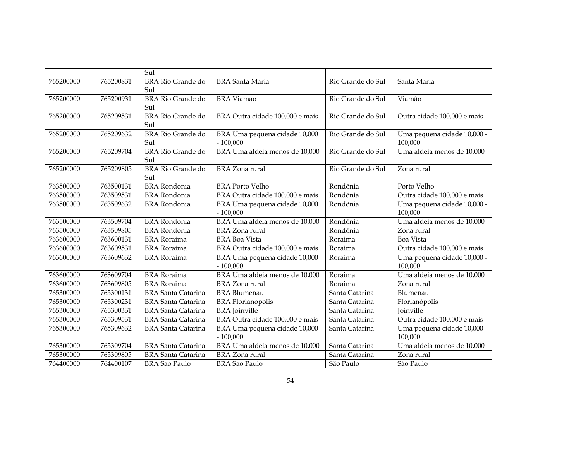|           |           | Sul                             |                                             |                   |                                        |
|-----------|-----------|---------------------------------|---------------------------------------------|-------------------|----------------------------------------|
| 765200000 | 765200831 | <b>BRA Rio Grande do</b><br>Sul | <b>BRA</b> Santa Maria                      | Rio Grande do Sul | Santa Maria                            |
| 765200000 | 765200931 | <b>BRA Rio Grande do</b><br>Sul | <b>BRA</b> Viamao                           | Rio Grande do Sul | Viamão                                 |
| 765200000 | 765209531 | <b>BRA Rio Grande do</b><br>Sul | BRA Outra cidade 100,000 e mais             | Rio Grande do Sul | Outra cidade 100,000 e mais            |
| 765200000 | 765209632 | <b>BRA Rio Grande do</b><br>Sul | BRA Uma pequena cidade 10,000<br>$-100,000$ | Rio Grande do Sul | Uma pequena cidade 10,000 -<br>100,000 |
| 765200000 | 765209704 | <b>BRA Rio Grande do</b><br>Sul | BRA Uma aldeia menos de 10,000              | Rio Grande do Sul | Uma aldeia menos de 10,000             |
| 765200000 | 765209805 | <b>BRA Rio Grande do</b><br>Sul | <b>BRA</b> Zona rural                       | Rio Grande do Sul | Zona rural                             |
| 763500000 | 763500131 | <b>BRA</b> Rondonia             | <b>BRA Porto Velho</b>                      | Rondônia          | Porto Velho                            |
| 763500000 | 763509531 | <b>BRA</b> Rondonia             | BRA Outra cidade 100,000 e mais             | Rondônia          | Outra cidade 100,000 e mais            |
| 763500000 | 763509632 | <b>BRA</b> Rondonia             | BRA Uma pequena cidade 10,000<br>$-100,000$ | Rondônia          | Uma pequena cidade 10,000 -<br>100,000 |
| 763500000 | 763509704 | <b>BRA</b> Rondonia             | BRA Uma aldeia menos de 10,000              | Rondônia          | Uma aldeia menos de 10,000             |
| 763500000 | 763509805 | <b>BRA</b> Rondonia             | <b>BRA</b> Zona rural                       | Rondônia          | Zona rural                             |
| 763600000 | 763600131 | <b>BRA</b> Roraima              | <b>BRA</b> Boa Vista                        | Roraima           | Boa Vista                              |
| 763600000 | 763609531 | <b>BRA</b> Roraima              | BRA Outra cidade 100,000 e mais             | Roraima           | Outra cidade 100,000 e mais            |
| 763600000 | 763609632 | <b>BRA</b> Roraima              | BRA Uma pequena cidade 10,000<br>$-100,000$ | Roraima           | Uma pequena cidade 10,000 -<br>100,000 |
| 763600000 | 763609704 | <b>BRA</b> Roraima              | BRA Uma aldeia menos de 10,000              | Roraima           | Uma aldeia menos de 10,000             |
| 763600000 | 763609805 | <b>BRA</b> Roraima              | <b>BRA</b> Zona rural                       | Roraima           | Zona rural                             |
| 765300000 | 765300131 | <b>BRA</b> Santa Catarina       | <b>BRA Blumenau</b>                         | Santa Catarina    | Blumenau                               |
| 765300000 | 765300231 | <b>BRA Santa Catarina</b>       | <b>BRA</b> Florianopolis                    | Santa Catarina    | Florianópolis                          |
| 765300000 | 765300331 | <b>BRA Santa Catarina</b>       | <b>BRA</b> Joinville                        | Santa Catarina    | <b>Joinville</b>                       |
| 765300000 | 765309531 | <b>BRA</b> Santa Catarina       | BRA Outra cidade 100,000 e mais             | Santa Catarina    | Outra cidade 100,000 e mais            |
| 765300000 | 765309632 | <b>BRA</b> Santa Catarina       | BRA Uma pequena cidade 10,000<br>$-100,000$ | Santa Catarina    | Uma pequena cidade 10,000 -<br>100,000 |
| 765300000 | 765309704 | <b>BRA</b> Santa Catarina       | BRA Uma aldeia menos de 10,000              | Santa Catarina    | Uma aldeia menos de 10,000             |
| 765300000 | 765309805 | <b>BRA Santa Catarina</b>       | BRA Zona rural                              | Santa Catarina    | Zona rural                             |
| 764400000 | 764400107 | <b>BRA</b> Sao Paulo            | <b>BRA Sao Paulo</b>                        | São Paulo         | São Paulo                              |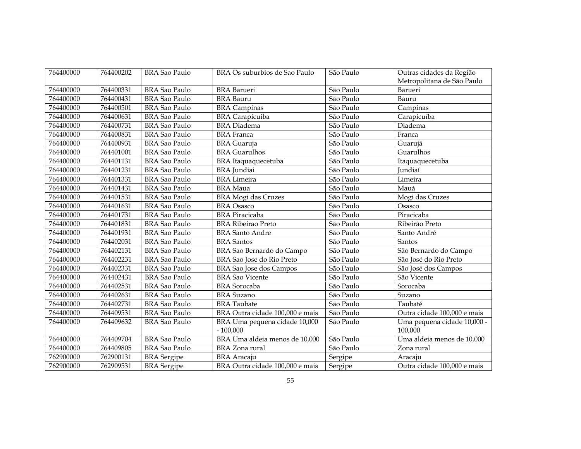| 764400000 | 764400202 | <b>BRA Sao Paulo</b> | BRA Os suburbios de Sao Paulo               | São Paulo | Outras cidades da Região               |
|-----------|-----------|----------------------|---------------------------------------------|-----------|----------------------------------------|
|           |           |                      |                                             |           | Metropolitana de São Paulo             |
| 764400000 | 764400331 | <b>BRA Sao Paulo</b> | <b>BRA</b> Barueri                          | São Paulo | Barueri                                |
| 764400000 | 764400431 | <b>BRA Sao Paulo</b> | <b>BRA</b> Bauru                            | São Paulo | Bauru                                  |
| 764400000 | 764400501 | <b>BRA Sao Paulo</b> | <b>BRA</b> Campinas                         | São Paulo | Campinas                               |
| 764400000 | 764400631 | <b>BRA Sao Paulo</b> | <b>BRA</b> Carapicuiba                      | São Paulo | Carapicuíba                            |
| 764400000 | 764400731 | <b>BRA Sao Paulo</b> | <b>BRA</b> Diadema                          | São Paulo | Diadema                                |
| 764400000 | 764400831 | <b>BRA Sao Paulo</b> | <b>BRA</b> Franca                           | São Paulo | Franca                                 |
| 764400000 | 764400931 | <b>BRA Sao Paulo</b> | <b>BRA</b> Guaruja                          | São Paulo | Guarujá                                |
| 764400000 | 764401001 | <b>BRA Sao Paulo</b> | <b>BRA</b> Guarulhos                        | São Paulo | Guarulhos                              |
| 764400000 | 764401131 | <b>BRA Sao Paulo</b> | BRA Itaquaquecetuba                         | São Paulo | Itaquaquecetuba                        |
| 764400000 | 764401231 | <b>BRA Sao Paulo</b> | <b>BRA</b> Jundiai                          | São Paulo | Jundiaí                                |
| 764400000 | 764401331 | <b>BRA Sao Paulo</b> | <b>BRA</b> Limeira                          | São Paulo | Limeira                                |
| 764400000 | 764401431 | <b>BRA Sao Paulo</b> | <b>BRA</b> Maua                             | São Paulo | Mauá                                   |
| 764400000 | 764401531 | <b>BRA Sao Paulo</b> | <b>BRA Mogi das Cruzes</b>                  | São Paulo | Mogi das Cruzes                        |
| 764400000 | 764401631 | <b>BRA Sao Paulo</b> | <b>BRA</b> Osasco                           | São Paulo | Osasco                                 |
| 764400000 | 764401731 | <b>BRA Sao Paulo</b> | <b>BRA</b> Piracicaba                       | São Paulo | Piracicaba                             |
| 764400000 | 764401831 | <b>BRA</b> Sao Paulo | <b>BRA Ribeirao Preto</b>                   | São Paulo | Ribeirão Preto                         |
| 764400000 | 764401931 | <b>BRA Sao Paulo</b> | <b>BRA</b> Santo Andre                      | São Paulo | Santo André                            |
| 764400000 | 764402031 | <b>BRA Sao Paulo</b> | <b>BRA</b> Santos                           | São Paulo | Santos                                 |
| 764400000 | 764402131 | <b>BRA Sao Paulo</b> | BRA Sao Bernardo do Campo                   | São Paulo | São Bernardo do Campo                  |
| 764400000 | 764402231 | <b>BRA Sao Paulo</b> | BRA Sao Jose do Rio Preto                   | São Paulo | São José do Rio Preto                  |
| 764400000 | 764402331 | <b>BRA Sao Paulo</b> | <b>BRA Sao Jose dos Campos</b>              | São Paulo | São José dos Campos                    |
| 764400000 | 764402431 | <b>BRA Sao Paulo</b> | <b>BRA</b> Sao Vicente                      | São Paulo | São Vicente                            |
| 764400000 | 764402531 | <b>BRA</b> Sao Paulo | <b>BRA</b> Sorocaba                         | São Paulo | Sorocaba                               |
| 764400000 | 764402631 | <b>BRA Sao Paulo</b> | <b>BRA</b> Suzano                           | São Paulo | Suzano                                 |
| 764400000 | 764402731 | <b>BRA Sao Paulo</b> | <b>BRA</b> Taubate                          | São Paulo | Taubaté                                |
| 764400000 | 764409531 | <b>BRA Sao Paulo</b> | BRA Outra cidade 100,000 e mais             | São Paulo | Outra cidade 100,000 e mais            |
| 764400000 | 764409632 | <b>BRA Sao Paulo</b> | BRA Uma pequena cidade 10,000<br>$-100,000$ | São Paulo | Uma pequena cidade 10,000 -<br>100,000 |
| 764400000 | 764409704 | <b>BRA Sao Paulo</b> | BRA Uma aldeia menos de 10,000              | São Paulo | Uma aldeia menos de 10,000             |
| 764400000 | 764409805 | <b>BRA</b> Sao Paulo | <b>BRA</b> Zona rural                       | São Paulo | Zona rural                             |
| 762900000 | 762900131 | <b>BRA</b> Sergipe   | <b>BRA</b> Aracaju                          | Sergipe   | Aracaju                                |
| 762900000 | 762909531 | <b>BRA</b> Sergipe   | BRA Outra cidade 100,000 e mais             | Sergipe   | Outra cidade 100,000 e mais            |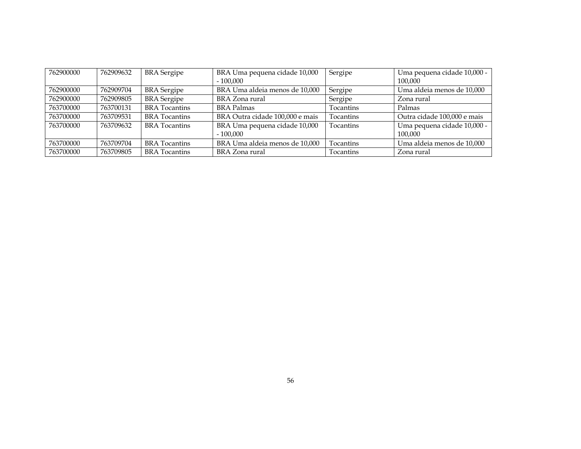| 762900000 | 762909632 | <b>BRA</b> Sergipe   | BRA Uma pequena cidade 10,000   | Sergipe          | Uma pequena cidade 10,000 - |
|-----------|-----------|----------------------|---------------------------------|------------------|-----------------------------|
|           |           |                      | $-100,000$                      |                  | 100,000                     |
| 762900000 | 762909704 | <b>BRA</b> Sergipe   | BRA Uma aldeia menos de 10,000  | Sergipe          | Uma aldeia menos de 10,000  |
| 762900000 | 762909805 | <b>BRA</b> Sergipe   | BRA Zona rural                  | Sergipe          | Zona rural                  |
| 763700000 | 763700131 | <b>BRA</b> Tocantins | <b>BRA</b> Palmas               | Tocantins        | Palmas                      |
| 763700000 | 763709531 | <b>BRA</b> Tocantins | BRA Outra cidade 100,000 e mais | <b>Tocantins</b> | Outra cidade 100,000 e mais |
| 763700000 | 763709632 | <b>BRA</b> Tocantins | BRA Uma pequena cidade 10,000   | <b>Tocantins</b> | Uma pequena cidade 10,000 - |
|           |           |                      | $-100,000$                      |                  | 100.000                     |
| 763700000 | 763709704 | <b>BRA</b> Tocantins | BRA Uma aldeia menos de 10,000  | <b>Tocantins</b> | Uma aldeia menos de 10,000  |
| 763700000 | 763709805 | <b>BRA</b> Tocantins | BRA Zona rural                  | <b>Tocantins</b> | Zona rural                  |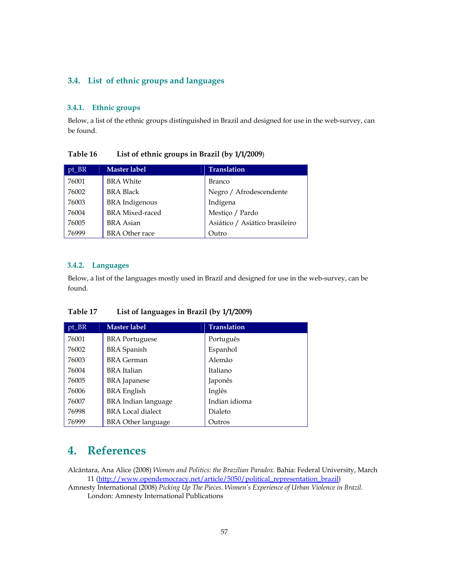# **3.4. List of ethnic groups and languages**

### **3.4.1. Ethnic groups**

Below, a list of the ethnic groups distinguished in Brazil and designed for use in the web-survey, can be found.

| $pt\_BR$ | <b>Master label</b>    | <b>Translation</b>             |
|----------|------------------------|--------------------------------|
| 76001    | <b>BRA</b> White       | Branco                         |
| 76002    | <b>BRA Black</b>       | Negro / Afrodescendente        |
| 76003    | <b>BRA</b> Indigenous  | Indígena                       |
| 76004    | <b>BRA</b> Mixed-raced | Mestiço / Pardo                |
| 76005    | <b>BRA</b> Asian       | Asiático / Asiático brasileiro |
| 76999    | <b>BRA Other race</b>  | Outro                          |

**Table 16 List of ethnic groups in Brazil (by 1/1/2009**)

#### **3.4.2. Languages**

Below, a list of the languages mostly used in Brazil and designed for use in the web-survey, can be found.

### **Table 17 List of languages in Brazil (by 1/1/2009)**

| pt_BR | Master label              | <b>Translation</b> |
|-------|---------------------------|--------------------|
| 76001 | <b>BRA</b> Portuguese     | Português          |
| 76002 | <b>BRA</b> Spanish        | Espanhol           |
| 76003 | <b>BRA</b> German         | Alemão             |
| 76004 | BRA Italian               | Italiano           |
| 76005 | <b>BRA</b> Japanese       | Japonês            |
| 76006 | <b>BRA</b> English        | Inglês             |
| 76007 | BRA Indian language       | Indian idioma      |
| 76998 | <b>BRA</b> Local dialect  | Dialeto            |
| 76999 | <b>BRA Other language</b> | Outros             |

# **4. References**

Alcântara, Ana Alice (2008) *Women and Politics: the Brazilian Paradox.* Bahia: Federal University, March 11 (http://www.opendemocracy.net/article/5050/political\_representation\_brazil)

Amnesty International (2008) *Picking Up The Pieces. Women's Experience of Urban Violence in Brazil.*  London: Amnesty International Publications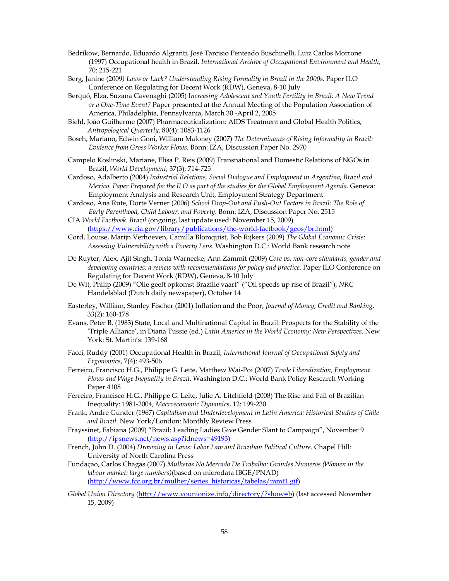- Bedrikow, Bernardo, Eduardo Algranti, José Tarcisio Penteado Buschinelli, Luiz Carlos Morrone (1997) Occupational health in Brazil, *International Archive of Occupational Environment and Health*, 70: 215-221
- Berg, Janine (2009*) Laws or Luck? Understanding Rising Formality in Brazil in the 2000s*. Paper ILO Conference on Regulating for Decent Work (RDW), Geneva, 8-10 July
- Berquó, Elza, Suzana Cavenaghi (2005) I*ncreasing Adolescent and Youth Fertility in Brazil: A New Trend or a One-Time Event?* Paper presented at the Annual Meeting of the Population Association of America, Philadelphia, Pennsylvania, March 30 -April 2, 2005
- Biehl, João Guilherme (2007) Pharmaceuticalization: AIDS Treatment and Global Health Politics, *Antropological Quarterly,* 80(4): 1083-1126
- Bosch, Mariano, Edwin Goni, William Maloney (2007**)** *The Determinants of Rising Informality in Brazil: Evidence from Gross Worker Flows.* Bonn: IZA, Discussion Paper No. 2970
- Campelo Koslinski, Mariane, Elisa P. Reis (2009) Transnational and Domestic Relations of NGOs in Brazil, *World Development*, 37(3): 714-725
- Cardoso, Adalberto (2004) *Industrial Relations, Social Dialogue and Employment in Argentina, Brazil and Mexico. Paper Prepared for the ILO as part of the studies for the Global Employment Agenda.* Geneva: Employment Analysis and Research Unit, Employment Strategy Department
- Cardoso, Ana Rute, Dorte Verner (2006) *School Drop-Out and Push-Out Factors in Brazil: The Role of Early Parenthood, Child Labour, and Poverty.* Bonn: IZA, Discussion Paper No. 2515
- CIA *World Factbook. Brazil* (ongoing, last update used: November 15, 2009) (https://www.cia.gov/library/publications/the-world-factbook/geos/br.html)
- Cord, Louise, Marijn Verhoeven, Camilla Blomquist, Bob Rijkers (2009) *The Global Economic Crisis: Assessing Vulnerability with a Poverty Lens*. Washington D.C.: World Bank research note
- De Ruyter, Alex, Ajit Singh, Tonia Warnecke, Ann Zammit (2009) *Core vs. non-core standards, gender and developing countries: a review with recommendations for policy and practice.* Paper ILO Conference on Regulating for Decent Work (RDW), Geneva, 8-10 July
- De Wit, Philip (2009) "Olie geeft opkomst Brazilie vaart" ("Oil speeds up rise of Brazil"), *NRC*  Handelsblad (Dutch daily newspaper), October 14
- Easterley, William, Stanley Fischer (2001) Inflation and the Poor, *Journal of Money, Credit and Banking*, 33(2): 160-178
- Evans, Peter B. (1983) State, Local and Multinational Capital in Brazil: Prospects for the Stability of the 'Triple Alliance', in Diana Tussie (ed.) *Latin America in the World Economy: New Perspectives.* New York: St. Martin's: 139-168
- Facci, Ruddy (2001) Occupational Health in Brazil, *International Journal of Occupational Safety and Ergonomics*, 7(4): 493-506
- Ferreiro, Francisco H.G., Philippe G. Leite, Matthew Wai-Poi (2007) *Trade Liberalization, Employment Flows and Wage Inequality in Brazil.* Washington D.C.: World Bank Policy Research Working Paper 4108
- Ferreiro, Francisco H.G., Philippe G. Leite, Julie A. Litchfield (2008) The Rise and Fall of Brazilian Inequality: 1981-2004, *Macroeconomic Dynamics*, 12: 199-230
- Frank, Andre Gunder (1967) *Capitalism and Underdevelopment in Latin America: Historical Studies of Chile and Brazil.* New York/London: Monthly Review Press
- Frayssinet, Fabiana (2009) "Brazil: Leading Ladies Give Gender Slant to Campaign", November 9 (http://ipsnews.net/news.asp?idnews=49193)
- French, John D. (2004) *Drowning in Laws: Labor Law and Brazilian Political Culture.* Chapel Hill: University of North Carolina Press
- Fundaçao, Carlos Chagas (2007) *Mulheras No Mercado De Trabalho: Grandes Numeros (Women in the labour market: large numbers)*(based on microdata IBGE/PNAD) (http://www.fcc.org.br/mulher/series\_historicas/tabelas/mmt1.gif)
- *Global Union Directory* (http://www.younionize.info/directory/?show=b) (last accessed November 15, 2009)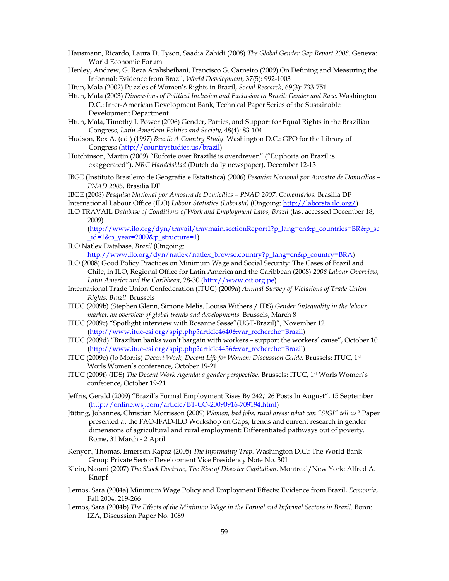- Hausmann, Ricardo, Laura D. Tyson, Saadia Zahidi (2008) *The Global Gender Gap Report 2008.* Geneva: World Economic Forum
- Henley, Andrew, G. Reza Arabsheibani, Francisco G. Carneiro (2009) On Defining and Measuring the Informal: Evidence from Brazil, *World Development,* 37(5): 992-1003
- Htun, Mala (2002) Puzzles of Women's Rights in Brazil, *Social Research*, 69(3): 733-751
- Htun, Mala (2003) *Dimensions of Political Inclusion and Exclusion in Brazil: Gender and Race.* Washington D.C.: Inter-American Development Bank, Technical Paper Series of the Sustainable Development Department
- Htun, Mala, Timothy J. Power (2006) Gender, Parties, and Support for Equal Rights in the Brazilian Congress, *Latin American Politics and Society*, 48(4): 83-104
- Hudson, Rex A. (ed.) (1997) *Brazil: A Country Study.* Washington D.C.: GPO for the Library of Congress (http://countrystudies.us/brazil)
- Hutchinson, Martin (2009) "Euforie over Brazilië is overdreven" ("Euphoria on Brazil is exaggerated"), *NRC Handelsblad* (Dutch daily newspaper), December 12-13
- IBGE (Instituto Brasileiro de Geografia e Estatística) (2006) *Pesquisa Nacional por Amostra de Domicílios PNAD 2005.* Brasilia DF
- IBGE (2008) *Pesquisa Nacional por Amostra de Domicílios PNAD 2007. Comentários.* Brasilia DF
- International Labour Office (ILO) *Labour Statistics (Laborsta)* (Ongoing: http://laborsta.ilo.org/)
- ILO TRAVAIL *Database of Conditions of Work and Employment Laws*, *Brazil* (last accessed December 18, 2009) (http://www.ilo.org/dyn/travail/travmain.sectionReport1?p\_lang=en&p\_countries=BR&p\_sc

 $id=1$ &p\_year=2009&p\_structure=1)

- ILO Natlex Database, *Brazil* (Ongoing: http://www.ilo.org/dyn/natlex/natlex\_browse.country?p\_lang=en&p\_country=BRA)
- ILO (2008) Good Policy Practices on Minimum Wage and Social Security: The Cases of Brazil and Chile, in ILO, Regional Office for Latin America and the Caribbean (2008) *2008 Labour Overview, Latin America and the Caribbean*, 28-30 (http://www.oit.org.pe)
- International Trade Union Confederation (ITUC) (2009a) *Annual Survey of Violations of Trade Union Rights. Brazil.* Brussels
- ITUC (2009b) (Stephen Glenn, Simone Melis, Louisa Withers / IDS) *Gender (in)equality in the labour market: an overview of global trends and developments.* Brussels, March 8
- ITUC (2009c) "Spotlight interview with Rosanne Sasse"(UGT-Brazil)", November 12 (http://www.ituc-csi.org/spip.php?article4640&var\_recherche=Brazil)
- ITUC (2009d) "Brazilian banks won't bargain with workers support the workers' cause", October 10 (http://www.ituc-csi.org/spip.php?article4456&var\_recherche=Brazil)
- ITUC (2009e) (Jo Morris) *Decent Work, Decent Life for Women: Discussion Guide.* Brussels: ITUC, 1st Worls Women's conference, October 19-21
- ITUC (2009f) (IDS) *The Decent Work Agenda: a gender perspective.* Brussels: ITUC, 1st Worls Women's conference, October 19-21
- Jeffris, Gerald (2009) "Brazil's Formal Employment Rises By 242,126 Posts In August", 15 September (http://online.wsj.com/article/BT-CO-20090916-709194.html)
- Jütting, Johannes, Christian Morrisson (2009) *Women, bad jobs, rural areas: what can "SIGI" tell us?* Paper presented at the FAO-IFAD-ILO Workshop on Gaps, trends and current research in gender dimensions of agricultural and rural employment: Differentiated pathways out of poverty. Rome, 31 March - 2 April
- Kenyon, Thomas, Emerson Kapaz (2005) *The Informality Trap.* Washington D.C.: The World Bank Group Private Sector Development Vice Presidency Note No. 301
- Klein, Naomi (2007) *The Shock Doctrine, The Rise of Disaster Capitalism*. Montreal/New York: Alfred A. Knopf
- Lemos, Sara (2004a) Minimum Wage Policy and Employment Effects: Evidence from Brazil, *Economia*, Fall 2004: 219-266
- Lemos, Sara (2004b) *The Effects of the Minimum Wage in the Formal and Informal Sectors in Brazil. Bonn:* IZA, Discussion Paper No. 1089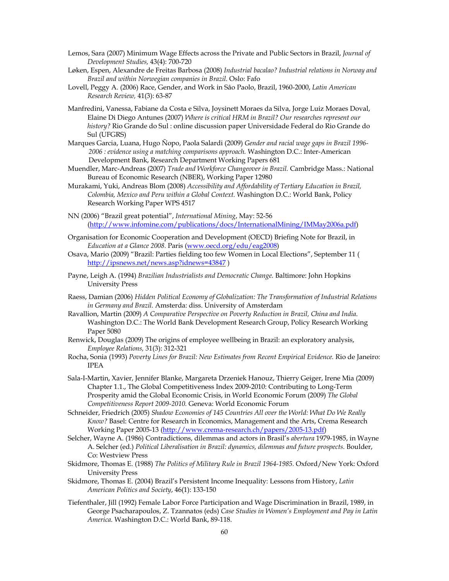- Lemos, Sara (2007) Minimum Wage Effects across the Private and Public Sectors in Brazil, *Journal of Development Studies,* 43(4): 700-720
- Løken, Espen, Alexandre de Freitas Barbosa (2008) *Industrial bacalao? Industrial relations in Norway and Brazil and within Norwegian companies in Brazil.* Oslo: Fafo
- Lovell, Peggy A. (2006) Race, Gender, and Work in Sâo Paolo, Brazil, 1960-2000, *Latin American Research Review,* 41(3): 63-87
- Manfredini, Vanessa, Fabiane da Costa e Silva, Joysinett Moraes da Silva, Jorge Luiz Moraes Doval, Elaine Di Diego Antunes (2007) *Where is critical HRM in Brazil? Our researches represent our history?* Rio Grande do Sul : online discussion paper Universidade Federal do Rio Grande do Sul (UFGRS)
- Marques Garcia, Luana, Hugo Ñopo, Paola Salardi (2009) *Gender and racial wage gaps in Brazil 1996- 2006 : evidence using a matching comparisons approach.* Washington D.C.: Inter-American Development Bank, Research Department Working Papers 681
- Muendler, Marc-Andreas (2007) *Trade and Workforce Changeover in Brazil.* Cambridge Mass.: National Bureau of Economic Research (NBER), Working Paper 12980
- Murakami, Yuki, Andreas Blom (2008) *Accessibility and Affordability of Tertiary Education in Brazil, Colombia, Mexico and Peru within a Global Context.* Washington D.C.: World Bank, Policy Research Working Paper WPS 4517
- NN (2006) "Brazil great potential", *International Mining*, May: 52-56 (http://www.infomine.com/publications/docs/InternationalMining/IMMay2006a.pdf)
- Organisation for Economic Cooperation and Development (OECD) Briefing Note for Brazil, in *Education at a Glance 2008.* Paris (www.oecd.org/edu/eag2008)
- Osava, Mario (2009) "Brazil: Parties fielding too few Women in Local Elections", September 11 ( http://ipsnews.net/news.asp?idnews=43847 )
- Payne, Leigh A. (1994) *Brazilian Industrialists and Democratic Change.* Baltimore: John Hopkins University Press
- Raess, Damian (2006) *Hidden Political Economy of Globalization: The Transformation of Industrial Relations in Germany and Brazil.* Amsterda: diss. University of Amsterdam
- Ravallion, Martin (2009) *A Comparative Perspective on Poverty Reduction in Brazil, China and India*. Washington D.C.: The World Bank Development Research Group, Policy Research Working Paper 5080
- Renwick, Douglas (2009) The origins of employee wellbeing in Brazil: an exploratory analysis, *Employee Relations,* 31(3): 312-321
- Rocha, Sonia (1993) *Poverty Lines for Brazil: New Estimates from Recent Empirical Evidence.* Rio de Janeiro: IPEA
- Sala-I-Martin, Xavier, Jennifer Blanke, Margareta Drzeniek Hanouz, Thierry Geiger, Irene Mia (2009) Chapter 1.1., The Global Competitiveness Index 2009-2010: Contributing to Long-Term Prosperity amid the Global Economic Crisis, in World Economic Forum (2009) *The Global Competitiveness Report 2009-2010.* Geneva: World Economic Forum
- Schneider, Friedrich (2005) *Shadow Economies of 145 Countries All over the World: What Do We Really Know?* Basel: Centre for Research in Economics, Management and the Arts, Crema Research Working Paper 2005-13 (http://www.crema-research.ch/papers/2005-13.pdf)
- Selcher, Wayne A. (1986) Contradictions, dilemmas and actors in Brasil's *abertura* 1979-1985, in Wayne A. Selcher (ed.) *Political Liberalisation in Brazil: dynamics, dilemmas and future prospects.* Boulder, Co: Westview Press
- Skidmore, Thomas E. (1988) *The Politics of Military Rule in Brazil 1964-1985.* Oxford/New York: Oxford University Press
- Skidmore, Thomas E. (2004) Brazil's Persistent Income Inequality: Lessons from History, *Latin American Politics and Society*, 46(1): 133-150
- Tiefenthaler, Jill (1992) Female Labor Force Participation and Wage Discrimination in Brazil, 1989, in George Psacharapoulos, Z. Tzannatos (eds) *Case Studies in Women's Employment and Pay in Latin America.* Washington D.C.: World Bank, 89-118.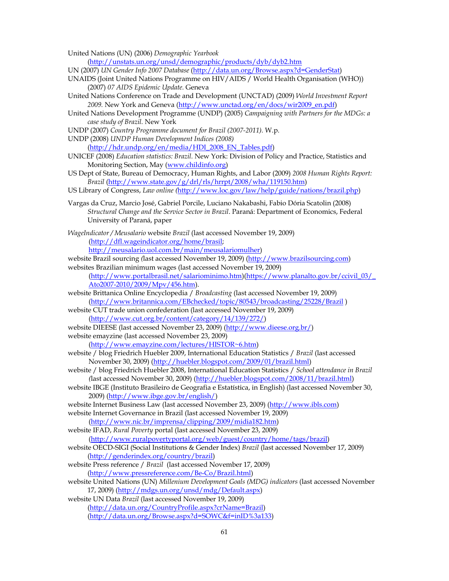United Nations (UN) (2006) *Demographic Yearbook*

(http://unstats.un.org/unsd/demographic/products/dyb/dyb2.htm

- UN (2007) *UN Gender Info 2007 Database* (http://data.un.org/Browse.aspx?d=GenderStat)
- UNAIDS (Joint United Nations Programme on HIV/AIDS / World Health Organisation (WHO)) (2007) *07 AIDS Epidemic Update.* Geneva
- United Nations Conference on Trade and Development (UNCTAD) (2009) *World Investment Report 2009.* New York and Geneva (http://www.unctad.org/en/docs/wir2009\_en.pdf)
- United Nations Development Programme (UNDP) (2005) *Campaigning with Partners for the MDGs: a case study of Brazil.* New York
- UNDP (2007) *Country Programme document for Brazil (2007-2011).* W.p.
- UNDP (2008) *UNDP Human Development Indices (2008)*  (http://hdr.undp.org/en/media/HDI\_2008\_EN\_Tables.pdf)
- UNICEF (2008) *Education statistics: Brazil.* New York: Division of Policy and Practice, Statistics and Monitoring Section, May (www.childinfo.org)
- US Dept of State, Bureau of Democracy, Human Rights, and Labor (2009) *2008 Human Rights Report: Brazil* (http://www.state.gov/g/drl/rls/hrrpt/2008/wha/119150.htm)
- US Library of Congress, *Law online (*http://www.loc.gov/law/help/guide/nations/brazil.php)
- Vargas da Cruz, Marcio José, Gabriel Porcile, Luciano Nakabashi, Fabio Dória Scatolin (2008) *Structural Change and the Service Sector in Brazil*. Paraná: Department of Economics, Federal University of Paraná, paper
- *WageIndicator / Meusalario* website *Brazil* (last accessed November 19, 2009) (http://dfl.wageindicator.org/home/brasil;

http://meusalario.uol.com.br/main/meusalariomulher)

website Brazil sourcing *(*last accessed November 19, 2009) (http://www.brazilsourcing.com)

websites Brazilian minimum wages (last accessed November 19, 2009)

(http://www.portalbrasil.net/salariominimo.htm)(https://www.planalto.gov.br/ccivil\_03/\_ Ato2007-2010/2009/Mpv/456.htm).

website Brittanica Online Encyclopedia / *Broadcasting* (last accessed November 19, 2009) (http://www.britannica.com/EBchecked/topic/80543/broadcasting/25228/Brazil )

website CUT trade union confederation (last accessed November 19, 2009) (http://www.cut.org.br/content/category/14/139/272/)

website DIEESE (last accessed November 23, 2009) (http://www.dieese.org.br/) website emayzine (last accessed November 23, 2009)

- (http://www.emayzine.com/lectures/HISTOR~6.htm)
- website / blog Friedrich Huebler 2009, International Education Statistics / *Brazil* (last accessed November 30, 2009) (http://huebler.blogspot.com/2009/01/brazil.html)
- website / blog Friedrich Huebler 2008, International Education Statistics / *School attendance in Brazil (*last accessed November 30, 2009) (http://huebler.blogspot.com/2008/11/brazil.html)
- website IBGE (Instituto Brasileiro de Geografia e Estatística, in English) (last accessed November 30, 2009) (http://www.ibge.gov.br/english/)

website Internet Business Law (last accessed November 23, 2009) (http://www.ibls.com)

website Internet Governance in Brazil (last accessed November 19, 2009)

(http://www.nic.br/imprensa/clipping/2009/midia182.htm) website IFAD, *Rural Poverty* portal (last accessed November 23, 2009)

(http://www.ruralpovertyportal.org/web/guest/country/home/tags/brazil)

- website OECD-SIGI (Social Institutions & Gender Index) *Brazil* (last accessed November 17, 2009) (http://genderindex.org/country/brazil)
- website Press reference / *Brazil* (last accessed November 17, 2009) (http://www.pressreference.com/Be-Co/Brazil.html)
- website United Nations (UN) *Millenium Development Goals (MDG) indicators* (last accessed November 17, 2009) (http://mdgs.un.org/unsd/mdg/Default.aspx)
- website UN Data *Brazil* (last accessed November 19, 2009) (http://data.un.org/CountryProfile.aspx?crName=Brazil) (http://data.un.org/Browse.aspx?d=SOWC&f=inID%3a133)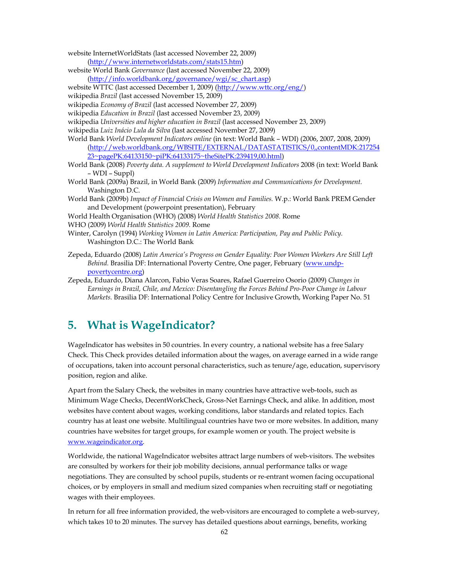- website InternetWorldStats (last accessed November 22, 2009)
- (http://www.internetworldstats.com/stats15.htm)
- website World Bank *Governance* (last accessed November 22, 2009)
- (http://info.worldbank.org/governance/wgi/sc\_chart.asp)
- website WTTC (last accessed December 1, 2009) (http://www.wttc.org/eng/)
- wikipedia *Brazil* (last accessed November 15, 2009)
- wikipedia *Economy of Brazil* (last accessed November 27, 2009)
- wikipedia *Education in Brazil* (last accessed November 23, 2009)
- wikipedia *Universities and higher education in Brazil* (last accessed November 23, 2009)
- wikipedia *Luiz Inácio Lula da Silva* (last accessed November 27, 2009)
- World Bank *World Development Indicators online* (in text: World Bank WDI) (2006, 2007, 2008, 2009) (http://web.worldbank.org/WBSITE/EXTERNAL/DATASTATISTICS/0,,contentMDK:217254 23~pagePK:64133150~piPK:64133175~theSitePK:239419,00.html)
- World Bank (2008) *Poverty data. A supplement to World Development Indicators* 2008 (in text: World Bank – WDI – Suppl)
- World Bank (2009a) Brazil, in World Bank (2009) *Information and Communications for Development.*  Washington D.C.
- World Bank (2009b) *Impact of Financial Crisis on Women and Families.* W.p.: World Bank PREM Gender and Development (powerpoint presentation), February
- World Health Organisation (WHO) (2008) *World Health Statistics 2008.* Rome
- WHO (2009) *World Health Statistics 2009.* Rome
- Winter, Carolyn (1994) *Working Women in Latin America: Participation, Pay and Public Policy.* Washington D.C.: The World Bank
- Zepeda, Eduardo (2008) *Latin America's Progress on Gender Equality: Poor Women Workers Are Still Left Behind.* Brasilia DF: International Poverty Centre, One pager, February (www.undppovertycentre.org)
- Zepeda, Eduardo, Diana Alarcon, Fabio Veras Soares, Rafael Guerreiro Osorio (2009) *Changes in Earnings in Brazil, Chile, and Mexico: Disentangling the Forces Behind Pro-Poor Change in Labour Markets.* Brasilia DF: International Policy Centre for Inclusive Growth, Working Paper No. 51

# **5. What is WageIndicator?**

WageIndicator has websites in 50 countries. In every country, a national website has a free Salary Check. This Check provides detailed information about the wages, on average earned in a wide range of occupations, taken into account personal characteristics, such as tenure/age, education, supervisory position, region and alike.

Apart from the Salary Check, the websites in many countries have attractive web-tools, such as Minimum Wage Checks, DecentWorkCheck, Gross-Net Earnings Check, and alike. In addition, most websites have content about wages, working conditions, labor standards and related topics. Each country has at least one website. Multilingual countries have two or more websites. In addition, many countries have websites for target groups, for example women or youth. The project website is www.wageindicator.org.

Worldwide, the national WageIndicator websites attract large numbers of web-visitors. The websites are consulted by workers for their job mobility decisions, annual performance talks or wage negotiations. They are consulted by school pupils, students or re-entrant women facing occupational choices, or by employers in small and medium sized companies when recruiting staff or negotiating wages with their employees.

In return for all free information provided, the web-visitors are encouraged to complete a web-survey, which takes 10 to 20 minutes. The survey has detailed questions about earnings, benefits, working